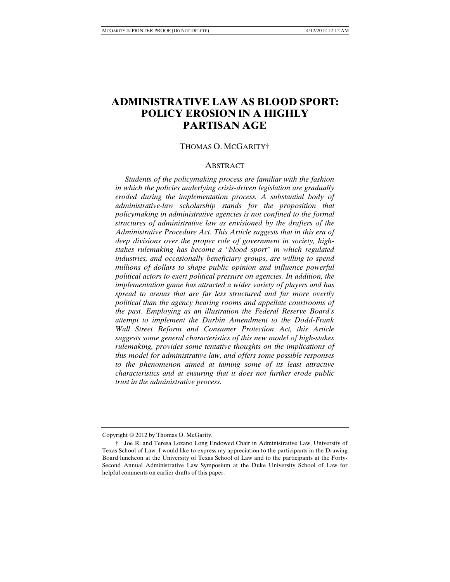# **ADMINISTRATIVE LAW AS BLOOD SPORT: POLICY EROSION IN A HIGHLY PARTISAN AGE**

#### THOMAS O. MCGARITY†

#### **ABSTRACT**

 *Students of the policymaking process are familiar with the fashion in which the policies underlying crisis-driven legislation are gradually eroded during the implementation process. A substantial body of administrative-law scholarship stands for the proposition that policymaking in administrative agencies is not confined to the formal structures of administrative law as envisioned by the drafters of the Administrative Procedure Act. This Article suggests that in this era of deep divisions over the proper role of government in society, highstakes rulemaking has become a "blood sport" in which regulated industries, and occasionally beneficiary groups, are willing to spend millions of dollars to shape public opinion and influence powerful political actors to exert political pressure on agencies. In addition, the implementation game has attracted a wider variety of players and has spread to arenas that are far less structured and far more overtly political than the agency hearing rooms and appellate courtrooms of the past. Employing as an illustration the Federal Reserve Board's attempt to implement the Durbin Amendment to the Dodd-Frank Wall Street Reform and Consumer Protection Act, this Article suggests some general characteristics of this new model of high-stakes rulemaking, provides some tentative thoughts on the implications of this model for administrative law, and offers some possible responses to the phenomenon aimed at taming some of its least attractive characteristics and at ensuring that it does not further erode public trust in the administrative process.* 

Copyright © 2012 by Thomas O. McGarity.

 <sup>†</sup> Joe R. and Teresa Lozano Long Endowed Chair in Administrative Law, University of Texas School of Law. I would like to express my appreciation to the participants in the Drawing Board luncheon at the University of Texas School of Law and to the participants at the Forty-Second Annual Administrative Law Symposium at the Duke University School of Law for helpful comments on earlier drafts of this paper.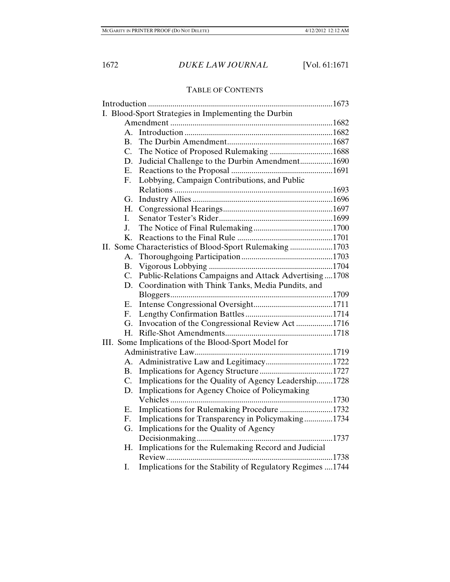## TABLE OF CONTENTS

| I. Blood-Sport Strategies in Implementing the Durbin |                                                            |  |  |  |  |
|------------------------------------------------------|------------------------------------------------------------|--|--|--|--|
|                                                      |                                                            |  |  |  |  |
| $A_{-}$                                              |                                                            |  |  |  |  |
| В.                                                   |                                                            |  |  |  |  |
| C.                                                   | The Notice of Proposed Rulemaking 1688                     |  |  |  |  |
| D.                                                   | Judicial Challenge to the Durbin Amendment1690             |  |  |  |  |
| Ε.                                                   |                                                            |  |  |  |  |
| F.                                                   | Lobbying, Campaign Contributions, and Public               |  |  |  |  |
|                                                      |                                                            |  |  |  |  |
| G.                                                   |                                                            |  |  |  |  |
| H.                                                   |                                                            |  |  |  |  |
| L.                                                   |                                                            |  |  |  |  |
| J.                                                   |                                                            |  |  |  |  |
| Κ.                                                   |                                                            |  |  |  |  |
|                                                      | II. Some Characteristics of Blood-Sport Rulemaking 1703    |  |  |  |  |
| А.                                                   |                                                            |  |  |  |  |
| В.                                                   |                                                            |  |  |  |  |
| C.                                                   | Public-Relations Campaigns and Attack Advertising  1708    |  |  |  |  |
| D.                                                   | Coordination with Think Tanks, Media Pundits, and          |  |  |  |  |
|                                                      |                                                            |  |  |  |  |
| Е.                                                   |                                                            |  |  |  |  |
| F.                                                   |                                                            |  |  |  |  |
| G.                                                   | Invocation of the Congressional Review Act1716             |  |  |  |  |
| H.                                                   |                                                            |  |  |  |  |
| III. Some Implications of the Blood-Sport Model for  |                                                            |  |  |  |  |
|                                                      |                                                            |  |  |  |  |
| А.                                                   |                                                            |  |  |  |  |
| В.                                                   |                                                            |  |  |  |  |
| C.                                                   | Implications for the Quality of Agency Leadership1728      |  |  |  |  |
| D.                                                   | Implications for Agency Choice of Policymaking             |  |  |  |  |
|                                                      |                                                            |  |  |  |  |
| Ε.                                                   | Implications for Rulemaking Procedure 1732                 |  |  |  |  |
| F.                                                   | Implications for Transparency in Policymaking1734          |  |  |  |  |
| G.                                                   | Implications for the Quality of Agency                     |  |  |  |  |
|                                                      |                                                            |  |  |  |  |
| Η.                                                   | Implications for the Rulemaking Record and Judicial        |  |  |  |  |
|                                                      |                                                            |  |  |  |  |
| Ι.                                                   | Implications for the Stability of Regulatory Regimes  1744 |  |  |  |  |
|                                                      |                                                            |  |  |  |  |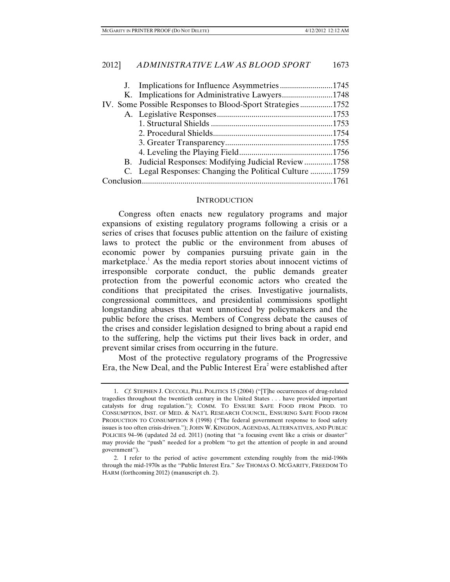|  |  | J. Implications for Influence Asymmetries1745             |  |
|--|--|-----------------------------------------------------------|--|
|  |  | K. Implications for Administrative Lawyers1748            |  |
|  |  | IV. Some Possible Responses to Blood-Sport Strategies1752 |  |
|  |  |                                                           |  |
|  |  |                                                           |  |
|  |  |                                                           |  |
|  |  |                                                           |  |
|  |  |                                                           |  |
|  |  | B. Judicial Responses: Modifying Judicial Review 1758     |  |
|  |  | C. Legal Responses: Changing the Political Culture 1759   |  |
|  |  |                                                           |  |

#### **INTRODUCTION**

Congress often enacts new regulatory programs and major expansions of existing regulatory programs following a crisis or a series of crises that focuses public attention on the failure of existing laws to protect the public or the environment from abuses of economic power by companies pursuing private gain in the marketplace.<sup>1</sup> As the media report stories about innocent victims of irresponsible corporate conduct, the public demands greater protection from the powerful economic actors who created the conditions that precipitated the crises. Investigative journalists, congressional committees, and presidential commissions spotlight longstanding abuses that went unnoticed by policymakers and the public before the crises. Members of Congress debate the causes of the crises and consider legislation designed to bring about a rapid end to the suffering, help the victims put their lives back in order, and prevent similar crises from occurring in the future.

Most of the protective regulatory programs of the Progressive Era, the New Deal, and the Public Interest  $\text{Era}^2$  were established after

 <sup>1.</sup> *Cf.* STEPHEN J. CECCOLI, PILL POLITICS 15 (2004) ("[T]he occurrences of drug-related tragedies throughout the twentieth century in the United States . . . have provided important catalysts for drug regulation."); COMM. TO ENSURE SAFE FOOD FROM PROD. TO CONSUMPTION, INST. OF MED. & NAT'L RESEARCH COUNCIL, ENSURING SAFE FOOD FROM PRODUCTION TO CONSUMPTION 8 (1998) ("The federal government response to food safety issues is too often crisis-driven."); JOHN W. KINGDON, AGENDAS, ALTERNATIVES, AND PUBLIC POLICIES 94–96 (updated 2d ed. 2011) (noting that "a focusing event like a crisis or disaster" may provide the "push" needed for a problem "to get the attention of people in and around government").

 <sup>2.</sup> I refer to the period of active government extending roughly from the mid-1960s through the mid-1970s as the "Public Interest Era." *See* THOMAS O. MCGARITY, FREEDOM TO HARM (forthcoming 2012) (manuscript ch. 2).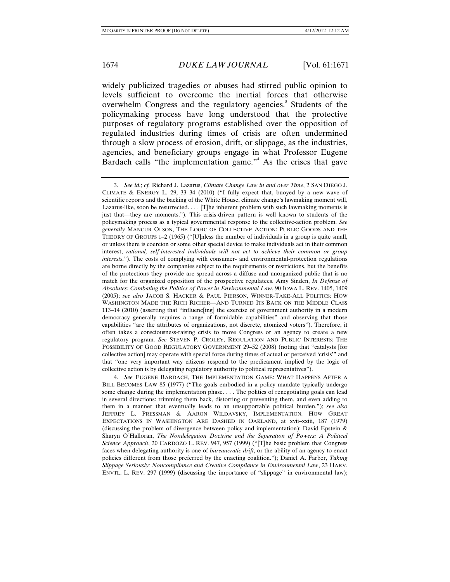widely publicized tragedies or abuses had stirred public opinion to levels sufficient to overcome the inertial forces that otherwise overwhelm Congress and the regulatory agencies.<sup>3</sup> Students of the policymaking process have long understood that the protective purposes of regulatory programs established over the opposition of regulated industries during times of crisis are often undermined through a slow process of erosion, drift, or slippage, as the industries, agencies, and beneficiary groups engage in what Professor Eugene Bardach calls "the implementation game."<sup>4</sup> As the crises that gave

 4. *See* EUGENE BARDACH, THE IMPLEMENTATION GAME: WHAT HAPPENS AFTER A BILL BECOMES LAW 85 (1977) ("The goals embodied in a policy mandate typically undergo some change during the implementation phase. . . . The politics of renegotiating goals can lead in several directions: trimming them back, distorting or preventing them, and even adding to them in a manner that eventually leads to an unsupportable political burden."); *see also*  JEFFREY L. PRESSMAN & AARON WILDAVSKY, IMPLEMENTATION: HOW GREAT EXPECTATIONS IN WASHINGTON ARE DASHED IN OAKLAND, at xvii–xxiii, 187 (1979) (discussing the problem of divergence between policy and implementation); David Epstein & Sharyn O'Halloran, *The Nondelegation Doctrine and the Separation of Powers: A Political Science Approach*, 20 CARDOZO L. REV. 947, 957 (1999) ("[T]he basic problem that Congress faces when delegating authority is one of *bureaucratic drift*, or the ability of an agency to enact policies different from those preferred by the enacting coalition."); Daniel A. Farber, *Taking Slippage Seriously: Noncompliance and Creative Compliance in Environmental Law*, 23 HARV. ENVTL. L. REV. 297 (1999) (discussing the importance of "slippage" in environmental law);

 <sup>3.</sup> *See id.*; *cf.* Richard J. Lazarus, *Climate Change Law in and over Time*, 2 SAN DIEGO J. CLIMATE & ENERGY L. 29, 33–34 (2010) ("I fully expect that, buoyed by a new wave of scientific reports and the backing of the White House, climate change's lawmaking moment will, Lazarus-like, soon be resurrected. . . . [T]he inherent problem with such lawmaking moments is just that—they are moments."). This crisis-driven pattern is well known to students of the policymaking process as a typical governmental response to the collective-action problem. *See generally* MANCUR OLSON, THE LOGIC OF COLLECTIVE ACTION: PUBLIC GOODS AND THE THEORY OF GROUPS 1–2 (1965) ("[U]nless the number of individuals in a group is quite small, or unless there is coercion or some other special device to make individuals act in their common interest, *rational, self-interested individuals will not act to achieve their common or group interests*."). The costs of complying with consumer- and environmental-protection regulations are borne directly by the companies subject to the requirements or restrictions, but the benefits of the protections they provide are spread across a diffuse and unorganized public that is no match for the organized opposition of the prospective regulatees. Amy Sinden, *In Defense of Absolutes: Combating the Politics of Power in Environmental Law*, 90 IOWA L. REV. 1405, 1409 (2005); *see also* JACOB S. HACKER & PAUL PIERSON, WINNER-TAKE-ALL POLITICS: HOW WASHINGTON MADE THE RICH RICHER—AND TURNED ITS BACK ON THE MIDDLE CLASS 113–14 (2010) (asserting that "influenc[ing] the exercise of government authority in a modern democracy generally requires a range of formidable capabilities" and observing that those capabilities "are the attributes of organizations, not discrete, atomized voters"). Therefore, it often takes a consciousness-raising crisis to move Congress or an agency to create a new regulatory program. *See* STEVEN P. CROLEY, REGULATION AND PUBLIC INTERESTS: THE POSSIBILITY OF GOOD REGULATORY GOVERNMENT 29–52 (2008) (noting that "catalysts [for collective action] may operate with special force during times of actual or perceived 'crisis'" and that "one very important way citizens respond to the predicament implied by the logic of collective action is by delegating regulatory authority to political representatives").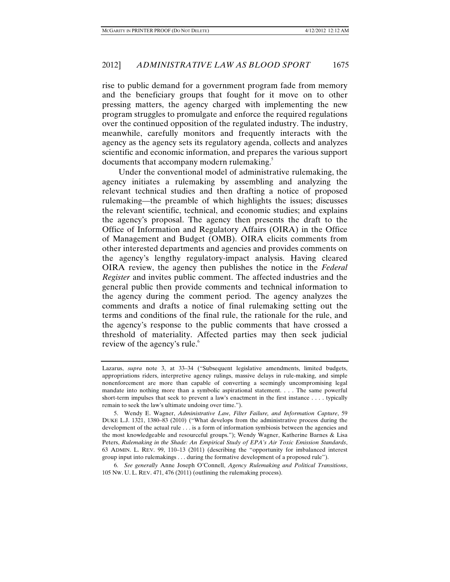rise to public demand for a government program fade from memory and the beneficiary groups that fought for it move on to other pressing matters, the agency charged with implementing the new program struggles to promulgate and enforce the required regulations over the continued opposition of the regulated industry. The industry, meanwhile, carefully monitors and frequently interacts with the agency as the agency sets its regulatory agenda, collects and analyzes scientific and economic information, and prepares the various support documents that accompany modern rulemaking.<sup>5</sup>

Under the conventional model of administrative rulemaking, the agency initiates a rulemaking by assembling and analyzing the relevant technical studies and then drafting a notice of proposed rulemaking—the preamble of which highlights the issues; discusses the relevant scientific, technical, and economic studies; and explains the agency's proposal. The agency then presents the draft to the Office of Information and Regulatory Affairs (OIRA) in the Office of Management and Budget (OMB). OIRA elicits comments from other interested departments and agencies and provides comments on the agency's lengthy regulatory-impact analysis. Having cleared OIRA review, the agency then publishes the notice in the *Federal Register* and invites public comment. The affected industries and the general public then provide comments and technical information to the agency during the comment period. The agency analyzes the comments and drafts a notice of final rulemaking setting out the terms and conditions of the final rule, the rationale for the rule, and the agency's response to the public comments that have crossed a threshold of materiality. Affected parties may then seek judicial review of the agency's rule.<sup>6</sup>

Lazarus, *supra* note 3, at 33–34 ("Subsequent legislative amendments, limited budgets, appropriations riders, interpretive agency rulings, massive delays in rule-making, and simple nonenforcement are more than capable of converting a seemingly uncompromising legal mandate into nothing more than a symbolic aspirational statement. . . . The same powerful short-term impulses that seek to prevent a law's enactment in the first instance . . . . typically remain to seek the law's ultimate undoing over time.").

 <sup>5.</sup> Wendy E. Wagner, *Administrative Law, Filter Failure, and Information Capture*, 59 DUKE L.J. 1321, 1380–83 (2010) ("What develops from the administrative process during the development of the actual rule . . . is a form of information symbiosis between the agencies and the most knowledgeable and resourceful groups."); Wendy Wagner, Katherine Barnes & Lisa Peters, *Rulemaking in the Shade: An Empirical Study of EPA's Air Toxic Emission Standards*, 63 ADMIN. L. REV. 99, 110–13 (2011) (describing the "opportunity for imbalanced interest group input into rulemakings . . . during the formative development of a proposed rule").

 <sup>6.</sup> *See generally* Anne Joseph O'Connell, *Agency Rulemaking and Political Transitions*, 105 NW. U. L. REV. 471, 476 (2011) (outlining the rulemaking process).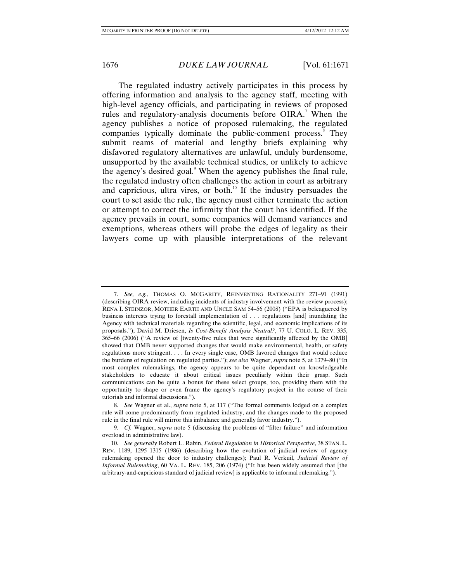The regulated industry actively participates in this process by offering information and analysis to the agency staff, meeting with high-level agency officials, and participating in reviews of proposed rules and regulatory-analysis documents before OIRA.<sup>7</sup> When the agency publishes a notice of proposed rulemaking, the regulated companies typically dominate the public-comment process.<sup>8</sup> They submit reams of material and lengthy briefs explaining why disfavored regulatory alternatives are unlawful, unduly burdensome, unsupported by the available technical studies, or unlikely to achieve the agency's desired goal.<sup>9</sup> When the agency publishes the final rule, the regulated industry often challenges the action in court as arbitrary and capricious, ultra vires, or both.<sup>10</sup> If the industry persuades the court to set aside the rule, the agency must either terminate the action or attempt to correct the infirmity that the court has identified. If the agency prevails in court, some companies will demand variances and exemptions, whereas others will probe the edges of legality as their lawyers come up with plausible interpretations of the relevant

 <sup>7.</sup> *See, e.g.*, THOMAS O. MCGARITY, REINVENTING RATIONALITY 271–91 (1991) (describing OIRA review, including incidents of industry involvement with the review process); RENA I. STEINZOR, MOTHER EARTH AND UNCLE SAM 54–56 (2008) ("EPA is beleaguered by business interests trying to forestall implementation of . . . regulations [and] inundating the Agency with technical materials regarding the scientific, legal, and economic implications of its proposals."); David M. Driesen, *Is Cost-Benefit Analysis Neutral?*, 77 U. COLO. L. REV. 335, 365–66 (2006) ("A review of [twenty-five rules that were significantly affected by the OMB] showed that OMB never supported changes that would make environmental, health, or safety regulations more stringent. . . . In every single case, OMB favored changes that would reduce the burdens of regulation on regulated parties."); *see also* Wagner, *supra* note 5, at 1379–80 ("In most complex rulemakings, the agency appears to be quite dependant on knowledgeable stakeholders to educate it about critical issues peculiarly within their grasp. Such communications can be quite a bonus for these select groups, too, providing them with the opportunity to shape or even frame the agency's regulatory project in the course of their tutorials and informal discussions.").

 <sup>8.</sup> *See* Wagner et al., *supra* note 5, at 117 ("The formal comments lodged on a complex rule will come predominantly from regulated industry, and the changes made to the proposed rule in the final rule will mirror this imbalance and generally favor industry.").

 <sup>9.</sup> *Cf.* Wagner, *supra* note 5 (discussing the problems of "filter failure" and information overload in administrative law).

 <sup>10.</sup> *See generally* Robert L. Rabin, *Federal Regulation in Historical Perspective*, 38 STAN. L. REV. 1189, 1295–1315 (1986) (describing how the evolution of judicial review of agency rulemaking opened the door to industry challenges); Paul R. Verkuil, *Judicial Review of Informal Rulemaking*, 60 VA. L. REV. 185, 206 (1974) ("It has been widely assumed that [the arbitrary-and-capricious standard of judicial review] is applicable to informal rulemaking.").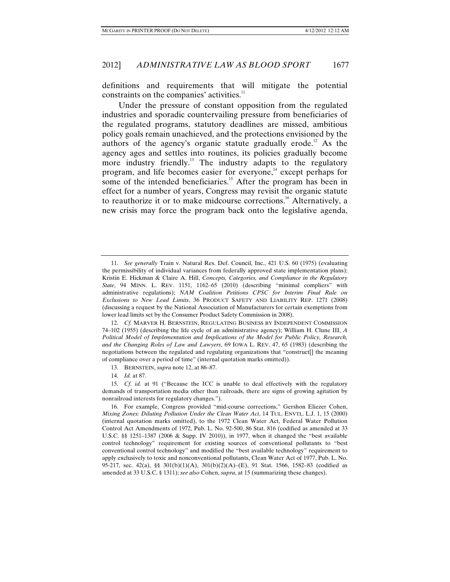definitions and requirements that will mitigate the potential constraints on the companies' activities.<sup>11</sup>

Under the pressure of constant opposition from the regulated industries and sporadic countervailing pressure from beneficiaries of the regulated programs, statutory deadlines are missed, ambitious policy goals remain unachieved, and the protections envisioned by the authors of the agency's organic statute gradually erode.<sup>12</sup> As the agency ages and settles into routines, its policies gradually become more industry friendly.<sup>13</sup> The industry adapts to the regulatory program, and life becomes easier for everyone,<sup>14</sup> except perhaps for some of the intended beneficiaries.<sup>15</sup> After the program has been in effect for a number of years, Congress may revisit the organic statute to reauthorize it or to make midcourse corrections.<sup>16</sup> Alternatively, a new crisis may force the program back onto the legislative agenda,

14. *Id.* at 87.

 <sup>11.</sup> *See generally* Train v. Natural Res. Def. Council, Inc., 421 U.S. 60 (1975) (evaluating the permissibility of individual variances from federally approved state implementation plans); Kristin E. Hickman & Claire A. Hill, *Concepts, Categories, and Compliance in the Regulatory State*, 94 MINN. L. REV. 1151, 1162–65 (2010) (describing "minimal compliers" with administrative regulations); *NAM Coalition Petitions CPSC for Interim Final Rule on Exclusions to New Lead Limits*, 36 PRODUCT SAFETY AND LIABILITY REP. 1271 (2008) (discussing a request by the National Association of Manufacturers for certain exemptions from lower lead limits set by the Consumer Product Safety Commission in 2008).

 <sup>12.</sup> *Cf.* MARVER H. BERNSTEIN, REGULATING BUSINESS BY INDEPENDENT COMMISSION 74–102 (1955) (describing the life cycle of an administrative agency); William H. Clune III, *A Political Model of Implementation and Implications of the Model for Public Policy, Research, and the Changing Roles of Law and Lawyers*, 69 IOWA L. REV. 47, 65 (1983) (describing the negotiations between the regulated and regulating organizations that "construct[] the meaning of compliance over a period of time" (internal quotation marks omitted)).

 <sup>13.</sup> BERNSTEIN, *supra* note 12, at 86–87.

 <sup>15.</sup> *Cf. id.* at 91 ("Because the ICC is unable to deal effectively with the regulatory demands of transportation media other than railroads, there are signs of growing agitation by nonrailroad interests for regulatory changes.").

 <sup>16.</sup> For example, Congress provided "mid-course corrections," Gershon Eliezer Cohen, *Mixing Zones: Diluting Pollution Under the Clean Water Act*, 14 TUL. ENVTL. L.J. 1, 15 (2000) (internal quotation marks omitted), to the 1972 Clean Water Act, Federal Water Pollution Control Act Amendments of 1972, Pub. L. No. 92-500, 86 Stat. 816 (codified as amended at 33 U.S.C. §§ 1251–1387 (2006 & Supp. IV 2010)), in 1977, when it changed the "best available control technology" requirement for existing sources of conventional pollutants to "best conventional control technology" and modified the "best available technology" requirement to apply exclusively to toxic and nonconventional pollutants, Clean Water Act of 1977, Pub. L. No. 95-217, sec. 42(a), §§ 301(b)(1)(A), 301(b)(2)(A)–(E), 91 Stat. 1566, 1582–83 (codified as amended at 33 U.S.C. § 1311); *see also* Cohen, *supra*, at 15 (summarizing these changes).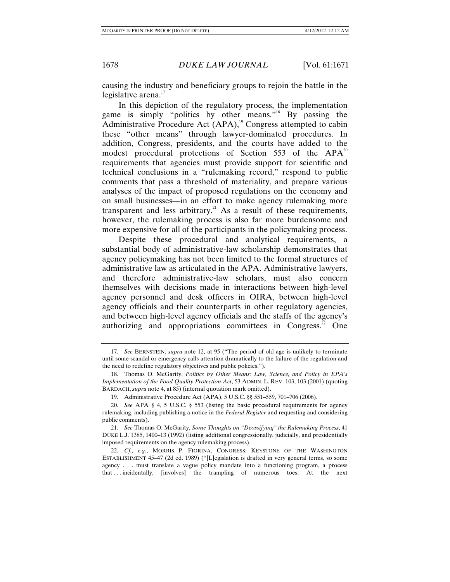causing the industry and beneficiary groups to rejoin the battle in the legislative arena. $17$ 

In this depiction of the regulatory process, the implementation game is simply "politics by other means."18 By passing the Administrative Procedure Act  $(APA)$ ,<sup>19</sup> Congress attempted to cabin these "other means" through lawyer-dominated procedures. In addition, Congress, presidents, and the courts have added to the modest procedural protections of Section 553 of the  $APA<sup>20</sup>$ requirements that agencies must provide support for scientific and technical conclusions in a "rulemaking record," respond to public comments that pass a threshold of materiality, and prepare various analyses of the impact of proposed regulations on the economy and on small businesses—in an effort to make agency rulemaking more transparent and less arbitrary.<sup>21</sup> As a result of these requirements, however, the rulemaking process is also far more burdensome and more expensive for all of the participants in the policymaking process.

Despite these procedural and analytical requirements, a substantial body of administrative-law scholarship demonstrates that agency policymaking has not been limited to the formal structures of administrative law as articulated in the APA. Administrative lawyers, and therefore administrative-law scholars, must also concern themselves with decisions made in interactions between high-level agency personnel and desk officers in OIRA, between high-level agency officials and their counterparts in other regulatory agencies, and between high-level agency officials and the staffs of the agency's authorizing and appropriations committees in Congress.<sup>22</sup> One

 <sup>17.</sup> *See* BERNSTEIN, *supra* note 12, at 95 ("The period of old age is unlikely to terminate until some scandal or emergency calls attention dramatically to the failure of the regulation and the need to redefine regulatory objectives and public policies.").

 <sup>18.</sup> Thomas O. McGarity, *Politics by Other Means: Law, Science, and Policy in EPA's Implementation of the Food Quality Protection Act*, 53 ADMIN. L. REV. 103, 103 (2001) (quoting BARDACH, *supra* note 4, at 85) (internal quotation mark omitted).

 <sup>19.</sup> Administrative Procedure Act (APA), 5 U.S.C. §§ 551–559, 701–706 (2006).

 <sup>20.</sup> *See* APA § 4, 5 U.S.C. § 553 (listing the basic procedural requirements for agency rulemaking, including publishing a notice in the *Federal Register* and requesting and considering public comments).

 <sup>21.</sup> *See* Thomas O. McGarity, *Some Thoughts on "Deossifying" the Rulemaking Process*, 41 DUKE L.J. 1385, 1400–13 (1992) (listing additional congressionally, judicially, and presidentially imposed requirements on the agency rulemaking process).

 <sup>22.</sup> *Cf., e.g.*, MORRIS P. FIORINA, CONGRESS: KEYSTONE OF THE WASHINGTON ESTABLISHMENT 45–47 (2d ed. 1989) ("[L]egislation is drafted in very general terms, so some agency . . . must translate a vague policy mandate into a functioning program, a process that . . . incidentally, [involves] the trampling of numerous toes. At the next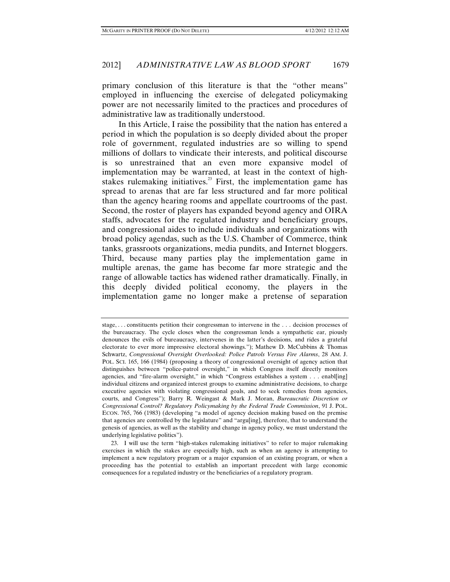primary conclusion of this literature is that the "other means" employed in influencing the exercise of delegated policymaking power are not necessarily limited to the practices and procedures of administrative law as traditionally understood.

In this Article, I raise the possibility that the nation has entered a period in which the population is so deeply divided about the proper role of government, regulated industries are so willing to spend millions of dollars to vindicate their interests, and political discourse is so unrestrained that an even more expansive model of implementation may be warranted, at least in the context of highstakes rulemaking initiatives. $23$  First, the implementation game has spread to arenas that are far less structured and far more political than the agency hearing rooms and appellate courtrooms of the past. Second, the roster of players has expanded beyond agency and OIRA staffs, advocates for the regulated industry and beneficiary groups, and congressional aides to include individuals and organizations with broad policy agendas, such as the U.S. Chamber of Commerce, think tanks, grassroots organizations, media pundits, and Internet bloggers. Third, because many parties play the implementation game in multiple arenas, the game has become far more strategic and the range of allowable tactics has widened rather dramatically. Finally, in this deeply divided political economy, the players in the implementation game no longer make a pretense of separation

stage, . . . constituents petition their congressman to intervene in the . . . decision processes of the bureaucracy. The cycle closes when the congressman lends a sympathetic ear, piously denounces the evils of bureaucracy, intervenes in the latter's decisions, and rides a grateful electorate to ever more impressive electoral showings."); Mathew D. McCubbins & Thomas Schwartz, *Congressional Oversight Overlooked: Police Patrols Versus Fire Alarms*, 28 AM. J. POL. SCI. 165, 166 (1984) (proposing a theory of congressional oversight of agency action that distinguishes between "police-patrol oversight," in which Congress itself directly monitors agencies, and "fire-alarm oversight," in which "Congress establishes a system . . . enabl[ing] individual citizens and organized interest groups to examine administrative decisions, to charge executive agencies with violating congressional goals, and to seek remedies from agencies, courts, and Congress"); Barry R. Weingast & Mark J. Moran, *Bureaucratic Discretion or Congressional Control? Regulatory Policymaking by the Federal Trade Commission*, 91 J. POL. ECON. 765, 766 (1983) (developing "a model of agency decision making based on the premise that agencies are controlled by the legislature" and "argu[ing], therefore, that to understand the genesis of agencies, as well as the stability and change in agency policy, we must understand the underlying legislative politics").

 <sup>23.</sup> I will use the term "high-stakes rulemaking initiatives" to refer to major rulemaking exercises in which the stakes are especially high, such as when an agency is attempting to implement a new regulatory program or a major expansion of an existing program, or when a proceeding has the potential to establish an important precedent with large economic consequences for a regulated industry or the beneficiaries of a regulatory program.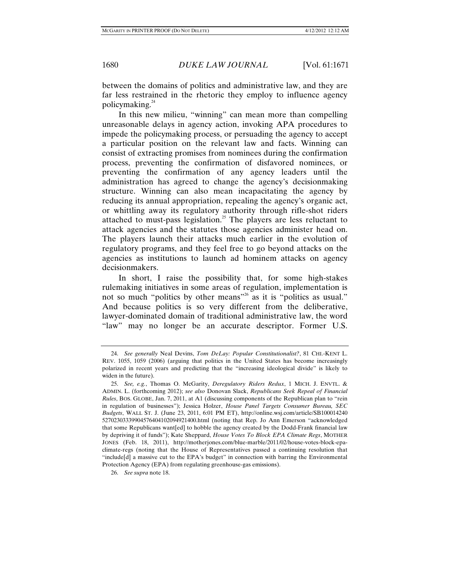between the domains of politics and administrative law, and they are far less restrained in the rhetoric they employ to influence agency policymaking.<sup>24</sup>

In this new milieu, "winning" can mean more than compelling unreasonable delays in agency action, invoking APA procedures to impede the policymaking process, or persuading the agency to accept a particular position on the relevant law and facts. Winning can consist of extracting promises from nominees during the confirmation process, preventing the confirmation of disfavored nominees, or preventing the confirmation of any agency leaders until the administration has agreed to change the agency's decisionmaking structure. Winning can also mean incapacitating the agency by reducing its annual appropriation, repealing the agency's organic act, or whittling away its regulatory authority through rifle-shot riders attached to must-pass legislation.<sup>25</sup> The players are less reluctant to attack agencies and the statutes those agencies administer head on. The players launch their attacks much earlier in the evolution of regulatory programs, and they feel free to go beyond attacks on the agencies as institutions to launch ad hominem attacks on agency decisionmakers.

In short, I raise the possibility that, for some high-stakes rulemaking initiatives in some areas of regulation, implementation is not so much "politics by other means"<sup>26</sup> as it is "politics as usual." And because politics is so very different from the deliberative, lawyer-dominated domain of traditional administrative law, the word "law" may no longer be an accurate descriptor. Former U.S.

 <sup>24.</sup> *See generally* Neal Devins, *Tom DeLay: Popular Constitutionalist?*, 81 CHI.-KENT L. REV. 1055, 1059 (2006) (arguing that politics in the United States has become increasingly polarized in recent years and predicting that the "increasing ideological divide" is likely to widen in the future).

 <sup>25.</sup> *See, e.g.*, Thomas O. McGarity, *Deregulatory Riders Redux*, 1 MICH. J. ENVTL. & ADMIN. L. (forthcoming 2012); *see also* Donovan Slack, *Republicans Seek Repeal of Financial Rules*, BOS. GLOBE, Jan. 7, 2011, at A1 (discussing components of the Republican plan to "rein in regulation of businesses"); Jessica Holzer, *House Panel Targets Consumer Bureau, SEC Budgets*, WALL ST. J. (June 23, 2011, 6:01 PM ET), http://online.wsj.com/article/SB100014240 52702303339904576404102094921400.html (noting that Rep. Jo Ann Emerson "acknowledged that some Republicans want[ed] to hobble the agency created by the Dodd-Frank financial law by depriving it of funds"); Kate Sheppard, *House Votes To Block EPA Climate Regs*, MOTHER JONES (Feb. 18, 2011), http://motherjones.com/blue-marble/2011/02/house-votes-block-epaclimate-regs (noting that the House of Representatives passed a continuing resolution that "include[d] a massive cut to the EPA's budget" in connection with barring the Environmental Protection Agency (EPA) from regulating greenhouse-gas emissions).

 <sup>26.</sup> *See supra* note 18.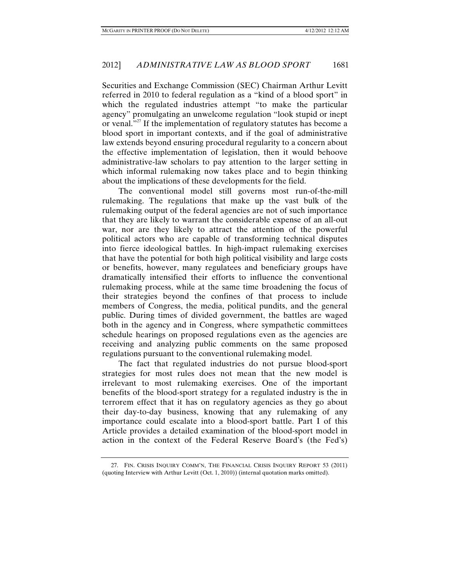Securities and Exchange Commission (SEC) Chairman Arthur Levitt referred in 2010 to federal regulation as a "kind of a blood sport" in which the regulated industries attempt "to make the particular agency" promulgating an unwelcome regulation "look stupid or inept or venal."<sup>27</sup> If the implementation of regulatory statutes has become a blood sport in important contexts, and if the goal of administrative law extends beyond ensuring procedural regularity to a concern about the effective implementation of legislation, then it would behoove administrative-law scholars to pay attention to the larger setting in which informal rulemaking now takes place and to begin thinking about the implications of these developments for the field.

The conventional model still governs most run-of-the-mill rulemaking. The regulations that make up the vast bulk of the rulemaking output of the federal agencies are not of such importance that they are likely to warrant the considerable expense of an all-out war, nor are they likely to attract the attention of the powerful political actors who are capable of transforming technical disputes into fierce ideological battles. In high-impact rulemaking exercises that have the potential for both high political visibility and large costs or benefits, however, many regulatees and beneficiary groups have dramatically intensified their efforts to influence the conventional rulemaking process, while at the same time broadening the focus of their strategies beyond the confines of that process to include members of Congress, the media, political pundits, and the general public. During times of divided government, the battles are waged both in the agency and in Congress, where sympathetic committees schedule hearings on proposed regulations even as the agencies are receiving and analyzing public comments on the same proposed regulations pursuant to the conventional rulemaking model.

The fact that regulated industries do not pursue blood-sport strategies for most rules does not mean that the new model is irrelevant to most rulemaking exercises. One of the important benefits of the blood-sport strategy for a regulated industry is the in terrorem effect that it has on regulatory agencies as they go about their day-to-day business, knowing that any rulemaking of any importance could escalate into a blood-sport battle. Part I of this Article provides a detailed examination of the blood-sport model in action in the context of the Federal Reserve Board's (the Fed's)

 <sup>27.</sup> FIN. CRISIS INQUIRY COMM'N, THE FINANCIAL CRISIS INQUIRY REPORT 53 (2011) (quoting Interview with Arthur Levitt (Oct. 1, 2010)) (internal quotation marks omitted).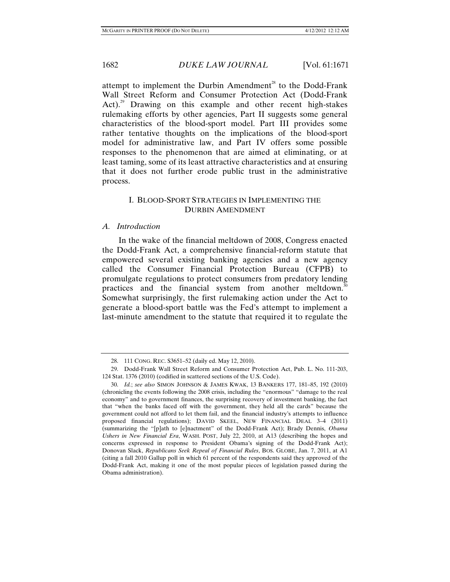attempt to implement the Durbin Amendment<sup>28</sup> to the Dodd-Frank Wall Street Reform and Consumer Protection Act (Dodd-Frank Act).<sup>29</sup> Drawing on this example and other recent high-stakes rulemaking efforts by other agencies, Part II suggests some general characteristics of the blood-sport model. Part III provides some rather tentative thoughts on the implications of the blood-sport model for administrative law, and Part IV offers some possible responses to the phenomenon that are aimed at eliminating, or at least taming, some of its least attractive characteristics and at ensuring that it does not further erode public trust in the administrative process.

## I. BLOOD-SPORT STRATEGIES IN IMPLEMENTING THE DURBIN AMENDMENT

### *A. Introduction*

In the wake of the financial meltdown of 2008, Congress enacted the Dodd-Frank Act, a comprehensive financial-reform statute that empowered several existing banking agencies and a new agency called the Consumer Financial Protection Bureau (CFPB) to promulgate regulations to protect consumers from predatory lending practices and the financial system from another meltdown.<sup>30</sup> Somewhat surprisingly, the first rulemaking action under the Act to generate a blood-sport battle was the Fed's attempt to implement a last-minute amendment to the statute that required it to regulate the

 <sup>28. 111</sup> CONG. REC. S3651–52 (daily ed. May 12, 2010).

 <sup>29.</sup> Dodd-Frank Wall Street Reform and Consumer Protection Act, Pub. L. No. 111-203, 124 Stat. 1376 (2010) (codified in scattered sections of the U.S. Code).

 <sup>30.</sup> *Id.*; *see also* SIMON JOHNSON & JAMES KWAK, 13 BANKERS 177, 181–85, 192 (2010) (chronicling the events following the 2008 crisis, including the "enormous" "damage to the real economy" and to government finances, the surprising recovery of investment banking, the fact that "when the banks faced off with the government, they held all the cards" because the government could not afford to let them fail, and the financial industry's attempts to influence proposed financial regulations); DAVID SKEEL, NEW FINANCIAL DEAL 3–4 (2011) (summarizing the "[p]ath to [e]nactment" of the Dodd-Frank Act); Brady Dennis, *Obama Ushers in New Financial Era*, WASH. POST, July 22, 2010, at A13 (describing the hopes and concerns expressed in response to President Obama's signing of the Dodd-Frank Act); Donovan Slack, *Republicans Seek Repeal of Financial Rules*, BOS. GLOBE, Jan. 7, 2011, at A1 (citing a fall 2010 Gallup poll in which 61 percent of the respondents said they approved of the Dodd-Frank Act, making it one of the most popular pieces of legislation passed during the Obama administration).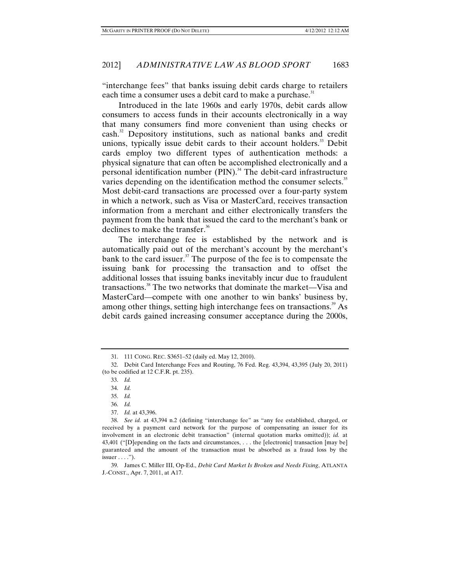"interchange fees" that banks issuing debit cards charge to retailers each time a consumer uses a debit card to make a purchase.<sup>31</sup>

Introduced in the late 1960s and early 1970s, debit cards allow consumers to access funds in their accounts electronically in a way that many consumers find more convenient than using checks or cash.<sup>32</sup> Depository institutions, such as national banks and credit unions, typically issue debit cards to their account holders.<sup>33</sup> Debit cards employ two different types of authentication methods: a physical signature that can often be accomplished electronically and a personal identification number (PIN).<sup>34</sup> The debit-card infrastructure varies depending on the identification method the consumer selects.<sup>35</sup> Most debit-card transactions are processed over a four-party system in which a network, such as Visa or MasterCard, receives transaction information from a merchant and either electronically transfers the payment from the bank that issued the card to the merchant's bank or declines to make the transfer.<sup>36</sup>

The interchange fee is established by the network and is automatically paid out of the merchant's account by the merchant's bank to the card issuer. $37$  The purpose of the fee is to compensate the issuing bank for processing the transaction and to offset the additional losses that issuing banks inevitably incur due to fraudulent transactions.<sup>38</sup> The two networks that dominate the market—Visa and MasterCard—compete with one another to win banks' business by, among other things, setting high interchange fees on transactions.<sup>39</sup> As debit cards gained increasing consumer acceptance during the 2000s,

 <sup>31. 111</sup> CONG. REC. S3651–52 (daily ed. May 12, 2010).

 <sup>32.</sup> Debit Card Interchange Fees and Routing, 76 Fed. Reg. 43,394, 43,395 (July 20, 2011) (to be codified at 12 C.F.R. pt. 235).

 <sup>33.</sup> *Id.*

 <sup>34.</sup> *Id.* 

 <sup>35.</sup> *Id.*

 <sup>36.</sup> *Id.*

 <sup>37.</sup> *Id.* at 43,396.

 <sup>38.</sup> *See id.* at 43,394 n.2 (defining "interchange fee" as "any fee established, charged, or received by a payment card network for the purpose of compensating an issuer for its involvement in an electronic debit transaction" (internal quotation marks omitted)); *id.* at 43,401 ("[D]epending on the facts and circumstances, . . . the [electronic] transaction [may be] guaranteed and the amount of the transaction must be absorbed as a fraud loss by the  $is \text{user} \dots$ ").

 <sup>39.</sup> James C. Miller III, Op-Ed., *Debit Card Market Is Broken and Needs Fixing*, ATLANTA J.-CONST., Apr. 7, 2011, at A17.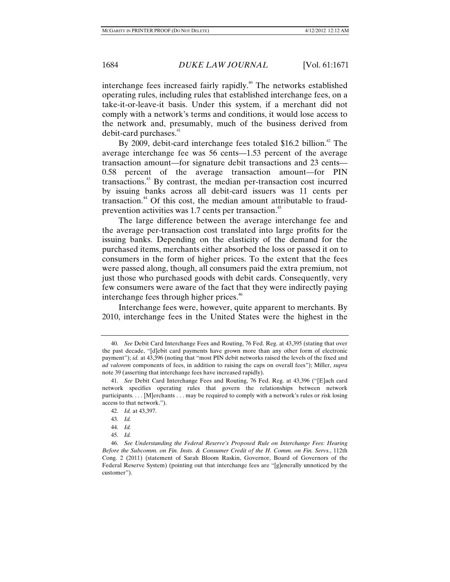interchange fees increased fairly rapidly.40 The networks established operating rules, including rules that established interchange fees, on a take-it-or-leave-it basis. Under this system, if a merchant did not comply with a network's terms and conditions, it would lose access to the network and, presumably, much of the business derived from debit-card purchases.<sup>41</sup>

By 2009, debit-card interchange fees totaled \$16.2 billion.<sup>42</sup> The average interchange fee was 56 cents—1.53 percent of the average transaction amount—for signature debit transactions and 23 cents— 0.58 percent of the average transaction amount—for PIN transactions.<sup>43</sup> By contrast, the median per-transaction cost incurred by issuing banks across all debit-card issuers was 11 cents per transaction.<sup>44</sup> Of this cost, the median amount attributable to fraudprevention activities was 1.7 cents per transaction.<sup>45</sup>

The large difference between the average interchange fee and the average per-transaction cost translated into large profits for the issuing banks. Depending on the elasticity of the demand for the purchased items, merchants either absorbed the loss or passed it on to consumers in the form of higher prices. To the extent that the fees were passed along, though, all consumers paid the extra premium, not just those who purchased goods with debit cards. Consequently, very few consumers were aware of the fact that they were indirectly paying interchange fees through higher prices.<sup>46</sup>

Interchange fees were, however, quite apparent to merchants. By 2010, interchange fees in the United States were the highest in the

 <sup>40.</sup> *See* Debit Card Interchange Fees and Routing, 76 Fed. Reg. at 43,395 (stating that over the past decade, "[d]ebit card payments have grown more than any other form of electronic payment"); *id.* at 43,396 (noting that "most PIN debit networks raised the levels of the fixed and *ad valorem* components of fees, in addition to raising the caps on overall fees"); Miller, *supra* note 39 (asserting that interchange fees have increased rapidly).

 <sup>41.</sup> *See* Debit Card Interchange Fees and Routing, 76 Fed. Reg. at 43,396 ("[E]ach card network specifies operating rules that govern the relationships between network participants. . . . [M]erchants . . . may be required to comply with a network's rules or risk losing access to that network.").

 <sup>42.</sup> *Id.* at 43,397.

 <sup>43.</sup> *Id.*

 <sup>44.</sup> *Id.*

 <sup>45.</sup> *Id.*

 <sup>46.</sup> *See Understanding the Federal Reserve's Proposed Rule on Interchange Fees: Hearing Before the Subcomm. on Fin. Insts. & Consumer Credit of the H. Comm. on Fin. Servs.*, 112th Cong. 2 (2011) (statement of Sarah Bloom Raskin, Governor, Board of Governors of the Federal Reserve System) (pointing out that interchange fees are "[g]enerally unnoticed by the customer").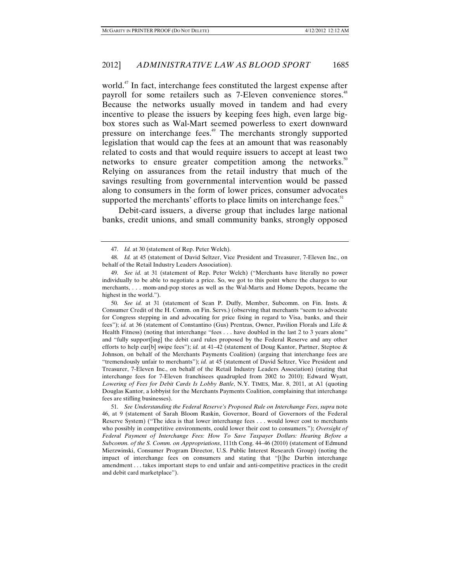world.<sup>47</sup> In fact, interchange fees constituted the largest expense after payroll for some retailers such as 7-Eleven convenience stores.<sup>48</sup> Because the networks usually moved in tandem and had every incentive to please the issuers by keeping fees high, even large bigbox stores such as Wal-Mart seemed powerless to exert downward pressure on interchange fees.<sup>49</sup> The merchants strongly supported legislation that would cap the fees at an amount that was reasonably related to costs and that would require issuers to accept at least two networks to ensure greater competition among the networks.<sup>50</sup> Relying on assurances from the retail industry that much of the savings resulting from governmental intervention would be passed along to consumers in the form of lower prices, consumer advocates supported the merchants' efforts to place limits on interchange fees.<sup>51</sup>

Debit-card issuers, a diverse group that includes large national banks, credit unions, and small community banks, strongly opposed

 50. *See id.* at 31 (statement of Sean P. Duffy, Member, Subcomm. on Fin. Insts. & Consumer Credit of the H. Comm. on Fin. Servs.) (observing that merchants "seem to advocate for Congress stepping in and advocating for price fixing in regard to Visa, banks, and their fees"); *id.* at 36 (statement of Constantino (Gus) Prentzas, Owner, Pavilion Florals and Life & Health Fitness) (noting that interchange "fees . . . have doubled in the last 2 to 3 years alone" and "fully support[ing] the debit card rules proposed by the Federal Reserve and any other efforts to help cur[b] swipe fees"); *id.* at 41–42 (statement of Doug Kantor, Partner, Steptoe & Johnson, on behalf of the Merchants Payments Coalition) (arguing that interchange fees are "tremendously unfair to merchants"); *id.* at 45 (statement of David Seltzer, Vice President and Treasurer, 7-Eleven Inc., on behalf of the Retail Industry Leaders Association) (stating that interchange fees for 7-Eleven franchisees quadrupled from 2002 to 2010); Edward Wyatt, *Lowering of Fees for Debit Cards Is Lobby Battle*, N.Y. TIMES, Mar. 8, 2011, at A1 (quoting Douglas Kantor, a lobbyist for the Merchants Payments Coalition, complaining that interchange fees are stifling businesses).

 51. *See Understanding the Federal Reserve's Proposed Rule on Interchange Fees*, *supra* note 46, at 9 (statement of Sarah Bloom Raskin, Governor, Board of Governors of the Federal Reserve System) ("The idea is that lower interchange fees . . . would lower cost to merchants who possibly in competitive environments, could lower their cost to consumers."); *Oversight of Federal Payment of Interchange Fees: How To Save Taxpayer Dollars: Hearing Before a Subcomm. of the S. Comm. on Appropriations*, 111th Cong. 44–46 (2010) (statement of Edmund Mierzwinski, Consumer Program Director, U.S. Public Interest Research Group) (noting the impact of interchange fees on consumers and stating that "[t]he Durbin interchange amendment . . . takes important steps to end unfair and anti-competitive practices in the credit and debit card marketplace").

 <sup>47.</sup> *Id.* at 30 (statement of Rep. Peter Welch).

 <sup>48.</sup> *Id.* at 45 (statement of David Seltzer, Vice President and Treasurer, 7-Eleven Inc., on behalf of the Retail Industry Leaders Association).

 <sup>49.</sup> *See id.* at 31 (statement of Rep. Peter Welch) ("Merchants have literally no power individually to be able to negotiate a price. So, we got to this point where the charges to our merchants, . . . mom-and-pop stores as well as the Wal-Marts and Home Depots, became the highest in the world.").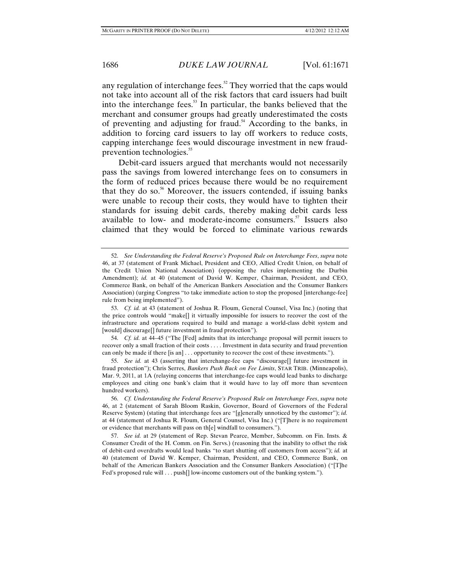any regulation of interchange fees.<sup>52</sup> They worried that the caps would not take into account all of the risk factors that card issuers had built into the interchange fees. $53$  In particular, the banks believed that the merchant and consumer groups had greatly underestimated the costs of preventing and adjusting for fraud.<sup>54</sup> According to the banks, in addition to forcing card issuers to lay off workers to reduce costs, capping interchange fees would discourage investment in new fraudprevention technologies.<sup>55</sup>

Debit-card issuers argued that merchants would not necessarily pass the savings from lowered interchange fees on to consumers in the form of reduced prices because there would be no requirement that they do so. $56$  Moreover, the issuers contended, if issuing banks were unable to recoup their costs, they would have to tighten their standards for issuing debit cards, thereby making debit cards less available to low- and moderate-income consumers.<sup>57</sup> Issuers also claimed that they would be forced to eliminate various rewards

 <sup>52.</sup> *See Understanding the Federal Reserve's Proposed Rule on Interchange Fees*, *supra* note 46, at 37 (statement of Frank Michael, President and CEO, Allied Credit Union, on behalf of the Credit Union National Association) (opposing the rules implementing the Durbin Amendment); *id.* at 40 (statement of David W. Kemper, Chairman, President, and CEO, Commerce Bank, on behalf of the American Bankers Association and the Consumer Bankers Association) (urging Congress "to take immediate action to stop the proposed [interchange-fee] rule from being implemented").

 <sup>53.</sup> *Cf. id.* at 43 (statement of Joshua R. Floum, General Counsel, Visa Inc.) (noting that the price controls would "make[] it virtually impossible for issuers to recover the cost of the infrastructure and operations required to build and manage a world-class debit system and [would] discourage[] future investment in fraud protection").

 <sup>54.</sup> *Cf. id.* at 44–45 ("The [Fed] admits that its interchange proposal will permit issuers to recover only a small fraction of their costs . . . . Investment in data security and fraud prevention can only be made if there [is an] . . . opportunity to recover the cost of these investments.").

 <sup>55.</sup> *See id.* at 43 (asserting that interchange-fee caps "discourage[] future investment in fraud protection"); Chris Serres, *Bankers Push Back on Fee Limits*, STAR TRIB. (Minneapolis), Mar. 9, 2011, at 1A (relaying concerns that interchange-fee caps would lead banks to discharge employees and citing one bank's claim that it would have to lay off more than seventeen hundred workers).

 <sup>56.</sup> *Cf. Understanding the Federal Reserve's Proposed Rule on Interchange Fees*, *supra* note 46, at 2 (statement of Sarah Bloom Raskin, Governor, Board of Governors of the Federal Reserve System) (stating that interchange fees are "[g]enerally unnoticed by the customer"); *id.* at 44 (statement of Joshua R. Floum, General Counsel, Visa Inc.) ("[T]here is no requirement or evidence that merchants will pass on th[e] windfall to consumers.").

 <sup>57.</sup> *See id.* at 29 (statement of Rep. Stevan Pearce, Member, Subcomm. on Fin. Insts. & Consumer Credit of the H. Comm. on Fin. Servs.) (reasoning that the inability to offset the risk of debit-card overdrafts would lead banks "to start shutting off customers from access"); *id.* at 40 (statement of David W. Kemper, Chairman, President, and CEO, Commerce Bank, on behalf of the American Bankers Association and the Consumer Bankers Association) ("[T]he Fed's proposed rule will . . . push[] low-income customers out of the banking system.").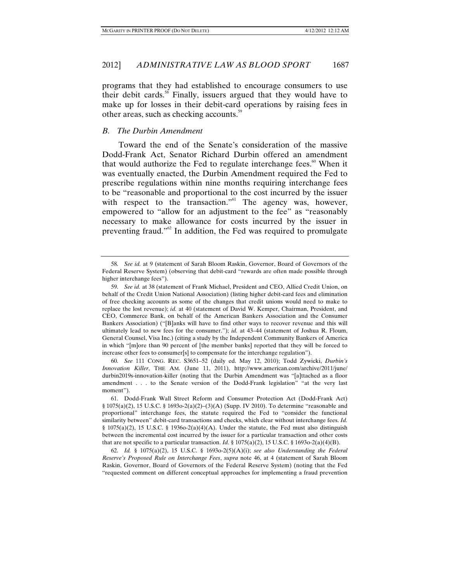programs that they had established to encourage consumers to use their debit cards.<sup>58</sup> Finally, issuers argued that they would have to make up for losses in their debit-card operations by raising fees in other areas, such as checking accounts.<sup>59</sup>

## *B. The Durbin Amendment*

Toward the end of the Senate's consideration of the massive Dodd-Frank Act, Senator Richard Durbin offered an amendment that would authorize the Fed to regulate interchange fees. $60$  When it was eventually enacted, the Durbin Amendment required the Fed to prescribe regulations within nine months requiring interchange fees to be "reasonable and proportional to the cost incurred by the issuer with respect to the transaction."<sup>61</sup> The agency was, however, empowered to "allow for an adjustment to the fee" as "reasonably necessary to make allowance for costs incurred by the issuer in preventing fraud." $\mathbb{S}^2$  In addition, the Fed was required to promulgate

 <sup>58.</sup> *See id.* at 9 (statement of Sarah Bloom Raskin, Governor, Board of Governors of the Federal Reserve System) (observing that debit-card "rewards are often made possible through higher interchange fees").

 <sup>59.</sup> *See id.* at 38 (statement of Frank Michael, President and CEO, Allied Credit Union, on behalf of the Credit Union National Association) (listing higher debit-card fees and elimination of free checking accounts as some of the changes that credit unions would need to make to replace the lost revenue); *id.* at 40 (statement of David W. Kemper, Chairman, President, and CEO, Commerce Bank, on behalf of the American Bankers Association and the Consumer Bankers Association) ("[B]anks will have to find other ways to recover revenue and this will ultimately lead to new fees for the consumer."); *id.* at 43–44 (statement of Joshua R. Floum, General Counsel, Visa Inc.) (citing a study by the Independent Community Bankers of America in which "[m]ore than 90 percent of [the member banks] reported that they will be forced to increase other fees to consumer[s] to compensate for the interchange regulation").

 <sup>60.</sup> *See* 111 CONG. REC. S3651–52 (daily ed. May 12, 2010); Todd Zywicki, *Durbin's Innovation Killer*, THE AM. (June 11, 2011), http://www.american.com/archive/2011/june/ durbin2019s-innovation-killer (noting that the Durbin Amendment was "[a]ttached as a floor amendment . . . to the Senate version of the Dodd-Frank legislation" "at the very last moment").

 <sup>61.</sup> Dodd-Frank Wall Street Reform and Consumer Protection Act (Dodd-Frank Act) § 1075(a)(2), 15 U.S.C. § 1693o-2(a)(2)–(3)(A) (Supp. IV 2010). To determine "reasonable and proportional" interchange fees, the statute required the Fed to "consider the functional similarity between" debit-card transactions and checks, which clear without interchange fees. *Id.* § 1075(a)(2), 15 U.S.C. § 1936o-2(a)(4)(A). Under the statute, the Fed must also distinguish between the incremental cost incurred by the issuer for a particular transaction and other costs that are not specific to a particular transaction. *Id.* § 1075(a)(2), 15 U.S.C. § 1693o-2(a)(4)(B).

 <sup>62.</sup> *Id.* § 1075(a)(2), 15 U.S.C. § 1693o-2(5)(A)(i); *see also Understanding the Federal Reserve's Proposed Rule on Interchange Fees*, *supra* note 46, at 4 (statement of Sarah Bloom Raskin, Governor, Board of Governors of the Federal Reserve System) (noting that the Fed "requested comment on different conceptual approaches for implementing a fraud prevention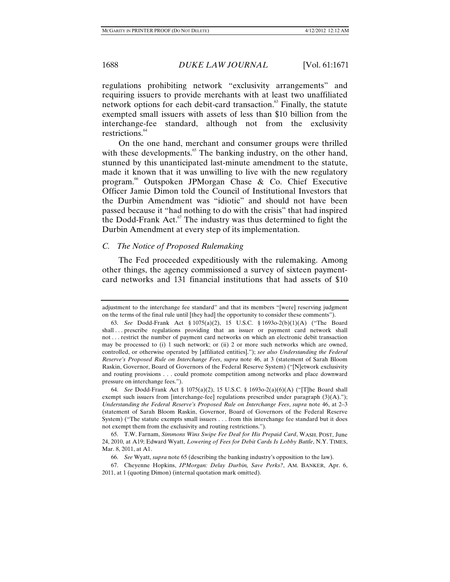regulations prohibiting network "exclusivity arrangements" and requiring issuers to provide merchants with at least two unaffiliated network options for each debit-card transaction.<sup>63</sup> Finally, the statute exempted small issuers with assets of less than \$10 billion from the interchange-fee standard, although not from the exclusivity restrictions.<sup>64</sup>

On the one hand, merchant and consumer groups were thrilled with these developments. $65$  The banking industry, on the other hand, stunned by this unanticipated last-minute amendment to the statute, made it known that it was unwilling to live with the new regulatory program.66 Outspoken JPMorgan Chase & Co. Chief Executive Officer Jamie Dimon told the Council of Institutional Investors that the Durbin Amendment was "idiotic" and should not have been passed because it "had nothing to do with the crisis" that had inspired the Dodd-Frank Act. $67$  The industry was thus determined to fight the Durbin Amendment at every step of its implementation.

## *C. The Notice of Proposed Rulemaking*

The Fed proceeded expeditiously with the rulemaking. Among other things, the agency commissioned a survey of sixteen paymentcard networks and 131 financial institutions that had assets of \$10

adjustment to the interchange fee standard" and that its members "[were] reserving judgment on the terms of the final rule until [they had] the opportunity to consider these comments").

 <sup>63.</sup> *See* Dodd-Frank Act § 1075(a)(2), 15 U.S.C. § 1693o-2(b)(1)(A) ("The Board shall ... prescribe regulations providing that an issuer or payment card network shall not . . . restrict the number of payment card networks on which an electronic debit transaction may be processed to (i) 1 such network; or (ii) 2 or more such networks which are owned, controlled, or otherwise operated by [affiliated entities]."); *see also Understanding the Federal Reserve's Proposed Rule on Interchange Fees*, *supra* note 46, at 3 (statement of Sarah Bloom Raskin, Governor, Board of Governors of the Federal Reserve System) ("[N]etwork exclusivity and routing provisions . . . could promote competition among networks and place downward pressure on interchange fees.").

 <sup>64.</sup> *See* Dodd-Frank Act § 1075(a)(2), 15 U.S.C. § 1693o-2(a)(6)(A) ("[T]he Board shall exempt such issuers from [interchange-fee] regulations prescribed under paragraph  $(3)(A)$ ."); *Understanding the Federal Reserve's Proposed Rule on Interchange Fees*, *supra* note 46, at 2–3 (statement of Sarah Bloom Raskin, Governor, Board of Governors of the Federal Reserve System) ("The statute exempts small issuers . . . from this interchange fee standard but it does not exempt them from the exclusivity and routing restrictions.").

 <sup>65.</sup> T.W. Farnam, *Simmons Wins Swipe Fee Deal for His Prepaid Card*, WASH. POST, June 24, 2010, at A19; Edward Wyatt, *Lowering of Fees for Debit Cards Is Lobby Battle*, N.Y. TIMES, Mar. 8, 2011, at A1.

 <sup>66.</sup> *See* Wyatt, *supra* note 65 (describing the banking industry's opposition to the law).

 <sup>67.</sup> Cheyenne Hopkins, *JPMorgan: Delay Durbin, Save Perks?*, AM. BANKER, Apr. 6, 2011, at 1 (quoting Dimon) (internal quotation mark omitted).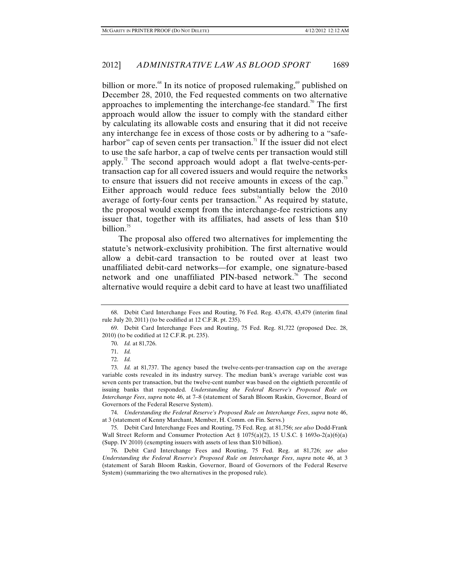billion or more.<sup>68</sup> In its notice of proposed rulemaking,<sup>69</sup> published on December 28, 2010, the Fed requested comments on two alternative approaches to implementing the interchange-fee standard.<sup>70</sup> The first approach would allow the issuer to comply with the standard either by calculating its allowable costs and ensuring that it did not receive any interchange fee in excess of those costs or by adhering to a "safeharbor" cap of seven cents per transaction.<sup>71</sup> If the issuer did not elect to use the safe harbor, a cap of twelve cents per transaction would still apply.<sup>72</sup> The second approach would adopt a flat twelve-cents-pertransaction cap for all covered issuers and would require the networks to ensure that issuers did not receive amounts in excess of the cap.<sup>73</sup> Either approach would reduce fees substantially below the 2010 average of forty-four cents per transaction.<sup>74</sup> As required by statute, the proposal would exempt from the interchange-fee restrictions any issuer that, together with its affiliates, had assets of less than \$10 billion. $75$ 

The proposal also offered two alternatives for implementing the statute's network-exclusivity prohibition. The first alternative would allow a debit-card transaction to be routed over at least two unaffiliated debit-card networks—for example, one signature-based network and one unaffiliated PIN-based network.<sup>76</sup> The second alternative would require a debit card to have at least two unaffiliated

 74. *Understanding the Federal Reserve's Proposed Rule on Interchange Fees*, *supra* note 46, at 3 (statement of Kenny Marchant, Member, H. Comm. on Fin. Servs.)

 75. Debit Card Interchange Fees and Routing, 75 Fed. Reg. at 81,756; *see also* Dodd-Frank Wall Street Reform and Consumer Protection Act § 1075(a)(2), 15 U.S.C. § 1693o-2(a)(6)(a) (Supp. IV 2010) (exempting issuers with assets of less than \$10 billion).

 76. Debit Card Interchange Fees and Routing, 75 Fed. Reg. at 81,726; *see also Understanding the Federal Reserve's Proposed Rule on Interchange Fees*, *supra* note 46, at 3 (statement of Sarah Bloom Raskin, Governor, Board of Governors of the Federal Reserve System) (summarizing the two alternatives in the proposed rule).

 <sup>68.</sup> Debit Card Interchange Fees and Routing, 76 Fed. Reg. 43,478, 43,479 (interim final rule July 20, 2011) (to be codified at 12 C.F.R. pt. 235).

 <sup>69.</sup> Debit Card Interchange Fees and Routing, 75 Fed. Reg. 81,722 (proposed Dec. 28, 2010) (to be codified at 12 C.F.R. pt. 235).

 <sup>70.</sup> *Id.* at 81,726.

 <sup>71.</sup> *Id.*

 <sup>72.</sup> *Id.*

 <sup>73.</sup> *Id.* at 81,737. The agency based the twelve-cents-per-transaction cap on the average variable costs revealed in its industry survey. The median bank's average variable cost was seven cents per transaction, but the twelve-cent number was based on the eightieth percentile of issuing banks that responded. *Understanding the Federal Reserve's Proposed Rule on Interchange Fees*, *supra* note 46, at 7–8 (statement of Sarah Bloom Raskin, Governor, Board of Governors of the Federal Reserve System).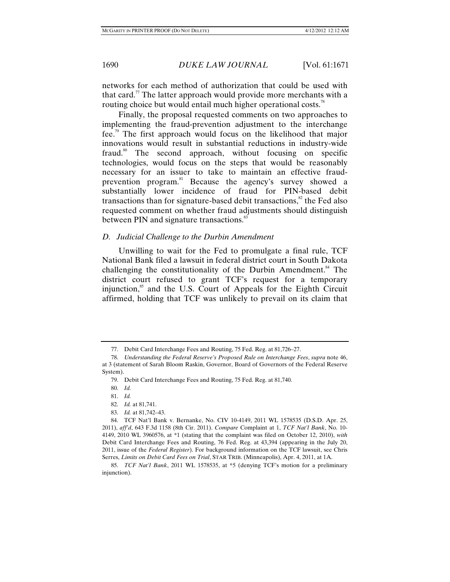networks for each method of authorization that could be used with that card.<sup>77</sup> The latter approach would provide more merchants with a routing choice but would entail much higher operational costs.<sup>78</sup>

Finally, the proposal requested comments on two approaches to implementing the fraud-prevention adjustment to the interchange fee.<sup>79</sup> The first approach would focus on the likelihood that major innovations would result in substantial reductions in industry-wide fraud.<sup>80</sup> The second approach, without focusing on specific technologies, would focus on the steps that would be reasonably necessary for an issuer to take to maintain an effective fraudprevention program.<sup>81</sup> Because the agency's survey showed a substantially lower incidence of fraud for PIN-based debit transactions than for signature-based debit transactions, $\frac{82}{3}$  the Fed also requested comment on whether fraud adjustments should distinguish between PIN and signature transactions.<sup>83</sup>

## *D. Judicial Challenge to the Durbin Amendment*

Unwilling to wait for the Fed to promulgate a final rule, TCF National Bank filed a lawsuit in federal district court in South Dakota challenging the constitutionality of the Durbin Amendment.<sup>84</sup> The district court refused to grant TCF's request for a temporary injunction,<sup>85</sup> and the U.S. Court of Appeals for the Eighth Circuit affirmed, holding that TCF was unlikely to prevail on its claim that

 <sup>77.</sup> Debit Card Interchange Fees and Routing, 75 Fed. Reg. at 81,726–27.

 <sup>78.</sup> *Understanding the Federal Reserve's Proposed Rule on Interchange Fees*, *supra* note 46, at 3 (statement of Sarah Bloom Raskin, Governor, Board of Governors of the Federal Reserve System).

 <sup>79.</sup> Debit Card Interchange Fees and Routing, 75 Fed. Reg. at 81,740.

 <sup>80.</sup> *Id.*

 <sup>81.</sup> *Id.*

 <sup>82.</sup> *Id.* at 81,741.

 <sup>83.</sup> *Id.* at 81,742–43.

 <sup>84.</sup> TCF Nat'l Bank v. Bernanke, No. CIV 10-4149, 2011 WL 1578535 (D.S.D. Apr. 25, 2011), *aff'd*, 643 F.3d 1158 (8th Cir. 2011). *Compare* Complaint at 1, *TCF Nat'l Bank*, No. 10- 4149, 2010 WL 3960576, at \*1 (stating that the complaint was filed on October 12, 2010), *with* Debit Card Interchange Fees and Routing, 76 Fed. Reg. at 43,394 (appearing in the July 20, 2011, issue of the *Federal Register*). For background information on the TCF lawsuit, see Chris Serres, *Limits on Debit Card Fees on Trial*, STAR TRIB. (Minneapolis), Apr. 4, 2011, at 1A.

 <sup>85.</sup> *TCF Nat'l Bank*, 2011 WL 1578535, at \*5 (denying TCF's motion for a preliminary injunction).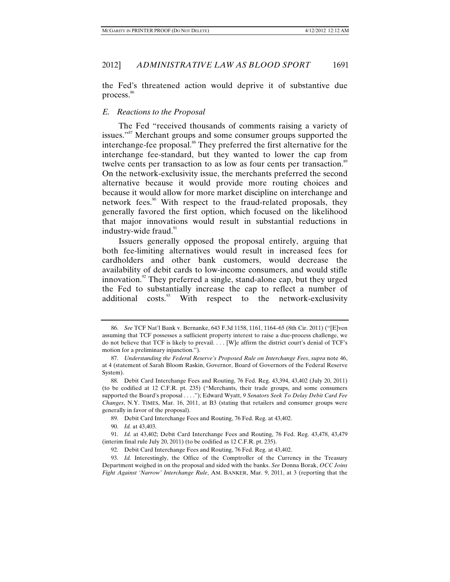the Fed's threatened action would deprive it of substantive due process.<sup>86</sup>

#### *E. Reactions to the Proposal*

The Fed "received thousands of comments raising a variety of issues."<sup>87</sup> Merchant groups and some consumer groups supported the interchange-fee proposal.<sup>88</sup> They preferred the first alternative for the interchange fee-standard, but they wanted to lower the cap from twelve cents per transaction to as low as four cents per transaction.<sup>89</sup> On the network-exclusivity issue, the merchants preferred the second alternative because it would provide more routing choices and because it would allow for more market discipline on interchange and network fees.<sup>90</sup> With respect to the fraud-related proposals, they generally favored the first option, which focused on the likelihood that major innovations would result in substantial reductions in industry-wide fraud.<sup>91</sup>

Issuers generally opposed the proposal entirely, arguing that both fee-limiting alternatives would result in increased fees for cardholders and other bank customers, would decrease the availability of debit cards to low-income consumers, and would stifle innovation.<sup>92</sup> They preferred a single, stand-alone cap, but they urged the Fed to substantially increase the cap to reflect a number of additional costs. $93$  With respect to the network-exclusivity

90. *Id.* at 43,403.

 <sup>86.</sup> *See* TCF Nat'l Bank v. Bernanke, 643 F.3d 1158, 1161, 1164–65 (8th Cir. 2011) ("[E]ven assuming that TCF possesses a sufficient property interest to raise a due-process challenge, we do not believe that TCF is likely to prevail. . . . [W]e affirm the district court's denial of TCF's motion for a preliminary injunction.").

 <sup>87.</sup> *Understanding the Federal Reserve's Proposed Rule on Interchange Fees*, *supra* note 46, at 4 (statement of Sarah Bloom Raskin, Governor, Board of Governors of the Federal Reserve System).

 <sup>88.</sup> Debit Card Interchange Fees and Routing, 76 Fed. Reg. 43,394, 43,402 (July 20, 2011) (to be codified at 12 C.F.R. pt. 235) ("Merchants, their trade groups, and some consumers supported the Board's proposal . . . ."); Edward Wyatt, *9 Senators Seek To Delay Debit Card Fee Changes*, N.Y. TIMES, Mar. 16, 2011, at B3 (stating that retailers and consumer groups were generally in favor of the proposal).

 <sup>89.</sup> Debit Card Interchange Fees and Routing, 76 Fed. Reg. at 43,402.

 <sup>91.</sup> *Id.* at 43,402; Debit Card Interchange Fees and Routing, 76 Fed. Reg. 43,478, 43,479 (interim final rule July 20, 2011) (to be codified as 12 C.F.R. pt. 235).

 <sup>92.</sup> Debit Card Interchange Fees and Routing, 76 Fed. Reg. at 43,402.

 <sup>93.</sup> *Id.* Interestingly, the Office of the Comptroller of the Currency in the Treasury Department weighed in on the proposal and sided with the banks. *See* Donna Borak, *OCC Joins Fight Against 'Narrow' Interchange Rule*, AM. BANKER, Mar. 9, 2011, at 3 (reporting that the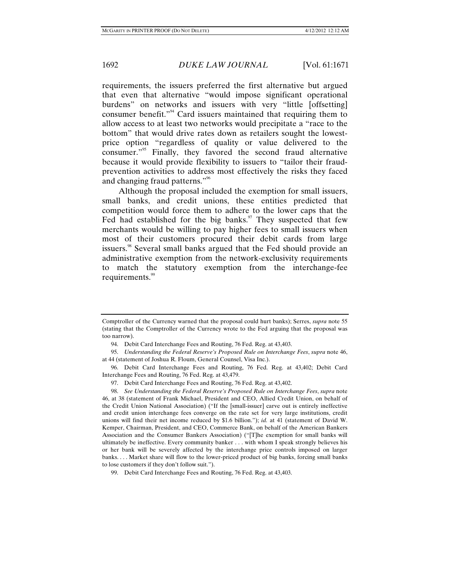requirements, the issuers preferred the first alternative but argued that even that alternative "would impose significant operational burdens" on networks and issuers with very "little [offsetting] consumer benefit."<sup>94</sup> Card issuers maintained that requiring them to allow access to at least two networks would precipitate a "race to the bottom" that would drive rates down as retailers sought the lowestprice option "regardless of quality or value delivered to the consumer."95 Finally, they favored the second fraud alternative because it would provide flexibility to issuers to "tailor their fraudprevention activities to address most effectively the risks they faced and changing fraud patterns."96

Although the proposal included the exemption for small issuers, small banks, and credit unions, these entities predicted that competition would force them to adhere to the lower caps that the Fed had established for the big banks. $\frac{97}{10}$  They suspected that few merchants would be willing to pay higher fees to small issuers when most of their customers procured their debit cards from large issuers.<sup>98</sup> Several small banks argued that the Fed should provide an administrative exemption from the network-exclusivity requirements to match the statutory exemption from the interchange-fee requirements.<sup>99</sup>

Comptroller of the Currency warned that the proposal could hurt banks); Serres, *supra* note 55 (stating that the Comptroller of the Currency wrote to the Fed arguing that the proposal was too narrow).

 <sup>94.</sup> Debit Card Interchange Fees and Routing, 76 Fed. Reg. at 43,403.

 <sup>95.</sup> *Understanding the Federal Reserve's Proposed Rule on Interchange Fees*, *supra* note 46, at 44 (statement of Joshua R. Floum, General Counsel, Visa Inc.).

 <sup>96.</sup> Debit Card Interchange Fees and Routing, 76 Fed. Reg. at 43,402; Debit Card Interchange Fees and Routing, 76 Fed. Reg. at 43,479.

 <sup>97.</sup> Debit Card Interchange Fees and Routing, 76 Fed. Reg. at 43,402.

 <sup>98.</sup> *See Understanding the Federal Reserve's Proposed Rule on Interchange Fees*, *supra* note 46, at 38 (statement of Frank Michael, President and CEO, Allied Credit Union, on behalf of the Credit Union National Association) ("If the [small-issuer] carve out is entirely ineffective and credit union interchange fees converge on the rate set for very large institutions, credit unions will find their net income reduced by \$1.6 billion."); *id.* at 41 (statement of David W. Kemper, Chairman, President, and CEO, Commerce Bank, on behalf of the American Bankers Association and the Consumer Bankers Association) ("[T]he exemption for small banks will ultimately be ineffective. Every community banker . . . with whom I speak strongly believes his or her bank will be severely affected by the interchange price controls imposed on larger banks. . . . Market share will flow to the lower-priced product of big banks, forcing small banks to lose customers if they don't follow suit.").

 <sup>99.</sup> Debit Card Interchange Fees and Routing, 76 Fed. Reg. at 43,403.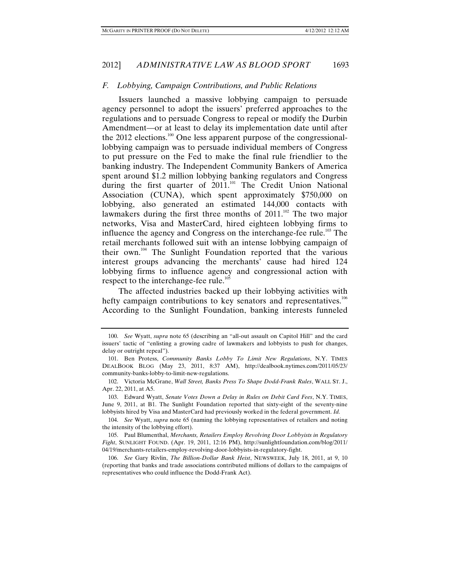## *F. Lobbying, Campaign Contributions, and Public Relations*

Issuers launched a massive lobbying campaign to persuade agency personnel to adopt the issuers' preferred approaches to the regulations and to persuade Congress to repeal or modify the Durbin Amendment—or at least to delay its implementation date until after the  $2012$  elections.<sup>100</sup> One less apparent purpose of the congressionallobbying campaign was to persuade individual members of Congress to put pressure on the Fed to make the final rule friendlier to the banking industry. The Independent Community Bankers of America spent around \$1.2 million lobbying banking regulators and Congress during the first quarter of 2011.<sup>101</sup> The Credit Union National Association (CUNA), which spent approximately \$750,000 on lobbying, also generated an estimated 144,000 contacts with lawmakers during the first three months of  $2011$ .<sup>102</sup> The two major networks, Visa and MasterCard, hired eighteen lobbying firms to influence the agency and Congress on the interchange-fee rule.<sup>103</sup> The retail merchants followed suit with an intense lobbying campaign of their own.104 The Sunlight Foundation reported that the various interest groups advancing the merchants' cause had hired 124 lobbying firms to influence agency and congressional action with respect to the interchange-fee rule.<sup>105</sup>

The affected industries backed up their lobbying activities with hefty campaign contributions to key senators and representatives.<sup>106</sup> According to the Sunlight Foundation, banking interests funneled

 <sup>100.</sup> *See* Wyatt, *supra* note 65 (describing an "all-out assault on Capitol Hill" and the card issuers' tactic of "enlisting a growing cadre of lawmakers and lobbyists to push for changes, delay or outright repeal").

 <sup>101.</sup> Ben Protess, *Community Banks Lobby To Limit New Regulations*, N.Y. TIMES DEALBOOK BLOG (May 23, 2011, 8:37 AM), http://dealbook.nytimes.com/2011/05/23/ community-banks-lobby-to-limit-new-regulations.

 <sup>102.</sup> Victoria McGrane, *Wall Street, Banks Press To Shape Dodd-Frank Rules*, WALL ST. J., Apr. 22, 2011, at A5.

 <sup>103.</sup> Edward Wyatt, *Senate Votes Down a Delay in Rules on Debit Card Fees*, N.Y. TIMES, June 9, 2011, at B1. The Sunlight Foundation reported that sixty-eight of the seventy-nine lobbyists hired by Visa and MasterCard had previously worked in the federal government. *Id.*

 <sup>104.</sup> *See* Wyatt, *supra* note 65 (naming the lobbying representatives of retailers and noting the intensity of the lobbying effort).

 <sup>105.</sup> Paul Blumenthal, *Merchants, Retailers Employ Revolving Door Lobbyists in Regulatory Fight*, SUNLIGHT FOUND. (Apr. 19, 2011, 12:16 PM), http://sunlightfoundation.com/blog/2011/ 04/19/merchants-retailers-employ-revolving-door-lobbyists-in-regulatory-fight.

 <sup>106.</sup> *See* Gary Rivlin, *The Billion-Dollar Bank Heist*, NEWSWEEK, July 18, 2011, at 9, 10 (reporting that banks and trade associations contributed millions of dollars to the campaigns of representatives who could influence the Dodd-Frank Act).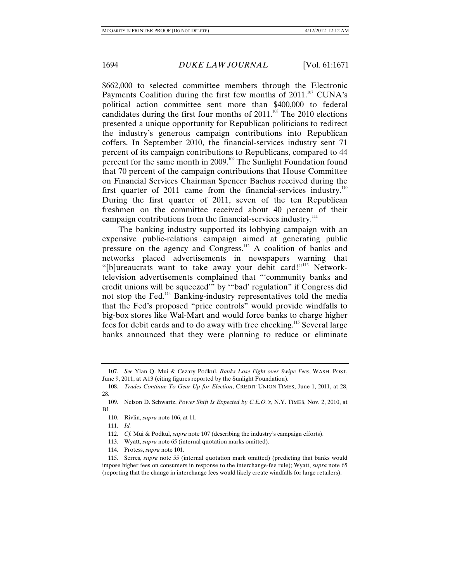\$662,000 to selected committee members through the Electronic Payments Coalition during the first few months of  $2011$ <sup>107</sup> CUNA's political action committee sent more than \$400,000 to federal candidates during the first four months of  $2011$ .<sup>108</sup> The  $2010$  elections presented a unique opportunity for Republican politicians to redirect the industry's generous campaign contributions into Republican coffers. In September 2010, the financial-services industry sent 71 percent of its campaign contributions to Republicans, compared to 44 percent for the same month in 2009.<sup>109</sup> The Sunlight Foundation found that 70 percent of the campaign contributions that House Committee on Financial Services Chairman Spencer Bachus received during the first quarter of 2011 came from the financial-services industry.<sup>110</sup> During the first quarter of 2011, seven of the ten Republican freshmen on the committee received about 40 percent of their campaign contributions from the financial-services industry.<sup>111</sup>

The banking industry supported its lobbying campaign with an expensive public-relations campaign aimed at generating public pressure on the agency and Congress.112 A coalition of banks and networks placed advertisements in newspapers warning that "[b]ureaucrats want to take away your debit card!"<sup>113</sup> Networktelevision advertisements complained that "'community banks and credit unions will be squeezed'" by '"bad' regulation" if Congress did not stop the Fed.114 Banking-industry representatives told the media that the Fed's proposed "price controls" would provide windfalls to big-box stores like Wal-Mart and would force banks to charge higher fees for debit cards and to do away with free checking.115 Several large banks announced that they were planning to reduce or eliminate

 <sup>107.</sup> *See* Ylan Q. Mui & Cezary Podkul, *Banks Lose Fight over Swipe Fees*, WASH. POST, June 9, 2011, at A13 (citing figures reported by the Sunlight Foundation).

 <sup>108.</sup> *Trades Continue To Gear Up for Election*, CREDIT UNION TIMES, June 1, 2011, at 28, 28.

 <sup>109.</sup> Nelson D. Schwartz, *Power Shift Is Expected by C.E.O.'s*, N.Y. TIMES, Nov. 2, 2010, at B1.

 <sup>110.</sup> Rivlin, *supra* note 106, at 11.

 <sup>111.</sup> *Id.*

 <sup>112.</sup> *Cf.* Mui & Podkul, *supra* note 107 (describing the industry's campaign efforts).

 <sup>113.</sup> Wyatt, *supra* note 65 (internal quotation marks omitted).

 <sup>114.</sup> Protess, *supra* note 101.

 <sup>115.</sup> Serres, *supra* note 55 (internal quotation mark omitted) (predicting that banks would impose higher fees on consumers in response to the interchange-fee rule); Wyatt, *supra* note 65 (reporting that the change in interchange fees would likely create windfalls for large retailers).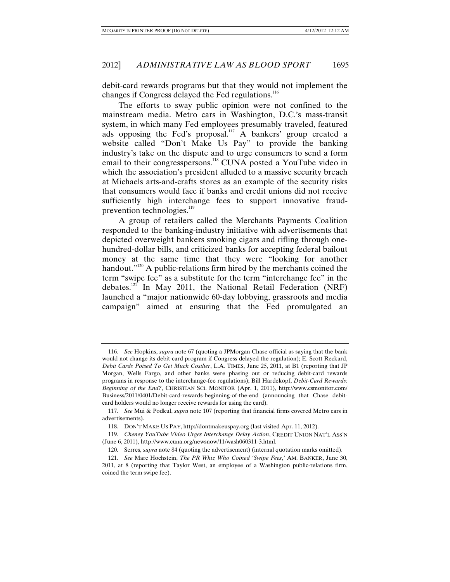debit-card rewards programs but that they would not implement the changes if Congress delayed the Fed regulations.<sup>116</sup>

The efforts to sway public opinion were not confined to the mainstream media. Metro cars in Washington, D.C.'s mass-transit system, in which many Fed employees presumably traveled, featured ads opposing the Fed's proposal.<sup>117</sup> A bankers' group created a website called "Don't Make Us Pay" to provide the banking industry's take on the dispute and to urge consumers to send a form email to their congresspersons.<sup>118</sup> CUNA posted a YouTube video in which the association's president alluded to a massive security breach at Michaels arts-and-crafts stores as an example of the security risks that consumers would face if banks and credit unions did not receive sufficiently high interchange fees to support innovative fraudprevention technologies.<sup>119</sup>

A group of retailers called the Merchants Payments Coalition responded to the banking-industry initiative with advertisements that depicted overweight bankers smoking cigars and rifling through onehundred-dollar bills, and criticized banks for accepting federal bailout money at the same time that they were "looking for another handout."<sup>120</sup> A public-relations firm hired by the merchants coined the term "swipe fee" as a substitute for the term "interchange fee" in the debates.<sup>121</sup> In May 2011, the National Retail Federation (NRF) launched a "major nationwide 60-day lobbying, grassroots and media campaign" aimed at ensuring that the Fed promulgated an

 <sup>116.</sup> *See* Hopkins, *supra* note 67 (quoting a JPMorgan Chase official as saying that the bank would not change its debit-card program if Congress delayed the regulation); E. Scott Reckard, *Debit Cards Poised To Get Much Costlier*, L.A. TIMES, June 25, 2011, at B1 (reporting that JP Morgan, Wells Fargo, and other banks were phasing out or reducing debit-card rewards programs in response to the interchange-fee regulations); Bill Hardekopf, *Debit-Card Rewards: Beginning of the End?*, CHRISTIAN SCI. MONITOR (Apr. 1, 2011), http://www.csmonitor.com/ Business/2011/0401/Debit-card-rewards-beginning-of-the-end (announcing that Chase debitcard holders would no longer receive rewards for using the card).

 <sup>117.</sup> *See* Mui & Podkul, *supra* note 107 (reporting that financial firms covered Metro cars in advertisements).

 <sup>118.</sup> DON'T MAKE US PAY, http://dontmakeuspay.org (last visited Apr. 11, 2012).

 <sup>119.</sup> *Cheney YouTube Video Urges Interchange Delay Action*, CREDIT UNION NAT'L ASS'N (June 6, 2011), http://www.cuna.org/newsnow/11/wash060311-3.html.

 <sup>120.</sup> Serres, *supra* note 84 (quoting the advertisement) (internal quotation marks omitted).

 <sup>121.</sup> *See* Marc Hochstein, *The PR Whiz Who Coined 'Swipe Fees*,*'* AM. BANKER, June 30, 2011, at 8 (reporting that Taylor West, an employee of a Washington public-relations firm, coined the term swipe fee).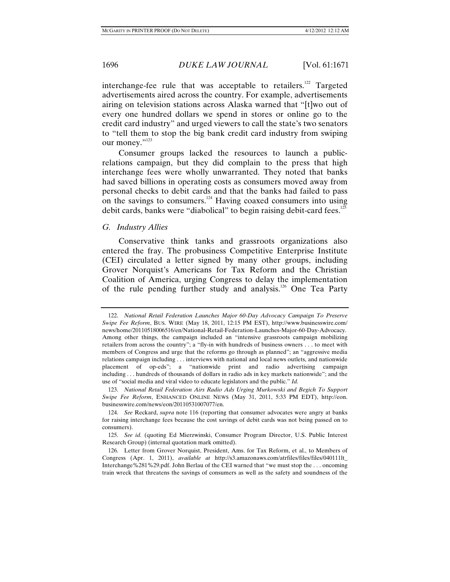interchange-fee rule that was acceptable to retailers.<sup>122</sup> Targeted advertisements aired across the country. For example, advertisements airing on television stations across Alaska warned that "[t]wo out of every one hundred dollars we spend in stores or online go to the credit card industry" and urged viewers to call the state's two senators to "tell them to stop the big bank credit card industry from swiping our money."<sup>123</sup>

Consumer groups lacked the resources to launch a publicrelations campaign, but they did complain to the press that high interchange fees were wholly unwarranted. They noted that banks had saved billions in operating costs as consumers moved away from personal checks to debit cards and that the banks had failed to pass on the savings to consumers.124 Having coaxed consumers into using debit cards, banks were "diabolical" to begin raising debit-card fees.<sup>125</sup>

*G. Industry Allies* 

Conservative think tanks and grassroots organizations also entered the fray. The probusiness Competitive Enterprise Institute (CEI) circulated a letter signed by many other groups, including Grover Norquist's Americans for Tax Reform and the Christian Coalition of America, urging Congress to delay the implementation of the rule pending further study and analysis.<sup>126</sup> One Tea Party

 <sup>122.</sup> *National Retail Federation Launches Major 60-Day Advocacy Campaign To Preserve Swipe Fee Reform*, BUS. WIRE (May 18, 2011, 12:15 PM EST), http://www.businesswire.com/ news/home/20110518006516/en/National-Retail-Federation-Launches-Major-60-Day-Advocacy. Among other things, the campaign included an "intensive grassroots campaign mobilizing retailers from across the country"; a "fly-in with hundreds of business owners . . . to meet with members of Congress and urge that the reforms go through as planned"; an "aggressive media relations campaign including . . . interviews with national and local news outlets, and nationwide placement of op-eds"; a "nationwide print and radio advertising campaign including . . . hundreds of thousands of dollars in radio ads in key markets nationwide"; and the use of "social media and viral video to educate legislators and the public." *Id.*

 <sup>123.</sup> *National Retail Federation Airs Radio Ads Urging Murkowski and Begich To Support Swipe Fee Reform*, ENHANCED ONLINE NEWS (May 31, 2011, 5:33 PM EDT), http://eon. businesswire.com/news/eon/20110531007077/en.

 <sup>124.</sup> *See* Reckard, *supra* note 116 (reporting that consumer advocates were angry at banks for raising interchange fees because the cost savings of debit cards was not being passed on to consumers).

 <sup>125.</sup> *See id.* (quoting Ed Mierzwinski, Consumer Program Director, U.S. Public Interest Research Group) (internal quotation mark omitted).

 <sup>126.</sup> Letter from Grover Norquist, President, Ams. for Tax Reform, et al., to Members of Congress (Apr. 1, 2011), *available at* http://s3.amazonaws.com/atrfiles/files/files/040111lt\_ Interchange%281%29.pdf. John Berlau of the CEI warned that "we must stop the . . . oncoming train wreck that threatens the savings of consumers as well as the safety and soundness of the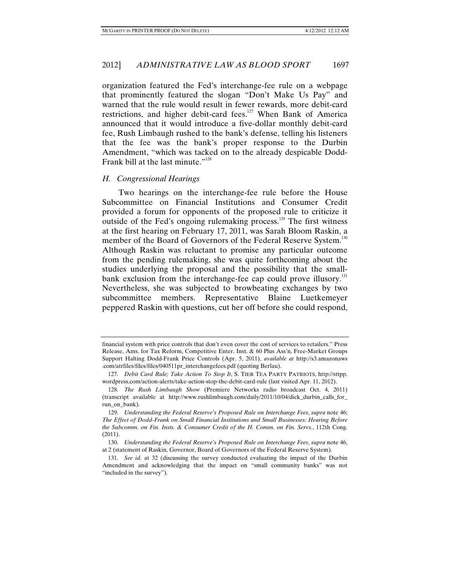organization featured the Fed's interchange-fee rule on a webpage that prominently featured the slogan "Don't Make Us Pay" and warned that the rule would result in fewer rewards, more debit-card restrictions, and higher debit-card fees.<sup>127</sup> When Bank of America announced that it would introduce a five-dollar monthly debit-card fee, Rush Limbaugh rushed to the bank's defense, telling his listeners that the fee was the bank's proper response to the Durbin Amendment, "which was tacked on to the already despicable Dodd-Frank bill at the last minute."<sup>128</sup>

#### *H. Congressional Hearings*

Two hearings on the interchange-fee rule before the House Subcommittee on Financial Institutions and Consumer Credit provided a forum for opponents of the proposed rule to criticize it outside of the Fed's ongoing rulemaking process.<sup>129</sup> The first witness at the first hearing on February 17, 2011, was Sarah Bloom Raskin, a member of the Board of Governors of the Federal Reserve System.<sup>130</sup> Although Raskin was reluctant to promise any particular outcome from the pending rulemaking, she was quite forthcoming about the studies underlying the proposal and the possibility that the smallbank exclusion from the interchange-fee cap could prove illusory.<sup>131</sup> Nevertheless, she was subjected to browbeating exchanges by two subcommittee members. Representative Blaine Luetkemeyer peppered Raskin with questions, cut her off before she could respond,

financial system with price controls that don't even cover the cost of services to retailers." Press Release, Ams. for Tax Reform, Competitive Enter. Inst. & 60 Plus Ass'n, Free-Market Groups Support Halting Dodd-Frank Price Controls (Apr. 5, 2011), *available at* http://s3.amazonaws .com/atrfiles/files/files/040511pr\_interchangefees.pdf (quoting Berlau).

 <sup>127.</sup> *Debit Card Rule; Take Action To Stop It*, S. TIER TEA PARTY PATRIOTS, http://sttpp. wordpress.com/action-alerts/take-action-stop-the-debit-card-rule (last visited Apr. 11, 2012).

 <sup>128.</sup> *The Rush Limbaugh Show* (Premiere Networks radio broadcast Oct. 4, 2011) (transcript available at http://www.rushlimbaugh.com/daily/2011/10/04/dick\_durbin\_calls\_for\_ run\_on\_bank).

 <sup>129.</sup> *Understanding the Federal Reserve's Proposed Rule on Interchange Fees*, *supra* note 46; *The Effect of Dodd-Frank on Small Financial Institutions and Small Businesses: Hearing Before the Subcomm. on Fin. Insts. & Consumer Credit of the H. Comm. on Fin. Servs.*, 112th Cong. (2011).

 <sup>130.</sup> *Understanding the Federal Reserve's Proposed Rule on Interchange Fees*, *supra* note 46, at 2 (statement of Raskin, Governor, Board of Governors of the Federal Reserve System).

 <sup>131.</sup> *See id.* at 32 (discussing the survey conducted evaluating the impact of the Durbin Amendment and acknowledging that the impact on "small community banks" was not "included in the survey").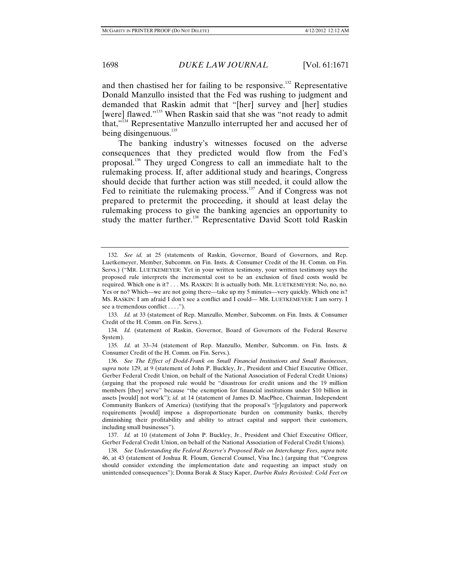and then chastised her for failing to be responsive.<sup>132</sup> Representative Donald Manzullo insisted that the Fed was rushing to judgment and demanded that Raskin admit that "[her] survey and [her] studies [were] flawed."<sup>133</sup> When Raskin said that she was "not ready to admit that,"134 Representative Manzullo interrupted her and accused her of being disingenuous.<sup>135</sup>

The banking industry's witnesses focused on the adverse consequences that they predicted would flow from the Fed's proposal.136 They urged Congress to call an immediate halt to the rulemaking process. If, after additional study and hearings, Congress should decide that further action was still needed, it could allow the Fed to reinitiate the rulemaking process.<sup>137</sup> And if Congress was not prepared to pretermit the proceeding, it should at least delay the rulemaking process to give the banking agencies an opportunity to study the matter further.<sup>138</sup> Representative David Scott told Raskin

 134. *Id.* (statement of Raskin, Governor, Board of Governors of the Federal Reserve System).

 135. *Id.* at 33–34 (statement of Rep. Manzullo, Member, Subcomm. on Fin. Insts. & Consumer Credit of the H. Comm. on Fin. Servs.).

 137. *Id.* at 10 (statement of John P. Buckley, Jr., President and Chief Executive Officer, Gerber Federal Credit Union, on behalf of the National Association of Federal Credit Unions).

 138. *See Understanding the Federal Reserve's Proposed Rule on Interchange Fees*, *supra* note 46, at 43 (statement of Joshua R. Floum, General Counsel, Visa Inc.) (arguing that "Congress should consider extending the implementation date and requesting an impact study on unintended consequences"); Donna Borak & Stacy Kaper, *Durbin Rules Revisited: Cold Feet on* 

 <sup>132.</sup> *See id.* at 25 (statements of Raskin, Governor, Board of Governors, and Rep. Luetkemeyer, Member, Subcomm. on Fin. Insts. & Consumer Credit of the H. Comm. on Fin. Servs.) ("MR. LUETKEMEYER: Yet in your written testimony, your written testimony says the proposed rule interprets the incremental cost to be an exclusion of fixed costs would be required. Which one is it? . . . MS. RASKIN: It is actually both. MR. LUETKEMEYER: No, no, no. Yes or no? Which—we are not going there—take up my 5 minutes—very quickly. Which one is? MS. RASKIN: I am afraid I don't see a conflict and I could— MR. LUETKEMEYER: I am sorry. I see a tremendous conflict . . . .").

 <sup>133.</sup> *Id.* at 33 (statement of Rep. Manzullo, Member, Subcomm. on Fin. Insts. & Consumer Credit of the H. Comm. on Fin. Servs.).

 <sup>136.</sup> *See The Effect of Dodd-Frank on Small Financial Institutions and Small Businesses*, *supra* note 129, at 9 (statement of John P. Buckley, Jr., President and Chief Executive Officer, Gerber Federal Credit Union, on behalf of the National Association of Federal Credit Unions) (arguing that the proposed rule would be "disastrous for credit unions and the 19 million members [they] serve" because "the exemption for financial institutions under \$10 billion in assets [would] not work"); *id.* at 14 (statement of James D. MacPhee, Chairman, Independent Community Bankers of America) (testifying that the proposal's "[r]egulatory and paperwork requirements [would] impose a disproportionate burden on community banks, thereby diminishing their profitability and ability to attract capital and support their customers, including small businesses").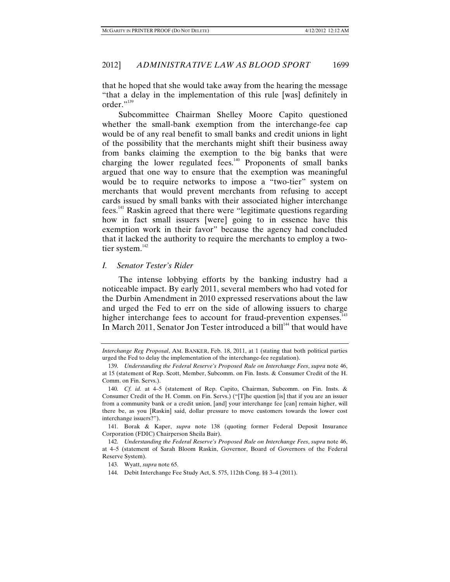that he hoped that she would take away from the hearing the message "that a delay in the implementation of this rule [was] definitely in order."<sup>139</sup>

Subcommittee Chairman Shelley Moore Capito questioned whether the small-bank exemption from the interchange-fee cap would be of any real benefit to small banks and credit unions in light of the possibility that the merchants might shift their business away from banks claiming the exemption to the big banks that were charging the lower regulated fees.<sup>140</sup> Proponents of small banks argued that one way to ensure that the exemption was meaningful would be to require networks to impose a "two-tier" system on merchants that would prevent merchants from refusing to accept cards issued by small banks with their associated higher interchange fees.141 Raskin agreed that there were "legitimate questions regarding how in fact small issuers [were] going to in essence have this exemption work in their favor" because the agency had concluded that it lacked the authority to require the merchants to employ a twotier system.<sup>142</sup>

#### *I. Senator Tester's Rider*

The intense lobbying efforts by the banking industry had a noticeable impact. By early 2011, several members who had voted for the Durbin Amendment in 2010 expressed reservations about the law and urged the Fed to err on the side of allowing issuers to charge higher interchange fees to account for fraud-prevention expenses.<sup>143</sup> In March 2011, Senator Jon Tester introduced a bill<sup>144</sup> that would have

*Interchange Reg Proposal*, AM. BANKER, Feb. 18, 2011, at 1 (stating that both political parties urged the Fed to delay the implementation of the interchange-fee regulation).

 <sup>139.</sup> *Understanding the Federal Reserve's Proposed Rule on Interchange Fees*, *supra* note 46, at 15 (statement of Rep. Scott, Member, Subcomm. on Fin. Insts. & Consumer Credit of the H. Comm. on Fin. Servs.).

 <sup>140.</sup> *Cf. id.* at 4–5 (statement of Rep. Capito, Chairman, Subcomm. on Fin. Insts. & Consumer Credit of the H. Comm. on Fin. Servs.) ("[T]he question [is] that if you are an issuer from a community bank or a credit union, [and] your interchange fee [can] remain higher, will there be, as you [Raskin] said, dollar pressure to move customers towards the lower cost interchange issuers?").

 <sup>141.</sup> Borak & Kaper, *supra* note 138 (quoting former Federal Deposit Insurance Corporation (FDIC) Chairperson Sheila Bair).

 <sup>142.</sup> *Understanding the Federal Reserve's Proposed Rule on Interchange Fees*, *supra* note 46, at 4–5 (statement of Sarah Bloom Raskin, Governor, Board of Governors of the Federal Reserve System).

 <sup>143.</sup> Wyatt, *supra* note 65.

 <sup>144.</sup> Debit Interchange Fee Study Act, S. 575, 112th Cong. §§ 3–4 (2011).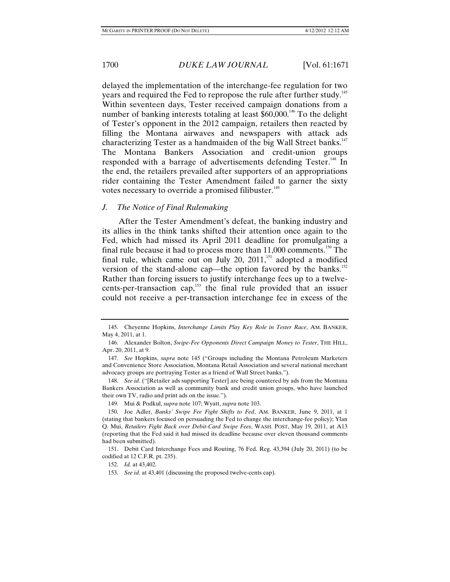delayed the implementation of the interchange-fee regulation for two years and required the Fed to repropose the rule after further study.<sup>145</sup> Within seventeen days, Tester received campaign donations from a number of banking interests totaling at least  $$60,000$ .<sup>146</sup> To the delight of Tester's opponent in the 2012 campaign, retailers then reacted by filling the Montana airwaves and newspapers with attack ads characterizing Tester as a handmaiden of the big Wall Street banks.<sup>147</sup> The Montana Bankers Association and credit-union groups responded with a barrage of advertisements defending Tester.<sup>148</sup> In the end, the retailers prevailed after supporters of an appropriations rider containing the Tester Amendment failed to garner the sixty votes necessary to override a promised filibuster.<sup>149</sup>

#### *J. The Notice of Final Rulemaking*

After the Tester Amendment's defeat, the banking industry and its allies in the think tanks shifted their attention once again to the Fed, which had missed its April 2011 deadline for promulgating a final rule because it had to process more than  $11,000$  comments.<sup>150</sup> The final rule, which came out on July 20,  $2011$ ,<sup>151</sup> adopted a modified version of the stand-alone cap—the option favored by the banks.<sup>152</sup> Rather than forcing issuers to justify interchange fees up to a twelvecents-per-transaction cap,<sup>153</sup> the final rule provided that an issuer could not receive a per-transaction interchange fee in excess of the

 <sup>145.</sup> Cheyenne Hopkins, *Interchange Limits Play Key Role in Tester Race*, AM. BANKER, May 4, 2011, at 1.

 <sup>146.</sup> Alexander Bolton, *Swipe-Fee Opponents Direct Campaign Money to Tester*, THE HILL, Apr. 20, 2011, at 9.

 <sup>147.</sup> *See* Hopkins, *supra* note 145 ("Groups including the Montana Petroleum Marketers and Convenience Store Association, Montana Retail Association and several national merchant advocacy groups are portraying Tester as a friend of Wall Street banks.").

 <sup>148.</sup> *See id*. ("[Retailer ads supporting Tester] are being countered by ads from the Montana Bankers Association as well as community bank and credit union groups, who have launched their own TV, radio and print ads on the issue.").

 <sup>149.</sup> Mui & Podkul, *supra* note 107; Wyatt, *supra* note 103.

 <sup>150.</sup> Joe Adler, *Banks' Swipe Fee Fight Shifts to Fed*, AM. BANKER, June 9, 2011, at 1 (stating that bankers focused on persuading the Fed to change the interchange-fee policy); Ylan Q. Mui, *Retailers Fight Back over Debit-Card Swipe Fees*, WASH. POST, May 19, 2011, at A13 (reporting that the Fed said it had missed its deadline because over eleven thousand comments had been submitted).

 <sup>151.</sup> Debit Card Interchange Fees and Routing, 76 Fed. Reg. 43,394 (July 20, 2011) (to be codified at 12 C.F.R. pt. 235).

 <sup>152.</sup> *Id.* at 43,402.

 <sup>153.</sup> *See id.* at 43,401 (discussing the proposed twelve-cents cap).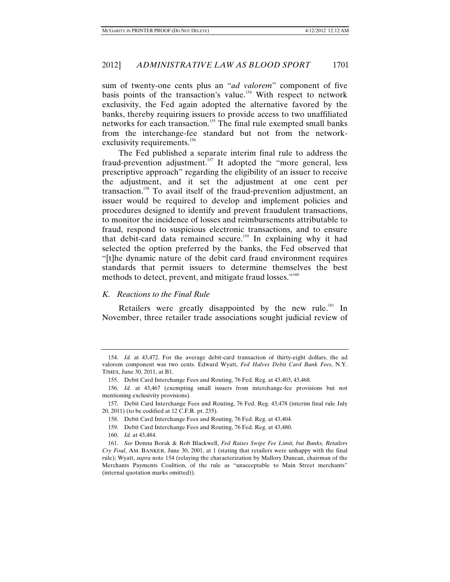sum of twenty-one cents plus an "*ad valorem*" component of five basis points of the transaction's value.<sup>154</sup> With respect to network exclusivity, the Fed again adopted the alternative favored by the banks, thereby requiring issuers to provide access to two unaffiliated networks for each transaction.155 The final rule exempted small banks from the interchange-fee standard but not from the networkexclusivity requirements.<sup>156</sup>

The Fed published a separate interim final rule to address the fraud-prevention adjustment.<sup>157</sup> It adopted the "more general, less prescriptive approach" regarding the eligibility of an issuer to receive the adjustment, and it set the adjustment at one cent per transaction.<sup>158</sup> To avail itself of the fraud-prevention adjustment, an issuer would be required to develop and implement policies and procedures designed to identify and prevent fraudulent transactions, to monitor the incidence of losses and reimbursements attributable to fraud, respond to suspicious electronic transactions, and to ensure that debit-card data remained secure.<sup>159</sup> In explaining why it had selected the option preferred by the banks, the Fed observed that "[t]he dynamic nature of the debit card fraud environment requires standards that permit issuers to determine themselves the best methods to detect, prevent, and mitigate fraud losses."<sup>160</sup>

## *K. Reactions to the Final Rule*

Retailers were greatly disappointed by the new rule.<sup>161</sup> In November, three retailer trade associations sought judicial review of

 <sup>154.</sup> *Id.* at 43,472. For the average debit-card transaction of thirty-eight dollars, the ad valorem component was two cents. Edward Wyatt, *Fed Halves Debit Card Bank Fees*, N.Y. TIMES, June 30, 2011, at B1.

 <sup>155.</sup> Debit Card Interchange Fees and Routing, 76 Fed. Reg. at 43,403, 43,468.

 <sup>156.</sup> *Id.* at 43,467 (exempting small issuers from interchange-fee provisions but not mentioning exclusivity provisions).

 <sup>157.</sup> Debit Card Interchange Fees and Routing, 76 Fed. Reg. 43,478 (interim final rule July 20, 2011) (to be codified at 12 C.F.R. pt. 235).

 <sup>158.</sup> Debit Card Interchange Fees and Routing, 76 Fed. Reg. at 43,404.

 <sup>159.</sup> Debit Card Interchange Fees and Routing, 76 Fed. Reg. at 43,480.

 <sup>160.</sup> *Id.* at 43,484.

 <sup>161.</sup> *See* Donna Borak & Rob Blackwell, *Fed Raises Swipe Fee Limit, but Banks, Retailers Cry Foul*, AM. BANKER, June 30, 2001, at 1 (stating that retailers were unhappy with the final rule); Wyatt, *supra* note 154 (relaying the characterization by Mallory Duncan, chairman of the Merchants Payments Coalition, of the rule as "unacceptable to Main Street merchants" (internal quotation marks omitted)).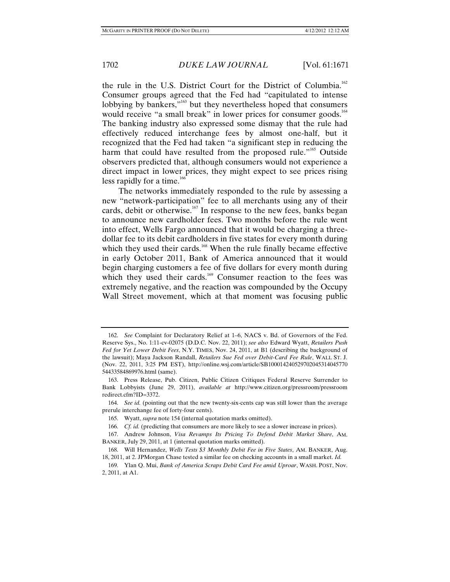the rule in the U.S. District Court for the District of Columbia.<sup>162</sup> Consumer groups agreed that the Fed had "capitulated to intense lobbying by bankers,"<sup>163</sup> but they nevertheless hoped that consumers would receive "a small break" in lower prices for consumer goods.<sup>164</sup> The banking industry also expressed some dismay that the rule had effectively reduced interchange fees by almost one-half, but it recognized that the Fed had taken "a significant step in reducing the harm that could have resulted from the proposed rule."<sup>165</sup> Outside observers predicted that, although consumers would not experience a direct impact in lower prices, they might expect to see prices rising less rapidly for a time.<sup>166</sup>

The networks immediately responded to the rule by assessing a new "network-participation" fee to all merchants using any of their cards, debit or otherwise.<sup>167</sup> In response to the new fees, banks began to announce new cardholder fees. Two months before the rule went into effect, Wells Fargo announced that it would be charging a threedollar fee to its debit cardholders in five states for every month during which they used their cards.<sup>168</sup> When the rule finally became effective in early October 2011, Bank of America announced that it would begin charging customers a fee of five dollars for every month during which they used their cards.<sup>169</sup> Consumer reaction to the fees was extremely negative, and the reaction was compounded by the Occupy Wall Street movement, which at that moment was focusing public

 <sup>162.</sup> *See* Complaint for Declaratory Relief at 1–6, NACS v. Bd. of Governors of the Fed. Reserve Sys., No. 1:11-cv-02075 (D.D.C. Nov. 22, 2011); *see also* Edward Wyatt, *Retailers Push Fed for Yet Lower Debit Fees*, N.Y. TIMES, Nov. 24, 2011, at B1 (describing the background of the lawsuit); Maya Jackson Randall, *Retailers Sue Fed over Debit-Card Fee Rule*, WALL ST. J. (Nov. 22, 2011, 3:25 PM EST), http://online.wsj.com/article/SB100014240529702045314045770 54433584869976.html (same).

 <sup>163.</sup> Press Release, Pub. Citizen, Public Citizen Critiques Federal Reserve Surrender to Bank Lobbyists (June 29, 2011), *available at* http://www.citizen.org/pressroom/pressroom redirect.cfm?ID=3372.

 <sup>164.</sup> *See id.* (pointing out that the new twenty-six-cents cap was still lower than the average prerule interchange fee of forty-four cents).

 <sup>165.</sup> Wyatt, *supra* note 154 (internal quotation marks omitted).

 <sup>166.</sup> *Cf. id.* (predicting that consumers are more likely to see a slower increase in prices).

 <sup>167.</sup> Andrew Johnson, *Visa Revamps Its Pricing To Defend Debit Market Share*, AM. BANKER, July 29, 2011, at 1 (internal quotation marks omitted).

 <sup>168.</sup> Will Hernandez, *Wells Tests \$3 Monthly Debit Fee in Five States*, AM. BANKER, Aug. 18, 2011, at 2. JPMorgan Chase tested a similar fee on checking accounts in a small market. *Id.*

 <sup>169.</sup> Ylan Q. Mui, *Bank of America Scraps Debit Card Fee amid Uproar*, WASH. POST, Nov. 2, 2011, at A1.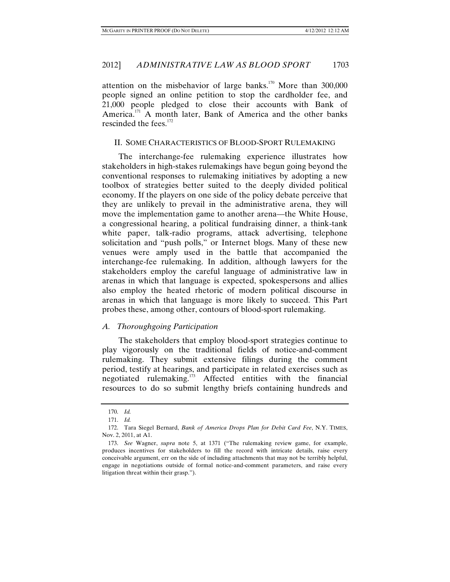attention on the misbehavior of large banks.<sup>170</sup> More than  $300,000$ people signed an online petition to stop the cardholder fee, and 21,000 people pledged to close their accounts with Bank of America.<sup>171</sup> A month later, Bank of America and the other banks rescinded the fees. $172$ 

## II. SOME CHARACTERISTICS OF BLOOD-SPORT RULEMAKING

The interchange-fee rulemaking experience illustrates how stakeholders in high-stakes rulemakings have begun going beyond the conventional responses to rulemaking initiatives by adopting a new toolbox of strategies better suited to the deeply divided political economy. If the players on one side of the policy debate perceive that they are unlikely to prevail in the administrative arena, they will move the implementation game to another arena—the White House, a congressional hearing, a political fundraising dinner, a think-tank white paper, talk-radio programs, attack advertising, telephone solicitation and "push polls," or Internet blogs. Many of these new venues were amply used in the battle that accompanied the interchange-fee rulemaking. In addition, although lawyers for the stakeholders employ the careful language of administrative law in arenas in which that language is expected, spokespersons and allies also employ the heated rhetoric of modern political discourse in arenas in which that language is more likely to succeed. This Part probes these, among other, contours of blood-sport rulemaking.

## *A. Thoroughgoing Participation*

The stakeholders that employ blood-sport strategies continue to play vigorously on the traditional fields of notice-and-comment rulemaking. They submit extensive filings during the comment period, testify at hearings, and participate in related exercises such as negotiated rulemaking.173 Affected entities with the financial resources to do so submit lengthy briefs containing hundreds and

 <sup>170.</sup> *Id.*

 <sup>171.</sup> *Id.*

 <sup>172.</sup> Tara Siegel Bernard, *Bank of America Drops Plan for Debit Card Fee*, N.Y. TIMES, Nov. 2, 2011, at A1.

 <sup>173.</sup> *See* Wagner, *supra* note 5, at 1371 ("The rulemaking review game, for example, produces incentives for stakeholders to fill the record with intricate details, raise every conceivable argument, err on the side of including attachments that may not be terribly helpful, engage in negotiations outside of formal notice-and-comment parameters, and raise every litigation threat within their grasp.").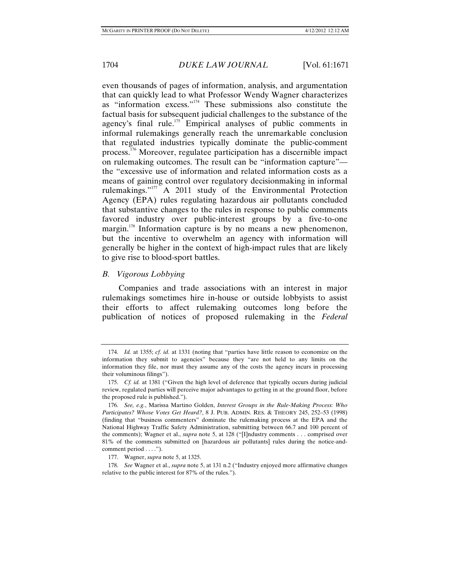even thousands of pages of information, analysis, and argumentation that can quickly lead to what Professor Wendy Wagner characterizes as "information excess."<sup>174</sup> These submissions also constitute the factual basis for subsequent judicial challenges to the substance of the agency's final rule.<sup>175</sup> Empirical analyses of public comments in informal rulemakings generally reach the unremarkable conclusion that regulated industries typically dominate the public-comment process.176 Moreover, regulatee participation has a discernible impact on rulemaking outcomes. The result can be "information capture" the "excessive use of information and related information costs as a means of gaining control over regulatory decisionmaking in informal rulemakings."177 A 2011 study of the Environmental Protection Agency (EPA) rules regulating hazardous air pollutants concluded that substantive changes to the rules in response to public comments favored industry over public-interest groups by a five-to-one margin.<sup>178</sup> Information capture is by no means a new phenomenon, but the incentive to overwhelm an agency with information will generally be higher in the context of high-impact rules that are likely to give rise to blood-sport battles.

## *B. Vigorous Lobbying*

Companies and trade associations with an interest in major rulemakings sometimes hire in-house or outside lobbyists to assist their efforts to affect rulemaking outcomes long before the publication of notices of proposed rulemaking in the *Federal* 

 <sup>174.</sup> *Id.* at 1355; *cf. id.* at 1331 (noting that "parties have little reason to economize on the information they submit to agencies" because they "are not held to any limits on the information they file, nor must they assume any of the costs the agency incurs in processing their voluminous filings").

 <sup>175.</sup> *Cf. id.* at 1381 ("Given the high level of deference that typically occurs during judicial review, regulated parties will perceive major advantages to getting in at the ground floor, before the proposed rule is published.").

 <sup>176.</sup> *See, e.g.*, Marissa Martino Golden, *Interest Groups in the Rule-Making Process: Who Participates? Whose Votes Get Heard?*, 8 J. PUB. ADMIN. RES. & THEORY 245, 252–53 (1998) (finding that "business commenters" dominate the rulemaking process at the EPA and the National Highway Traffic Safety Administration, submitting between 66.7 and 100 percent of the comments); Wagner et al., *supra* note 5, at 128 ("[I]ndustry comments . . . comprised over 81% of the comments submitted on [hazardous air pollutants] rules during the notice-andcomment period  $\dots$ ").

 <sup>177.</sup> Wagner, *supra* note 5, at 1325.

 <sup>178.</sup> *See* Wagner et al., *supra* note 5, at 131 n.2 ("Industry enjoyed more affirmative changes relative to the public interest for 87% of the rules.").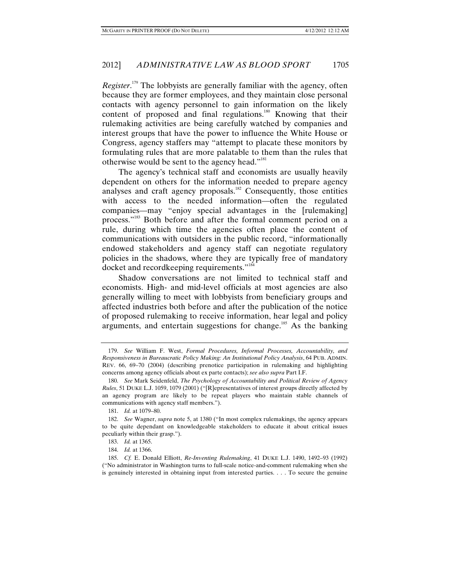*Register*. 179 The lobbyists are generally familiar with the agency, often because they are former employees, and they maintain close personal contacts with agency personnel to gain information on the likely content of proposed and final regulations.<sup>180</sup> Knowing that their rulemaking activities are being carefully watched by companies and interest groups that have the power to influence the White House or Congress, agency staffers may "attempt to placate these monitors by formulating rules that are more palatable to them than the rules that otherwise would be sent to the agency head."<sup>181</sup>

The agency's technical staff and economists are usually heavily dependent on others for the information needed to prepare agency analyses and craft agency proposals.<sup>182</sup> Consequently, those entities with access to the needed information—often the regulated companies—may "enjoy special advantages in the [rulemaking] process."183 Both before and after the formal comment period on a rule, during which time the agencies often place the content of communications with outsiders in the public record, "informationally endowed stakeholders and agency staff can negotiate regulatory policies in the shadows, where they are typically free of mandatory docket and recordkeeping requirements."<sup>184</sup>

Shadow conversations are not limited to technical staff and economists. High- and mid-level officials at most agencies are also generally willing to meet with lobbyists from beneficiary groups and affected industries both before and after the publication of the notice of proposed rulemaking to receive information, hear legal and policy arguments, and entertain suggestions for change.<sup>185</sup> As the banking

 <sup>179.</sup> *See* William F. West, *Formal Procedures, Informal Processes, Accountability, and Responsiveness in Bureaucratic Policy Making: An Institutional Policy Analysis*, 64 PUB. ADMIN. REV. 66, 69–70 (2004) (describing prenotice participation in rulemaking and highlighting concerns among agency officials about ex parte contacts); *see also supra* Part I.F.

 <sup>180.</sup> *See* Mark Seidenfeld, *The Psychology of Accountability and Political Review of Agency Rules*, 51 DUKE L.J. 1059, 1079 (2001) ("[R]epresentatives of interest groups directly affected by an agency program are likely to be repeat players who maintain stable channels of communications with agency staff members.").

 <sup>181.</sup> *Id.* at 1079–80.

 <sup>182.</sup> *See* Wagner, *supra* note 5, at 1380 ("In most complex rulemakings, the agency appears to be quite dependant on knowledgeable stakeholders to educate it about critical issues peculiarly within their grasp.").

 <sup>183.</sup> *Id.* at 1365.

 <sup>184.</sup> *Id.* at 1366.

 <sup>185.</sup> *Cf.* E. Donald Elliott, *Re-Inventing Rulemaking*, 41 DUKE L.J. 1490, 1492–93 (1992) ("No administrator in Washington turns to full-scale notice-and-comment rulemaking when she is genuinely interested in obtaining input from interested parties. . . . To secure the genuine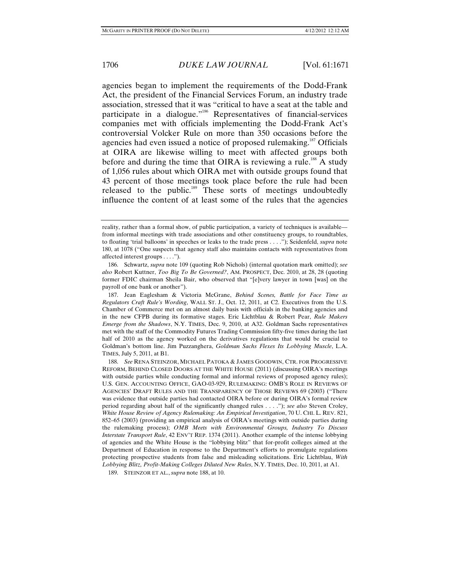agencies began to implement the requirements of the Dodd-Frank Act, the president of the Financial Services Forum, an industry trade association, stressed that it was "critical to have a seat at the table and participate in a dialogue."186 Representatives of financial-services companies met with officials implementing the Dodd-Frank Act's controversial Volcker Rule on more than 350 occasions before the agencies had even issued a notice of proposed rulemaking.<sup>187</sup> Officials at OIRA are likewise willing to meet with affected groups both before and during the time that OIRA is reviewing a rule.<sup>188</sup> A study of 1,056 rules about which OIRA met with outside groups found that 43 percent of those meetings took place before the rule had been released to the public.189 These sorts of meetings undoubtedly influence the content of at least some of the rules that the agencies

 187. Jean Eaglesham & Victoria McGrane, *Behind Scenes, Battle for Face Time as Regulators Craft Rule's Wording*, WALL ST. J., Oct. 12, 2011, at C2. Executives from the U.S. Chamber of Commerce met on an almost daily basis with officials in the banking agencies and in the new CFPB during its formative stages. Eric Lichtblau & Robert Pear, *Rule Makers Emerge from the Shadows*, N.Y. TIMES, Dec. 9, 2010, at A32. Goldman Sachs representatives met with the staff of the Commodity Futures Trading Commission fifty-five times during the last half of 2010 as the agency worked on the derivatives regulations that would be crucial to Goldman's bottom line. Jim Puzzanghera, *Goldman Sachs Flexes Its Lobbying Muscle*, L.A. TIMES, July 5, 2011, at B1.

 188. *See* RENA STEINZOR, MICHAEL PATOKA & JAMES GOODWIN, CTR. FOR PROGRESSIVE REFORM, BEHIND CLOSED DOORS AT THE WHITE HOUSE (2011) (discussing OIRA's meetings with outside parties while conducting formal and informal reviews of proposed agency rules); U.S. GEN. ACCOUNTING OFFICE, GAO-03-929, RULEMAKING: OMB'S ROLE IN REVIEWS OF AGENCIES' DRAFT RULES AND THE TRANSPARENCY OF THOSE REVIEWS 69 (2003) ("There was evidence that outside parties had contacted OIRA before or during OIRA's formal review period regarding about half of the significantly changed rules . . . ."); *see also* Steven Croley, *White House Review of Agency Rulemaking: An Empirical Investigation*, 70 U. CHI. L. REV. 821, 852–65 (2003) (providing an empirical analysis of OIRA's meetings with outside parties during the rulemaking process); *OMB Meets with Environmental Groups, Industry To Discuss Interstate Transport Rule*, 42 ENV'T REP. 1374 (2011). Another example of the intense lobbying of agencies and the White House is the "lobbying blitz" that for-profit colleges aimed at the Department of Education in response to the Department's efforts to promulgate regulations protecting prospective students from false and misleading solicitations. Eric Lichtblau, *With Lobbying Blitz, Profit-Making Colleges Diluted New Rules*, N.Y. TIMES, Dec. 10, 2011, at A1.

189. STEINZOR ET AL., *supra* note 188, at 10.

reality, rather than a formal show, of public participation, a variety of techniques is available from informal meetings with trade associations and other constituency groups, to roundtables, to floating 'trial balloons' in speeches or leaks to the trade press . . . ."); Seidenfeld, *supra* note 180, at 1078 ("One suspects that agency staff also maintains contacts with representatives from affected interest groups . . . .").

 <sup>186.</sup> Schwartz, *supra* note 109 (quoting Rob Nichols) (internal quotation mark omitted); *see also* Robert Kuttner, *Too Big To Be Governed?*, AM. PROSPECT, Dec. 2010, at 28, 28 (quoting former FDIC chairman Sheila Bair, who observed that "[e]very lawyer in town [was] on the payroll of one bank or another").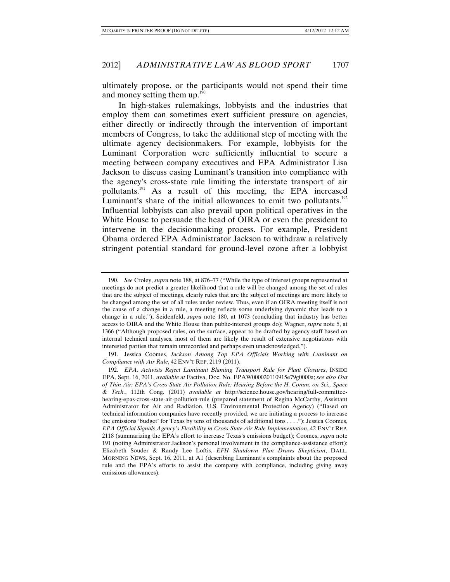ultimately propose, or the participants would not spend their time and money setting them up. $1^{100}$ 

In high-stakes rulemakings, lobbyists and the industries that employ them can sometimes exert sufficient pressure on agencies, either directly or indirectly through the intervention of important members of Congress, to take the additional step of meeting with the ultimate agency decisionmakers. For example, lobbyists for the Luminant Corporation were sufficiently influential to secure a meeting between company executives and EPA Administrator Lisa Jackson to discuss easing Luminant's transition into compliance with the agency's cross-state rule limiting the interstate transport of air pollutants.<sup>191</sup> As a result of this meeting, the EPA increased Luminant's share of the initial allowances to emit two pollutants.<sup>192</sup> Influential lobbyists can also prevail upon political operatives in the White House to persuade the head of OIRA or even the president to intervene in the decisionmaking process. For example, President Obama ordered EPA Administrator Jackson to withdraw a relatively stringent potential standard for ground-level ozone after a lobbyist

 <sup>190.</sup> *See* Croley, *supra* note 188, at 876–77 ("While the type of interest groups represented at meetings do not predict a greater likelihood that a rule will be changed among the set of rules that are the subject of meetings, clearly rules that are the subject of meetings are more likely to be changed among the set of all rules under review. Thus, even if an OIRA meeting itself is not the cause of a change in a rule, a meeting reflects some underlying dynamic that leads to a change in a rule."); Seidenfeld, *supra* note 180, at 1073 (concluding that industry has better access to OIRA and the White House than public-interest groups do); Wagner, *supra* note 5, at 1366 ("Although proposed rules, on the surface, appear to be drafted by agency staff based on internal technical analyses, most of them are likely the result of extensive negotiations with interested parties that remain unrecorded and perhaps even unacknowledged.").

 <sup>191.</sup> Jessica Coomes, *Jackson Among Top EPA Officials Working with Luminant on Compliance with Air Rule*, 42 ENV'T REP. 2119 (2011).

 <sup>192.</sup> *EPA, Activists Reject Luminant Blaming Transport Rule for Plant Closures*, INSIDE EPA, Sept. 16, 2011, *available at* Factiva, Doc. No. EPAW000020110915e79g0000a; *see also Out of Thin Air: EPA's Cross-State Air Pollution Rule: Hearing Before the H. Comm. on Sci., Space & Tech.*, 112th Cong. (2011) *available at* http://science.house.gov/hearing/full-committeehearing-epas-cross-state-air-pollution-rule (prepared statement of Regina McCarthy, Assistant Administrator for Air and Radiation, U.S. Environmental Protection Agency) ("Based on technical information companies have recently provided, we are initiating a process to increase the emissions 'budget' for Texas by tens of thousands of additional tons . . . ."); Jessica Coomes, *EPA Official Signals Agency's Flexibility in Cross-State Air Rule Implementation*, 42 ENV'T REP. 2118 (summarizing the EPA's effort to increase Texas's emissions budget); Coomes, *supra* note 191 (noting Administrator Jackson's personal involvement in the compliance-assistance effort); Elizabeth Souder & Randy Lee Loftis, *EFH Shutdown Plan Draws Skepticism*, DALL. MORNING NEWS, Sept. 16, 2011, at A1 (describing Luminant's complaints about the proposed rule and the EPA's efforts to assist the company with compliance, including giving away emissions allowances).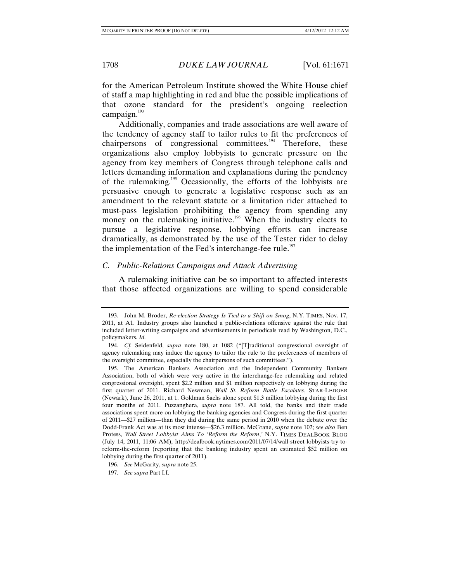for the American Petroleum Institute showed the White House chief of staff a map highlighting in red and blue the possible implications of that ozone standard for the president's ongoing reelection campaign. $193$ 

Additionally, companies and trade associations are well aware of the tendency of agency staff to tailor rules to fit the preferences of chairpersons of congressional committees.<sup>194</sup> Therefore, these organizations also employ lobbyists to generate pressure on the agency from key members of Congress through telephone calls and letters demanding information and explanations during the pendency of the rulemaking.<sup>195</sup> Occasionally, the efforts of the lobbyists are persuasive enough to generate a legislative response such as an amendment to the relevant statute or a limitation rider attached to must-pass legislation prohibiting the agency from spending any money on the rulemaking initiative.<sup>196</sup> When the industry elects to pursue a legislative response, lobbying efforts can increase dramatically, as demonstrated by the use of the Tester rider to delay the implementation of the Fed's interchange-fee rule.<sup>197</sup>

# *C. Public-Relations Campaigns and Attack Advertising*

A rulemaking initiative can be so important to affected interests that those affected organizations are willing to spend considerable

 <sup>193.</sup> John M. Broder, *Re-election Strategy Is Tied to a Shift on Smog*, N.Y. TIMES, Nov. 17, 2011, at A1. Industry groups also launched a public-relations offensive against the rule that included letter-writing campaigns and advertisements in periodicals read by Washington, D.C., policymakers. *Id.*

 <sup>194.</sup> *Cf.* Seidenfeld, *supra* note 180, at 1082 ("[T]raditional congressional oversight of agency rulemaking may induce the agency to tailor the rule to the preferences of members of the oversight committee, especially the chairpersons of such committees.").

 <sup>195.</sup> The American Bankers Association and the Independent Community Bankers Association, both of which were very active in the interchange-fee rulemaking and related congressional oversight, spent \$2.2 million and \$1 million respectively on lobbying during the first quarter of 2011. Richard Newman, *Wall St. Reform Battle Escalates*, STAR-LEDGER (Newark), June 26, 2011, at 1. Goldman Sachs alone spent \$1.3 million lobbying during the first four months of 2011. Puzzanghera, *supra* note 187. All told, the banks and their trade associations spent more on lobbying the banking agencies and Congress during the first quarter of 2011—\$27 million—than they did during the same period in 2010 when the debate over the Dodd-Frank Act was at its most intense—\$26.3 million. McGrane, *supra* note 102; *see also* Ben Protess, *Wall Street Lobbyist Aims To 'Reform the Reform*,*'* N.Y. TIMES DEALBOOK BLOG (July 14, 2011, 11:06 AM), http://dealbook.nytimes.com/2011/07/14/wall-street-lobbyists-try-toreform-the-reform (reporting that the banking industry spent an estimated \$52 million on lobbying during the first quarter of 2011).

 <sup>196.</sup> *See* McGarity, *supra* note 25.

 <sup>197.</sup> *See supra* Part I.I.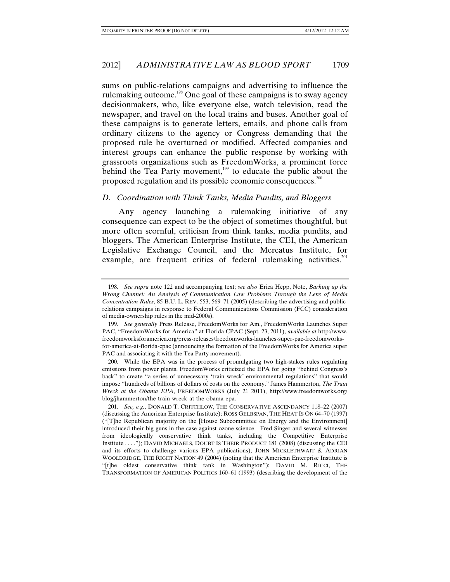sums on public-relations campaigns and advertising to influence the rulemaking outcome.198 One goal of these campaigns is to sway agency decisionmakers, who, like everyone else, watch television, read the newspaper, and travel on the local trains and buses. Another goal of these campaigns is to generate letters, emails, and phone calls from ordinary citizens to the agency or Congress demanding that the proposed rule be overturned or modified. Affected companies and interest groups can enhance the public response by working with grassroots organizations such as FreedomWorks, a prominent force behind the Tea Party movement, $199$  to educate the public about the proposed regulation and its possible economic consequences.<sup>200</sup>

#### *D. Coordination with Think Tanks, Media Pundits, and Bloggers*

Any agency launching a rulemaking initiative of any consequence can expect to be the object of sometimes thoughtful, but more often scornful, criticism from think tanks, media pundits, and bloggers. The American Enterprise Institute, the CEI, the American Legislative Exchange Council, and the Mercatus Institute, for example, are frequent critics of federal rulemaking activities.<sup>201</sup>

 <sup>198.</sup> *See supra* note 122 and accompanying text; *see also* Erica Hepp, Note, *Barking up the Wrong Channel: An Analysis of Communication Law Problems Through the Lens of Media Concentration Rules*, 85 B.U. L. REV. 553, 569–71 (2005) (describing the advertising and publicrelations campaigns in response to Federal Communications Commission (FCC) consideration of media-ownership rules in the mid-2000s).

 <sup>199.</sup> *See generally* Press Release, FreedomWorks for Am., FreedomWorks Launches Super PAC, "FreedomWorks for America" at Florida CPAC (Sept. 23, 2011), *available at* http://www. freedomworksforamerica.org/press-releases/freedomworks-launches-super-pac-freedomworksfor-america-at-florida-cpac (announcing the formation of the FreedomWorks for America super PAC and associating it with the Tea Party movement).

 <sup>200.</sup> While the EPA was in the process of promulgating two high-stakes rules regulating emissions from power plants, FreedomWorks criticized the EPA for going "behind Congress's back" to create "a series of unnecessary 'train wreck' environmental regulations" that would impose "hundreds of billions of dollars of costs on the economy." James Hammerton, *The Train Wreck at the Obama EPA*, FREEDOMWORKS (July 21 2011), http://www.freedomworks.org/ blog/jhammerton/the-train-wreck-at-the-obama-epa.

 <sup>201.</sup> *See, e.g.*, DONALD T. CRITCHLOW, THE CONSERVATIVE ASCENDANCY 118–22 (2007) (discussing the American Enterprise Institute); ROSS GELBSPAN, THE HEAT IS ON 64–70 (1997) ("[T]he Republican majority on the [House Subcommittee on Energy and the Environment] introduced their big guns in the case against ozone science—Fred Singer and several witnesses from ideologically conservative think tanks, including the Competitive Enterprise Institute . . . ."); DAVID MICHAELS, DOUBT IS THEIR PRODUCT 181 (2008) (discussing the CEI and its efforts to challenge various EPA publications); JOHN MICKLETHWAIT  $\&$  ADRIAN WOOLDRIDGE, THE RIGHT NATION 49 (2004) (noting that the American Enterprise Institute is "[t]he oldest conservative think tank in Washington"); DAVID M. RICCI, THE TRANSFORMATION OF AMERICAN POLITICS 160–61 (1993) (describing the development of the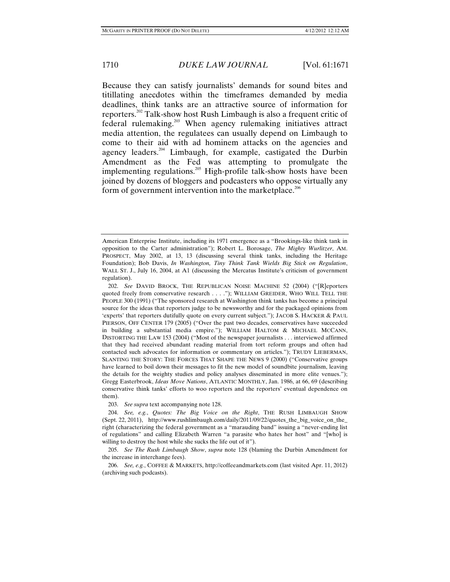Because they can satisfy journalists' demands for sound bites and titillating anecdotes within the timeframes demanded by media deadlines, think tanks are an attractive source of information for reporters.<sup>202</sup> Talk-show host Rush Limbaugh is also a frequent critic of federal rulemaking.203 When agency rulemaking initiatives attract media attention, the regulatees can usually depend on Limbaugh to come to their aid with ad hominem attacks on the agencies and agency leaders.<sup>204</sup> Limbaugh, for example, castigated the Durbin Amendment as the Fed was attempting to promulgate the implementing regulations.<sup>205</sup> High-profile talk-show hosts have been joined by dozens of bloggers and podcasters who oppose virtually any form of government intervention into the marketplace.<sup>206</sup>

American Enterprise Institute, including its 1971 emergence as a "Brookings-like think tank in opposition to the Carter administration"); Robert L. Borosage, *The Mighty Wurlitzer*, AM. PROSPECT, May 2002, at 13, 13 (discussing several think tanks, including the Heritage Foundation); Bob Davis, *In Washington, Tiny Think Tank Wields Big Stick on Regulation*, WALL ST. J., July 16, 2004, at A1 (discussing the Mercatus Institute's criticism of government regulation).

 <sup>202.</sup> *See* DAVID BROCK, THE REPUBLICAN NOISE MACHINE 52 (2004) ("[R]eporters quoted freely from conservative research . . . ."); WILLIAM GREIDER, WHO WILL TELL THE PEOPLE 300 (1991) ("The sponsored research at Washington think tanks has become a principal source for the ideas that reporters judge to be newsworthy and for the packaged opinions from 'experts' that reporters dutifully quote on every current subject."); JACOB S. HACKER & PAUL PIERSON, OFF CENTER 179 (2005) ("Over the past two decades, conservatives have succeeded in building a substantial media empire."); WILLIAM HALTOM & MICHAEL MCCANN, DISTORTING THE LAW 153 (2004) ("Most of the newspaper journalists . . . interviewed affirmed that they had received abundant reading material from tort reform groups and often had contacted such advocates for information or commentary on articles."); TRUDY LIEBERMAN, SLANTING THE STORY: THE FORCES THAT SHAPE THE NEWS 9 (2000) ("Conservative groups have learned to boil down their messages to fit the new model of soundbite journalism, leaving the details for the weighty studies and policy analyses disseminated in more elite venues."); Gregg Easterbrook, *Ideas Move Nations*, ATLANTIC MONTHLY, Jan. 1986, at 66, 69 (describing conservative think tanks' efforts to woo reporters and the reporters' eventual dependence on them).

 <sup>203.</sup> *See supra* text accompanying note 128.

 <sup>204.</sup> *See, e.g.*, *Quotes: The Big Voice on the Right*, THE RUSH LIMBAUGH SHOW (Sept. 22, 2011), http://www.rushlimbaugh.com/daily/2011/09/22/quotes the big voice on the right (characterizing the federal government as a "marauding band" issuing a "never-ending list of regulations" and calling Elizabeth Warren "a parasite who hates her host" and "[who] is willing to destroy the host while she sucks the life out of it").

 <sup>205.</sup> *See The Rush Limbaugh Show*, *supra* note 128 (blaming the Durbin Amendment for the increase in interchange fees).

 <sup>206.</sup> *See, e.g.*, COFFEE & MARKETS, http://coffeeandmarkets.com (last visited Apr. 11, 2012) (archiving such podcasts).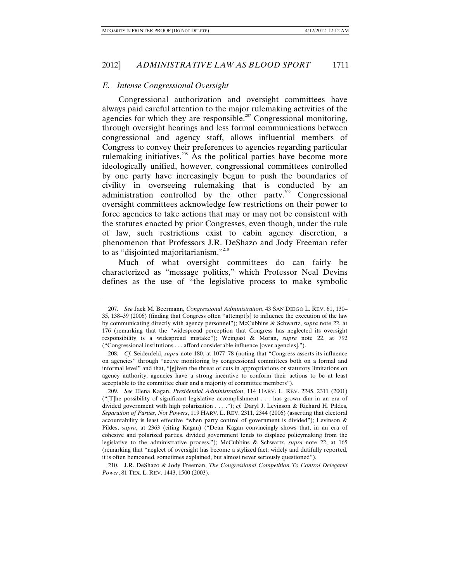# *E. Intense Congressional Oversight*

Congressional authorization and oversight committees have always paid careful attention to the major rulemaking activities of the agencies for which they are responsible.<sup>207</sup> Congressional monitoring, through oversight hearings and less formal communications between congressional and agency staff, allows influential members of Congress to convey their preferences to agencies regarding particular rulemaking initiatives.<sup>208</sup> As the political parties have become more ideologically unified, however, congressional committees controlled by one party have increasingly begun to push the boundaries of civility in overseeing rulemaking that is conducted by an administration controlled by the other party.<sup>209</sup> Congressional oversight committees acknowledge few restrictions on their power to force agencies to take actions that may or may not be consistent with the statutes enacted by prior Congresses, even though, under the rule of law, such restrictions exist to cabin agency discretion, a phenomenon that Professors J.R. DeShazo and Jody Freeman refer to as "disjointed majoritarianism."<sup>210</sup>

Much of what oversight committees do can fairly be characterized as "message politics," which Professor Neal Devins defines as the use of "the legislative process to make symbolic

 <sup>207.</sup> *See* Jack M. Beermann, *Congressional Administration*, 43 SAN DIEGO L. REV. 61, 130– 35, 138–39 (2006) (finding that Congress often "attempt[s] to influence the execution of the law by communicating directly with agency personnel"); McCubbins & Schwartz, *supra* note 22, at 176 (remarking that the "widespread perception that Congress has neglected its oversight responsibility is a widespread mistake"); Weingast & Moran, *supra* note 22, at 792 ("Congressional institutions . . . afford considerable influence [over agencies].").

 <sup>208.</sup> *Cf.* Seidenfeld, *supra* note 180, at 1077–78 (noting that "Congress asserts its influence on agencies" through "active monitoring by congressional committees both on a formal and informal level" and that, "[g]iven the threat of cuts in appropriations or statutory limitations on agency authority, agencies have a strong incentive to conform their actions to be at least acceptable to the committee chair and a majority of committee members").

 <sup>209.</sup> *See* Elena Kagan, *Presidential Administration*, 114 HARV. L. REV. 2245, 2311 (2001) ("[T]he possibility of significant legislative accomplishment . . . has grown dim in an era of divided government with high polarization . . . ."); *cf.* Daryl J. Levinson & Richard H. Pildes, *Separation of Parties, Not Powers*, 119 HARV. L. REV. 2311, 2344 (2006) (asserting that electoral accountability is least effective "when party control of government is divided"); Levinson & Pildes, *supra*, at 2363 (citing Kagan) ("Dean Kagan convincingly shows that, in an era of cohesive and polarized parties, divided government tends to displace policymaking from the legislative to the administrative process."); McCubbins & Schwartz, *supra* note 22, at 165 (remarking that "neglect of oversight has become a stylized fact: widely and dutifully reported, it is often bemoaned, sometimes explained, but almost never seriously questioned").

 <sup>210.</sup> J.R. DeShazo & Jody Freeman, *The Congressional Competition To Control Delegated Power*, 81 TEX. L. REV. 1443, 1500 (2003).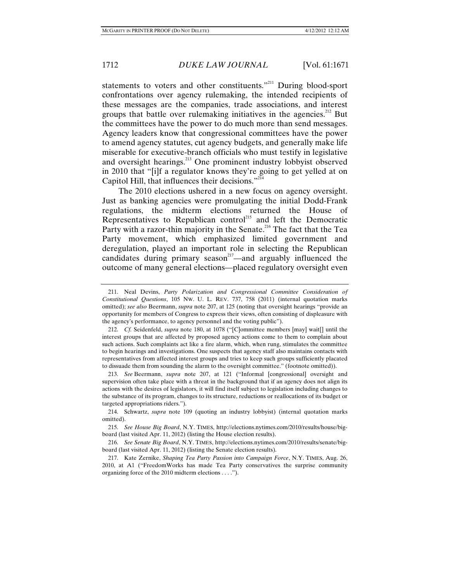statements to voters and other constituents."<sup>211</sup> During blood-sport confrontations over agency rulemaking, the intended recipients of these messages are the companies, trade associations, and interest groups that battle over rulemaking initiatives in the agencies.<sup>212</sup> But the committees have the power to do much more than send messages. Agency leaders know that congressional committees have the power to amend agency statutes, cut agency budgets, and generally make life miserable for executive-branch officials who must testify in legislative and oversight hearings.<sup>213</sup> One prominent industry lobbyist observed in 2010 that "[i]f a regulator knows they're going to get yelled at on Capitol Hill, that influences their decisions."214

The 2010 elections ushered in a new focus on agency oversight. Just as banking agencies were promulgating the initial Dodd-Frank regulations, the midterm elections returned the House of Representatives to Republican control<sup>215</sup> and left the Democratic Party with a razor-thin majority in the Senate.<sup>216</sup> The fact that the Tea Party movement, which emphasized limited government and deregulation, played an important role in selecting the Republican candidates during primary season<sup>217</sup>—and arguably influenced the outcome of many general elections—placed regulatory oversight even

 <sup>211.</sup> Neal Devins, *Party Polarization and Congressional Committee Consideration of Constitutional Questions*, 105 NW. U. L. REV. 737, 758 (2011) (internal quotation marks omitted); *see also* Beermann, *supra* note 207, at 125 (noting that oversight hearings "provide an opportunity for members of Congress to express their views, often consisting of displeasure with the agency's performance, to agency personnel and the voting public").

 <sup>212.</sup> *Cf.* Seidenfeld, *supra* note 180, at 1078 ("[C]ommittee members [may] wait[] until the interest groups that are affected by proposed agency actions come to them to complain about such actions. Such complaints act like a fire alarm, which, when rung, stimulates the committee to begin hearings and investigations. One suspects that agency staff also maintains contacts with representatives from affected interest groups and tries to keep such groups sufficiently placated to dissuade them from sounding the alarm to the oversight committee." (footnote omitted)).

 <sup>213.</sup> *See* Beermann, *supra* note 207, at 121 ("Informal [congressional] oversight and supervision often take place with a threat in the background that if an agency does not align its actions with the desires of legislators, it will find itself subject to legislation including changes to the substance of its program, changes to its structure, reductions or reallocations of its budget or targeted appropriations riders.").

 <sup>214.</sup> Schwartz, *supra* note 109 (quoting an industry lobbyist) (internal quotation marks omitted).

 <sup>215.</sup> *See House Big Board*, N.Y. TIMES, http://elections.nytimes.com/2010/results/house/bigboard (last visited Apr. 11, 2012) (listing the House election results).

 <sup>216.</sup> *See Senate Big Board*, N.Y. TIMES, http://elections.nytimes.com/2010/results/senate/bigboard (last visited Apr. 11, 2012) (listing the Senate election results).

 <sup>217.</sup> Kate Zernike, *Shaping Tea Party Passion into Campaign Force*, N.Y. TIMES, Aug. 26, 2010, at A1 ("FreedomWorks has made Tea Party conservatives the surprise community organizing force of the 2010 midterm elections . . . .").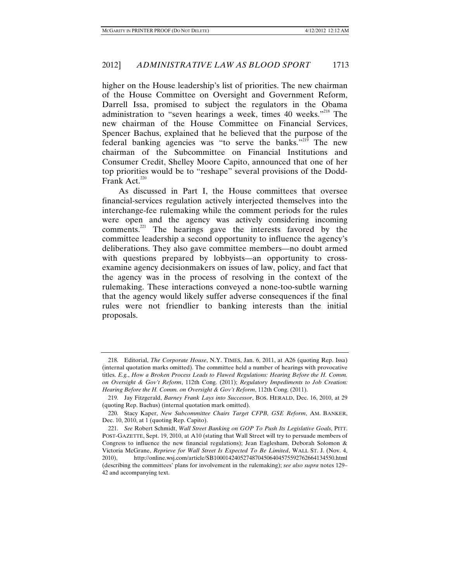higher on the House leadership's list of priorities. The new chairman of the House Committee on Oversight and Government Reform, Darrell Issa, promised to subject the regulators in the Obama administration to "seven hearings a week, times 40 weeks."<sup>218</sup> The new chairman of the House Committee on Financial Services, Spencer Bachus, explained that he believed that the purpose of the federal banking agencies was "to serve the banks."<sup>219</sup> The new chairman of the Subcommittee on Financial Institutions and Consumer Credit, Shelley Moore Capito, announced that one of her top priorities would be to "reshape" several provisions of the Dodd-Frank Act. $220$ 

As discussed in Part I, the House committees that oversee financial-services regulation actively interjected themselves into the interchange-fee rulemaking while the comment periods for the rules were open and the agency was actively considering incoming comments.<sup>221</sup> The hearings gave the interests favored by the committee leadership a second opportunity to influence the agency's deliberations. They also gave committee members—no doubt armed with questions prepared by lobbyists—an opportunity to crossexamine agency decisionmakers on issues of law, policy, and fact that the agency was in the process of resolving in the context of the rulemaking. These interactions conveyed a none-too-subtle warning that the agency would likely suffer adverse consequences if the final rules were not friendlier to banking interests than the initial proposals.

 <sup>218.</sup> Editorial, *The Corporate House*, N.Y. TIMES, Jan. 6, 2011, at A26 (quoting Rep. Issa) (internal quotation marks omitted). The committee held a number of hearings with provocative titles. *E.g.*, *How a Broken Process Leads to Flawed Regulations: Hearing Before the H. Comm. on Oversight & Gov't Reform*, 112th Cong. (2011); *Regulatory Impediments to Job Creation: Hearing Before the H. Comm. on Oversight & Gov't Reform*, 112th Cong. (2011).

 <sup>219.</sup> Jay Fitzgerald, *Barney Frank Lays into Successor*, BOS. HERALD, Dec. 16, 2010, at 29 (quoting Rep. Bachus) (internal quotation mark omitted).

 <sup>220.</sup> Stacy Kaper, *New Subcommittee Chairs Target CFPB, GSE Reform*, AM. BANKER, Dec. 10, 2010, at 1 (quoting Rep. Capito).

 <sup>221.</sup> *See* Robert Schmidt, *Wall Street Banking on GOP To Push Its Legislative Goals*, PITT. POST-GAZETTE, Sept. 19, 2010, at A10 (stating that Wall Street will try to persuade members of Congress to influence the new financial regulations); Jean Eaglesham, Deborah Solomon & Victoria McGrane, *Reprieve for Wall Street Is Expected To Be Limited*, WALL ST. J. (Nov. 4, 2010), http://online.wsj.com/article/SB10001424052748704506404575592762664134550.html (describing the committees' plans for involvement in the rulemaking); *see also supra* notes 129– 42 and accompanying text.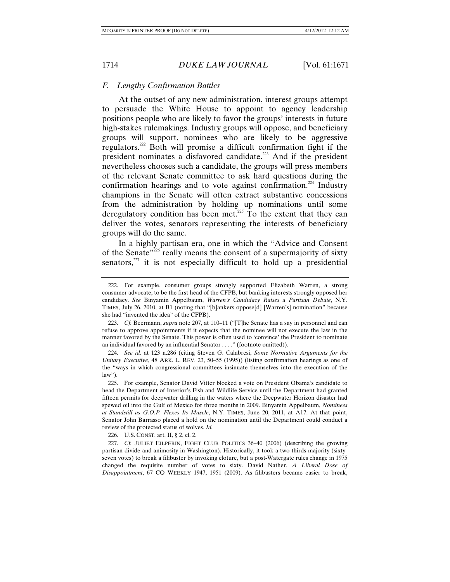# *F. Lengthy Confirmation Battles*

At the outset of any new administration, interest groups attempt to persuade the White House to appoint to agency leadership positions people who are likely to favor the groups' interests in future high-stakes rulemakings. Industry groups will oppose, and beneficiary groups will support, nominees who are likely to be aggressive regulators.222 Both will promise a difficult confirmation fight if the president nominates a disfavored candidate.223 And if the president nevertheless chooses such a candidate, the groups will press members of the relevant Senate committee to ask hard questions during the confirmation hearings and to vote against confirmation.<sup>224</sup> Industry champions in the Senate will often extract substantive concessions from the administration by holding up nominations until some deregulatory condition has been met.<sup>225</sup> To the extent that they can deliver the votes, senators representing the interests of beneficiary groups will do the same.

In a highly partisan era, one in which the "Advice and Consent of the Senate"226 really means the consent of a supermajority of sixty senators, $227$  it is not especially difficult to hold up a presidential

226. U.S. CONST. art. II, § 2, cl. 2.

 <sup>222.</sup> For example, consumer groups strongly supported Elizabeth Warren, a strong consumer advocate, to be the first head of the CFPB, but banking interests strongly opposed her candidacy. *See* Binyamin Appelbaum, *Warren's Candidacy Raises a Partisan Debate*, N.Y. TIMES, July 26, 2010, at B1 (noting that "[b]ankers oppose[d] [Warren's] nomination" because she had "invented the idea" of the CFPB).

 <sup>223.</sup> *Cf.* Beermann, *supra* note 207, at 110–11 ("[T]he Senate has a say in personnel and can refuse to approve appointments if it expects that the nominee will not execute the law in the manner favored by the Senate. This power is often used to 'convince' the President to nominate an individual favored by an influential Senator . . . ." (footnote omitted)).

 <sup>224.</sup> *See id.* at 123 n.286 (citing Steven G. Calabresi, *Some Normative Arguments for the Unitary Executive*, 48 ARK. L. REV. 23, 50–55 (1995)) (listing confirmation hearings as one of the "ways in which congressional committees insinuate themselves into the execution of the law").

 <sup>225.</sup> For example, Senator David Vitter blocked a vote on President Obama's candidate to head the Department of Interior's Fish and Wildlife Service until the Department had granted fifteen permits for deepwater drilling in the waters where the Deepwater Horizon disaster had spewed oil into the Gulf of Mexico for three months in 2009. Binyamin Appelbaum, *Nominees at Standstill as G.O.P. Flexes Its Muscle*, N.Y. TIMES, June 20, 2011, at A17. At that point, Senator John Barrasso placed a hold on the nomination until the Department could conduct a review of the protected status of wolves. *Id.*

 <sup>227.</sup> *Cf.* JULIET EILPERIN, FIGHT CLUB POLITICS 36–40 (2006) (describing the growing partisan divide and animosity in Washington). Historically, it took a two-thirds majority (sixtyseven votes) to break a filibuster by invoking cloture, but a post-Watergate rules change in 1975 changed the requisite number of votes to sixty. David Nather, *A Liberal Dose of Disappointment*, 67 CQ WEEKLY 1947, 1951 (2009). As filibusters became easier to break,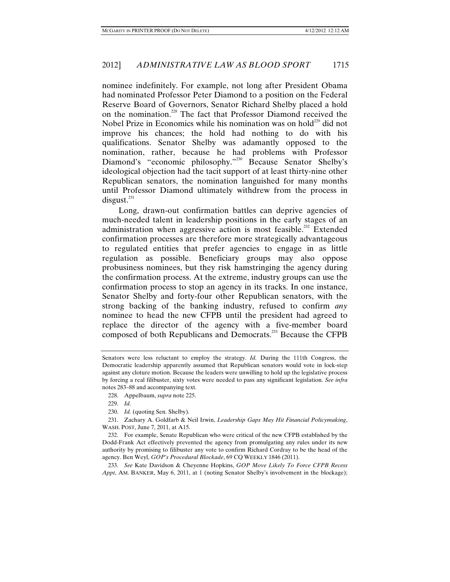nominee indefinitely. For example, not long after President Obama had nominated Professor Peter Diamond to a position on the Federal Reserve Board of Governors, Senator Richard Shelby placed a hold on the nomination.<sup>228</sup> The fact that Professor Diamond received the Nobel Prize in Economics while his nomination was on hold<sup> $229$ </sup> did not improve his chances; the hold had nothing to do with his qualifications. Senator Shelby was adamantly opposed to the nomination, rather, because he had problems with Professor Diamond's "economic philosophy."<sup>230</sup> Because Senator Shelby's ideological objection had the tacit support of at least thirty-nine other Republican senators, the nomination languished for many months until Professor Diamond ultimately withdrew from the process in  $disgust.<sup>231</sup>$ 

Long, drawn-out confirmation battles can deprive agencies of much-needed talent in leadership positions in the early stages of an administration when aggressive action is most feasible.<sup>232</sup> Extended confirmation processes are therefore more strategically advantageous to regulated entities that prefer agencies to engage in as little regulation as possible. Beneficiary groups may also oppose probusiness nominees, but they risk hamstringing the agency during the confirmation process. At the extreme, industry groups can use the confirmation process to stop an agency in its tracks. In one instance, Senator Shelby and forty-four other Republican senators, with the strong backing of the banking industry, refused to confirm *any* nominee to head the new CFPB until the president had agreed to replace the director of the agency with a five-member board composed of both Republicans and Democrats.233 Because the CFPB

228. Appelbaum, *supra* note 225.

Senators were less reluctant to employ the strategy. *Id.* During the 111th Congress, the Democratic leadership apparently assumed that Republican senators would vote in lock-step against any cloture motion. Because the leaders were unwilling to hold up the legislative process by forcing a real filibuster, sixty votes were needed to pass any significant legislation. *See infra* notes 283–88 and accompanying text.

 <sup>229.</sup> *Id.* 

 <sup>230.</sup> *Id.* (quoting Sen. Shelby).

 <sup>231.</sup> Zachary A. Goldfarb & Neil Irwin, *Leadership Gaps May Hit Financial Policymaking*, WASH. POST, June 7, 2011, at A15.

 <sup>232.</sup> For example, Senate Republican who were critical of the new CFPB established by the Dodd-Frank Act effectively prevented the agency from promulgating any rules under its new authority by promising to filibuster any vote to confirm Richard Cordray to be the head of the agency. Ben Weyl, *GOP's Procedural Blockade*, 69 CQ WEEKLY 1846 (2011).

 <sup>233.</sup> *See* Kate Davidson & Cheyenne Hopkins, *GOP Move Likely To Force CFPB Recess Appt*, AM. BANKER, May 6, 2011, at 1 (noting Senator Shelby's involvement in the blockage);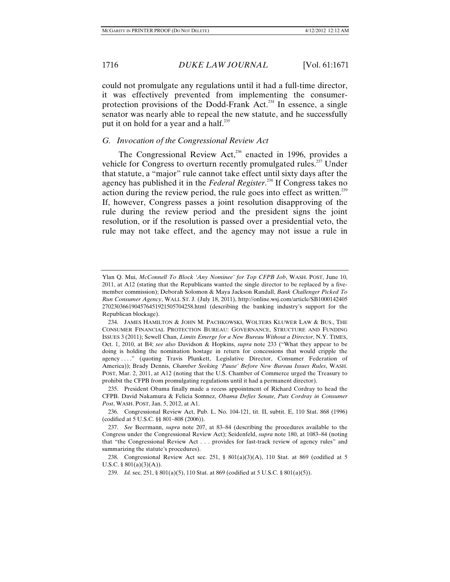could not promulgate any regulations until it had a full-time director, it was effectively prevented from implementing the consumerprotection provisions of the Dodd-Frank Act.<sup>234</sup> In essence, a single senator was nearly able to repeal the new statute, and he successfully put it on hold for a year and a half.<sup>235</sup>

### *G. Invocation of the Congressional Review Act*

The Congressional Review Act,<sup>236</sup> enacted in 1996, provides a vehicle for Congress to overturn recently promulgated rules.<sup>237</sup> Under that statute, a "major" rule cannot take effect until sixty days after the agency has published it in the *Federal Register*. 238 If Congress takes no action during the review period, the rule goes into effect as written.<sup>239</sup> If, however, Congress passes a joint resolution disapproving of the rule during the review period and the president signs the joint resolution, or if the resolution is passed over a presidential veto, the rule may not take effect, and the agency may not issue a rule in

Ylan Q. Mui, *McConnell To Block 'Any Nominee' for Top CFPB Job*, WASH. POST, June 10, 2011, at A12 (stating that the Republicans wanted the single director to be replaced by a fivemember commission); Deborah Solomon & Maya Jackson Randall, *Bank Challenger Picked To Run Consumer Agency*, WALL ST. J. (July 18, 2011), http://online.wsj.com/article/SB1000142405 2702303661904576451921505704258.html (describing the banking industry's support for the Republican blockage).

 <sup>234.</sup> JAMES HAMILTON & JOHN M. PACHKOWSKI, WOLTERS KLUWER LAW & BUS., THE CONSUMER FINANCIAL PROTECTION BUREAU: GOVERNANCE, STRUCTURE AND FUNDING ISSUES 3 (2011); Sewell Chan, *Limits Emerge for a New Bureau Without a Director*, N.Y. TIMES, Oct. 1, 2010, at B4; *see also* Davidson & Hopkins, *supra* note 233 ("What they appear to be doing is holding the nomination hostage in return for concessions that would cripple the agency . . . ." (quoting Travis Plunkett, Legislative Director, Consumer Federation of America)); Brady Dennis, *Chamber Seeking 'Pause' Before New Bureau Issues Rules*, WASH. POST, Mar. 2, 2011, at A12 (noting that the U.S. Chamber of Commerce urged the Treasury to prohibit the CFPB from promulgating regulations until it had a permanent director).

 <sup>235.</sup> President Obama finally made a recess appointment of Richard Cordray to head the CFPB. David Nakamura & Felicia Somnez, *Obama Defies Senate, Puts Cordray in Consumer Post*, WASH. POST, Jan. 5, 2012, at A1.

 <sup>236.</sup> Congressional Review Act, Pub. L. No. 104-121, tit. II, subtit. E, 110 Stat. 868 (1996) (codified at 5 U.S.C. §§ 801–808 (2006)).

 <sup>237.</sup> *See* Beermann, *supra* note 207, at 83–84 (describing the procedures available to the Congress under the Congressional Review Act); Seidenfeld, *supra* note 180, at 1083–84 (noting that "the Congressional Review Act . . . provides for fast-track review of agency rules" and summarizing the statute's procedures).

<sup>238.</sup> Congressional Review Act sec. 251, §  $801(a)(3)(A)$ , 110 Stat. at 869 (codified at 5 U.S.C. §  $801(a)(3)(A)$ .

 <sup>239.</sup> *Id.* sec. 251, § 801(a)(5), 110 Stat. at 869 (codified at 5 U.S.C. § 801(a)(5)).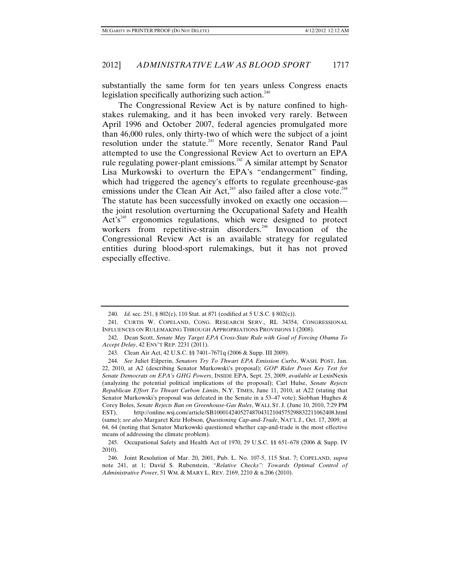substantially the same form for ten years unless Congress enacts legislation specifically authorizing such action. $240$ 

The Congressional Review Act is by nature confined to highstakes rulemaking, and it has been invoked very rarely. Between April 1996 and October 2007, federal agencies promulgated more than 46,000 rules, only thirty-two of which were the subject of a joint resolution under the statute.<sup>241</sup> More recently, Senator Rand Paul attempted to use the Congressional Review Act to overturn an EPA rule regulating power-plant emissions.<sup>242</sup> A similar attempt by Senator Lisa Murkowski to overturn the EPA's "endangerment" finding, which had triggered the agency's efforts to regulate greenhouse-gas emissions under the Clean Air Act,<sup>243</sup> also failed after a close vote.<sup>244</sup> The statute has been successfully invoked on exactly one occasion the joint resolution overturning the Occupational Safety and Health  $Act's<sup>245</sup>$  ergonomics regulations, which were designed to protect workers from repetitive-strain disorders.<sup>246</sup> Invocation of the Congressional Review Act is an available strategy for regulated entities during blood-sport rulemakings, but it has not proved especially effective.

 <sup>240.</sup> *Id.* sec. 251, § 802(c), 110 Stat. at 871 (codified at 5 U.S.C. § 802(c)).

 <sup>241.</sup> CURTIS W. COPELAND, CONG. RESEARCH SERV., RL 34354, CONGRESSIONAL INFLUENCES ON RULEMAKING THROUGH APPROPRIATIONS PROVISIONS 1 (2008).

 <sup>242.</sup> Dean Scott, *Senate May Target EPA Cross-State Rule with Goal of Forcing Obama To Accept Delay*, 42 ENV'T REP. 2231 (2011).

 <sup>243.</sup> Clean Air Act, 42 U.S.C. §§ 7401–7671q (2006 & Supp. III 2009).

 <sup>244.</sup> *See* Juliet Eilperin, *Senators Try To Thwart EPA Emission Curbs*, WASH. POST, Jan. 22, 2010, at A2 (describing Senator Murkowski's proposal); *GOP Rider Poses Key Test for Senate Democrats on EPA's GHG Powers*, INSIDE EPA, Sept. 25, 2009, *available at* LexisNexis (analyzing the potential political implications of the proposal); Carl Hulse, *Senate Rejects Republican Effort To Thwart Carbon Limits*, N.Y. TIMES, June 11, 2010, at A22 (stating that Senator Murkowski's proposal was defeated in the Senate in a 53–47 vote); Siobhan Hughes & Corey Boles, *Senate Rejects Ban on Greenhouse-Gas Rules*, WALL ST. J. (June 10, 2010, 7:29 PM EST), http://online.wsj.com/article/SB10001424052748704312104575298832211062408.html (same); *see also* Margaret Kriz Hobson, *Questioning Cap-and-Trade*, NAT'L J., Oct. 17, 2009, at 64, 64 (noting that Senator Murkowski questioned whether cap-and-trade is the most effective means of addressing the climate problem).

 <sup>245.</sup> Occupational Safety and Health Act of 1970, 29 U.S.C. §§ 651–678 (2006 & Supp. IV 2010).

 <sup>246.</sup> Joint Resolution of Mar. 20, 2001, Pub. L. No. 107-5, 115 Stat. 7; COPELAND, *supra* note 241, at 1; David S. Rubenstein, *"Relative Checks": Towards Optimal Control of Administrative Power*, 51 WM. & MARY L. REV. 2169, 2210 & n.206 (2010).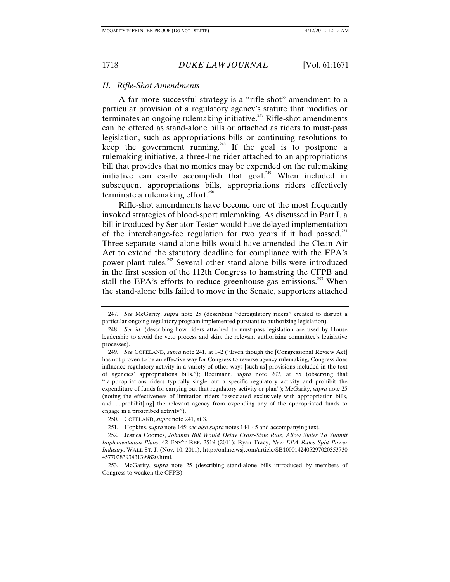## *H. Rifle-Shot Amendments*

A far more successful strategy is a "rifle-shot" amendment to a particular provision of a regulatory agency's statute that modifies or terminates an ongoing rulemaking initiative.<sup> $247$ </sup> Rifle-shot amendments can be offered as stand-alone bills or attached as riders to must-pass legislation, such as appropriations bills or continuing resolutions to keep the government running.<sup> $248$ </sup> If the goal is to postpone a rulemaking initiative, a three-line rider attached to an appropriations bill that provides that no monies may be expended on the rulemaking initiative can easily accomplish that goal.<sup>249</sup> When included in subsequent appropriations bills, appropriations riders effectively terminate a rulemaking effort. $250$ 

Rifle-shot amendments have become one of the most frequently invoked strategies of blood-sport rulemaking. As discussed in Part I, a bill introduced by Senator Tester would have delayed implementation of the interchange-fee regulation for two years if it had passed.<sup>251</sup> Three separate stand-alone bills would have amended the Clean Air Act to extend the statutory deadline for compliance with the EPA's power-plant rules.<sup>252</sup> Several other stand-alone bills were introduced in the first session of the 112th Congress to hamstring the CFPB and stall the EPA's efforts to reduce greenhouse-gas emissions.<sup>253</sup> When the stand-alone bills failed to move in the Senate, supporters attached

 <sup>247.</sup> *See* McGarity, *supra* note 25 (describing "deregulatory riders" created to disrupt a particular ongoing regulatory program implemented pursuant to authorizing legislation).

 <sup>248.</sup> *See id.* (describing how riders attached to must-pass legislation are used by House leadership to avoid the veto process and skirt the relevant authorizing committee's legislative processes).

 <sup>249.</sup> *See* COPELAND, *supra* note 241, at 1–2 ("Even though the [Congressional Review Act] has not proven to be an effective way for Congress to reverse agency rulemaking, Congress does influence regulatory activity in a variety of other ways [such as] provisions included in the text of agencies' appropriations bills."); Beermann, *supra* note 207, at 85 (observing that "[a]ppropriations riders typically single out a specific regulatory activity and prohibit the expenditure of funds for carrying out that regulatory activity or plan"); McGarity, *supra* note 25 (noting the effectiveness of limitation riders "associated exclusively with appropriation bills, and ... prohibit[ing] the relevant agency from expending any of the appropriated funds to engage in a proscribed activity").

 <sup>250.</sup> COPELAND, *supra* note 241, at 3.

 <sup>251.</sup> Hopkins, *supra* note 145; *see also supra* notes 144–45 and accompanying text.

 <sup>252.</sup> Jessica Coomes, *Johanns Bill Would Delay Cross-State Rule, Allow States To Submit Implementation Plans*, 42 ENV'T REP. 2519 (2011); Ryan Tracy, *New EPA Rules Split Power Industry*, WALL ST. J. (Nov. 10, 2011), http://online.wsj.com/article/SB1000142405297020353730 4577028393431399820.html.

 <sup>253.</sup> McGarity, *supra* note 25 (describing stand-alone bills introduced by members of Congress to weaken the CFPB).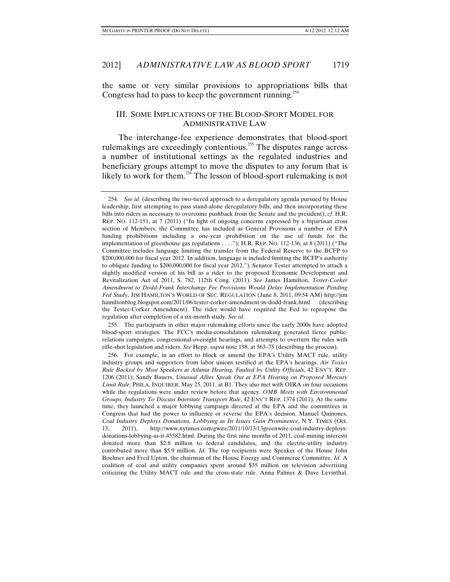the same or very similar provisions to appropriations bills that Congress had to pass to keep the government running.<sup>254</sup>

# III. SOME IMPLICATIONS OF THE BLOOD-SPORT MODEL FOR ADMINISTRATIVE LAW

The interchange-fee experience demonstrates that blood-sport rulemakings are exceedingly contentious.255 The disputes range across a number of institutional settings as the regulated industries and beneficiary groups attempt to move the disputes to any forum that is likely to work for them.<sup>256</sup> The lesson of blood-sport rulemaking is not

 255. The participants in other major rulemaking efforts since the early 2000s have adopted blood-sport strategies. The FCC's media-consolidation rulemaking generated fierce publicrelations campaigns, congressional-oversight hearings, and attempts to overturn the rules with rifle-shot legislation and riders. *See* Hepp, *supra* note 198, at 563–75 (describing the process).

 256. For example, in an effort to block or amend the EPA's Utility MACT rule, utility industry groups and supporters from labor unions testified at the EPA's hearings. *Air Toxics Rule Backed by Most Speakers at Atlanta Hearing, Faulted by Utility Officials,* 42 ENV'T. REP. 1206 (2011); Sandy Bauers, *Unusual Allies Speak Out at EPA Hearing on Proposed Mercury Limit Rule*, PHILA. INQUIRER, May 25, 2011, at B1. They also met with OIRA on four occasions while the regulations were under review before that agency. *OMB Meets with Environmental Groups, Industry To Discuss Interstate Transport Rule*, 42 ENV'T REP. 1374 (2011). At the same time, they launched a major lobbying campaign directed at the EPA and the committees in Congress that had the power to influence or reverse the EPA's decision. Manuel Quinones, *Coal Industry Deploys Donations, Lobbying as Its Issues Gain Prominence*, N.Y. TIMES (Oct. 13, 2011), http://www.nytimes.com/gwire/2011/10/13/13greenwire-coal-industry-deploysdonations-lobbying-as-it-45582.html. During the first nine months of 2011, coal-mining interests donated more than \$2.8 million to federal candidates, and the electric-utility industry contributed more than \$5.9 million. *Id.* The top recipients were Speaker of the House John Boehner and Fred Upton, the chairman of the House Energy and Commerce Committee. *Id.* A coalition of coal and utility companies spent around \$35 million on television advertising criticizing the Utility MACT rule and the cross-state rule. Anna Palmer & Dave Levinthal,

 <sup>254.</sup> *See id.* (describing the two-tiered approach to a deregulatory agenda pursued by House leadership, first attempting to pass stand-alone deregulatory bills, and then incorporating these bills into riders as necessary to overcome pushback from the Senate and the president); *cf.* H.R. REP. NO. 112-151, at 7 (2011) ("In light of ongoing concerns expressed by a bipartisan cross section of Members, the Committee has included as General Provisions a number of EPA funding prohibitions including a one-year prohibition on the use of funds for the implementation of greenhouse gas regulations . . . ."); H.R. REP. NO. 112-136, at 8 (2011) ("The Committee includes language limiting the transfer from the Federal Reserve to the BCFP to \$200,000,000 for fiscal year 2012. In addition, language is included limiting the BCFP's authority to obligate funding to \$200,000,000 for fiscal year 2012."). Senator Tester attempted to attach a slightly modified version of his bill as a rider to the proposed Economic Development and Revitalization Act of 2011, S. 782, 112th Cong. (2011). *See* James Hamilton, *Tester-Corker Amendment to Dodd-Frank Interchange Fee Provisions Would Delay Implementation Pending Fed Study*, JIM HAMILTON'S WORLD OF SEC. REGULATION (June 8, 2011, 09:54 AM) http://jim hamiltonblog.blogspot.com/2011/06/tester-corker-amendment-in-dodd-frank.html (describing the Tester-Corker Amendment). The rider would have required the Fed to repropose the regulation after completion of a six-month study. *See id*.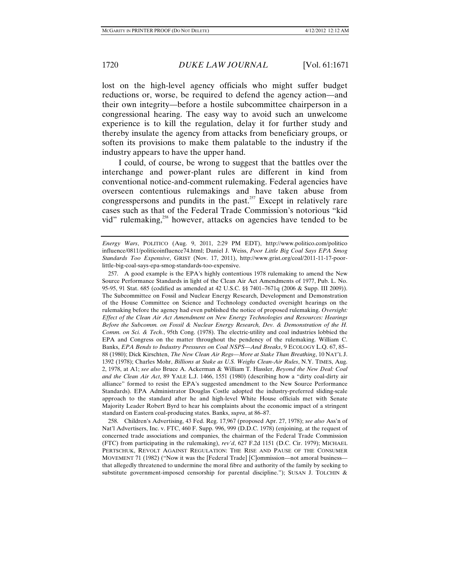lost on the high-level agency officials who might suffer budget reductions or, worse, be required to defend the agency action—and their own integrity—before a hostile subcommittee chairperson in a congressional hearing. The easy way to avoid such an unwelcome experience is to kill the regulation, delay it for further study and thereby insulate the agency from attacks from beneficiary groups, or soften its provisions to make them palatable to the industry if the industry appears to have the upper hand.

I could, of course, be wrong to suggest that the battles over the interchange and power-plant rules are different in kind from conventional notice-and-comment rulemaking. Federal agencies have overseen contentious rulemakings and have taken abuse from congresspersons and pundits in the past. $257$  Except in relatively rare cases such as that of the Federal Trade Commission's notorious "kid vid" rulemaking,<sup>258</sup> however, attacks on agencies have tended to be

 258. Children's Advertising, 43 Fed. Reg. 17,967 (proposed Apr. 27, 1978); *see also* Ass'n of Nat'l Advertisers, Inc. v. FTC, 460 F. Supp. 996, 999 (D.D.C. 1978) (enjoining, at the request of concerned trade associations and companies, the chairman of the Federal Trade Commission (FTC) from participating in the rulemaking), *rev'd*, 627 F.2d 1151 (D.C. Cir. 1979); MICHAEL PERTSCHUK, REVOLT AGAINST REGULATION: THE RISE AND PAUSE OF THE CONSUMER MOVEMENT 71 (1982) ("Now it was the [Federal Trade] [C]ommission—not amoral business that allegedly threatened to undermine the moral fibre and authority of the family by seeking to substitute government-imposed censorship for parental discipline."); SUSAN J. TOLCHIN &

*Energy Wars*, POLITICO (Aug. 9, 2011, 2:29 PM EDT), http://www.politico.com/politico influence/0811/politicoinfluence74.html; Daniel J. Weiss, *Poor Little Big Coal Says EPA Smog Standards Too Expensive*, GRIST (Nov. 17, 2011), http://www.grist.org/coal/2011-11-17-poorlittle-big-coal-says-epa-smog-standards-too-expensive.

 <sup>257.</sup> A good example is the EPA's highly contentious 1978 rulemaking to amend the New Source Performance Standards in light of the Clean Air Act Amendments of 1977, Pub. L. No. 95-95, 91 Stat. 685 (codified as amended at 42 U.S.C. §§ 7401–7671q (2006 & Supp. III 2009)). The Subcommittee on Fossil and Nuclear Energy Research, Development and Demonstration of the House Committee on Science and Technology conducted oversight hearings on the rulemaking before the agency had even published the notice of proposed rulemaking. *Oversight: Effect of the Clean Air Act Amendment on New Energy Technologies and Resources: Hearings Before the Subcomm. on Fossil & Nuclear Energy Research, Dev. & Demonstration of the H. Comm. on Sci. & Tech.*, 95th Cong. (1978). The electric-utility and coal industries lobbied the EPA and Congress on the matter throughout the pendency of the rulemaking. William C. Banks, *EPA Bends to Industry Pressures on Coal NSPS—And Breaks*, 9 ECOLOGY L.Q. 67, 85– 88 (1980); Dick Kirschten, *The New Clean Air Regs—More at Stake Than Breathing*, 10 NAT'L J. 1392 (1978); Charles Mohr, *Billions at Stake as U.S. Weighs Clean-Air Rules*, N.Y. TIMES, Aug. 2, 1978, at A1; *see also* Bruce A. Ackerman & William T. Hassler, *Beyond the New Deal: Coal and the Clean Air Act*, 89 YALE L.J. 1466, 1551 (1980) (describing how a "dirty coal-dirty air alliance" formed to resist the EPA's suggested amendment to the New Source Performance Standards). EPA Administrator Douglas Costle adopted the industry-preferred sliding-scale approach to the standard after he and high-level White House officials met with Senate Majority Leader Robert Byrd to hear his complaints about the economic impact of a stringent standard on Eastern coal-producing states. Banks, *supra*, at 86–87.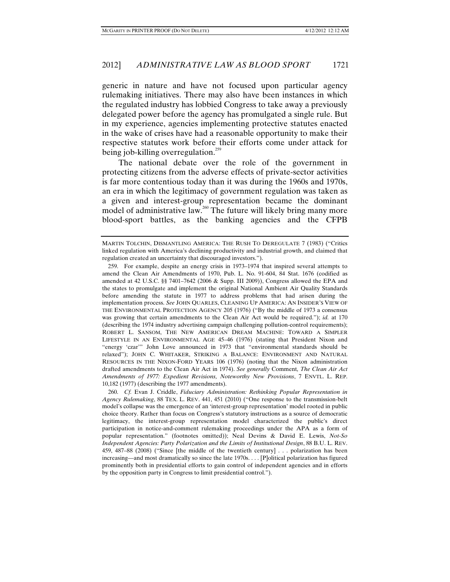generic in nature and have not focused upon particular agency rulemaking initiatives. There may also have been instances in which the regulated industry has lobbied Congress to take away a previously delegated power before the agency has promulgated a single rule. But in my experience, agencies implementing protective statutes enacted in the wake of crises have had a reasonable opportunity to make their respective statutes work before their efforts come under attack for being job-killing overregulation.<sup>259</sup>

The national debate over the role of the government in protecting citizens from the adverse effects of private-sector activities is far more contentious today than it was during the 1960s and 1970s, an era in which the legitimacy of government regulation was taken as a given and interest-group representation became the dominant model of administrative law.<sup>260</sup> The future will likely bring many more blood-sport battles, as the banking agencies and the CFPB

MARTIN TOLCHIN, DISMANTLING AMERICA: THE RUSH TO DEREGULATE 7 (1983) ("Critics linked regulation with America's declining productivity and industrial growth, and claimed that regulation created an uncertainty that discouraged investors.").

 <sup>259.</sup> For example, despite an energy crisis in 1973–1974 that inspired several attempts to amend the Clean Air Amendments of 1970, Pub. L. No. 91-604, 84 Stat. 1676 (codified as amended at 42 U.S.C. §§ 7401–7642 (2006 & Supp. III 2009)), Congress allowed the EPA and the states to promulgate and implement the original National Ambient Air Quality Standards before amending the statute in 1977 to address problems that had arisen during the implementation process. *See* JOHN QUARLES, CLEANING UP AMERICA: AN INSIDER'S VIEW OF THE ENVIRONMENTAL PROTECTION AGENCY 205 (1976) ("By the middle of 1973 a consensus was growing that certain amendments to the Clean Air Act would be required."); *id.* at 170 (describing the 1974 industry advertising campaign challenging pollution-control requirements); ROBERT L. SANSOM, THE NEW AMERICAN DREAM MACHINE: TOWARD A SIMPLER LIFESTYLE IN AN ENVIRONMENTAL AGE 45–46 (1976) (stating that President Nixon and "energy 'czar'" John Love announced in 1973 that "environmental standards should be relaxed"); JOHN C. WHITAKER, STRIKING A BALANCE: ENVIRONMENT AND NATURAL RESOURCES IN THE NIXON-FORD YEARS 106 (1976) (noting that the Nixon administration drafted amendments to the Clean Air Act in 1974). *See generally* Comment*, The Clean Air Act Amendments of 1977: Expedient Revisions, Noteworthy New Provisions*, 7 ENVTL. L. REP. 10,182 (1977) (describing the 1977 amendments).

 <sup>260.</sup> *Cf.* Evan J. Criddle, *Fiduciary Administration: Rethinking Popular Representation in Agency Rulemaking*, 88 TEX. L. REV. 441, 451 (2010) ("One response to the transmission-belt model's collapse was the emergence of an 'interest-group representation' model rooted in public choice theory. Rather than focus on Congress's statutory instructions as a source of democratic legitimacy, the interest-group representation model characterized the public's direct participation in notice-and-comment rulemaking proceedings under the APA as a form of popular representation." (footnotes omitted)); Neal Devins & David E. Lewis, *Not-So Independent Agencies: Party Polarization and the Limits of Institutional Design*, 88 B.U. L. REV. 459, 487–88 (2008) ("Since [the middle of the twentieth century] . . . polarization has been increasing—and most dramatically so since the late 1970s. . . . [P]olitical polarization has figured prominently both in presidential efforts to gain control of independent agencies and in efforts by the opposition party in Congress to limit presidential control.").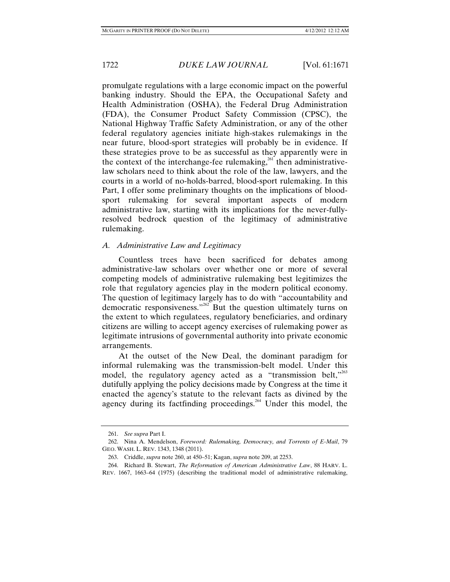promulgate regulations with a large economic impact on the powerful banking industry. Should the EPA, the Occupational Safety and Health Administration (OSHA), the Federal Drug Administration (FDA), the Consumer Product Safety Commission (CPSC), the National Highway Traffic Safety Administration, or any of the other federal regulatory agencies initiate high-stakes rulemakings in the near future, blood-sport strategies will probably be in evidence. If these strategies prove to be as successful as they apparently were in the context of the interchange-fee rulemaking,<sup>261</sup> then administrativelaw scholars need to think about the role of the law, lawyers, and the courts in a world of no-holds-barred, blood-sport rulemaking. In this Part, I offer some preliminary thoughts on the implications of bloodsport rulemaking for several important aspects of modern administrative law, starting with its implications for the never-fullyresolved bedrock question of the legitimacy of administrative rulemaking.

# *A. Administrative Law and Legitimacy*

Countless trees have been sacrificed for debates among administrative-law scholars over whether one or more of several competing models of administrative rulemaking best legitimizes the role that regulatory agencies play in the modern political economy. The question of legitimacy largely has to do with "accountability and democratic responsiveness."262 But the question ultimately turns on the extent to which regulatees, regulatory beneficiaries, and ordinary citizens are willing to accept agency exercises of rulemaking power as legitimate intrusions of governmental authority into private economic arrangements.

At the outset of the New Deal, the dominant paradigm for informal rulemaking was the transmission-belt model. Under this model, the regulatory agency acted as a "transmission belt,"<sup>263</sup> dutifully applying the policy decisions made by Congress at the time it enacted the agency's statute to the relevant facts as divined by the agency during its factfinding proceedings.<sup>264</sup> Under this model, the

 <sup>261.</sup> *See supra* Part I.

 <sup>262.</sup> Nina A. Mendelson, *Foreword: Rulemaking, Democracy, and Torrents of E-Mail*, 79 GEO. WASH. L. REV. 1343, 1348 (2011).

 <sup>263.</sup> Criddle, *supra* note 260, at 450–51; Kagan, *supra* note 209, at 2253.

 <sup>264.</sup> Richard B. Stewart, *The Reformation of American Administrative Law*, 88 HARV. L. REV. 1667, 1663–64 (1975) (describing the traditional model of administrative rulemaking,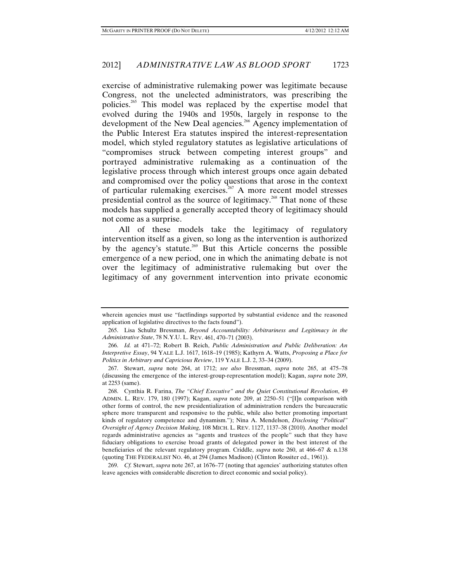exercise of administrative rulemaking power was legitimate because Congress, not the unelected administrators, was prescribing the policies.265 This model was replaced by the expertise model that evolved during the 1940s and 1950s, largely in response to the development of the New Deal agencies.<sup>266</sup> Agency implementation of the Public Interest Era statutes inspired the interest-representation model, which styled regulatory statutes as legislative articulations of "compromises struck between competing interest groups" and portrayed administrative rulemaking as a continuation of the legislative process through which interest groups once again debated and compromised over the policy questions that arose in the context of particular rulemaking exercises.<sup>267</sup> A more recent model stresses presidential control as the source of legitimacy.268 That none of these models has supplied a generally accepted theory of legitimacy should not come as a surprise.

All of these models take the legitimacy of regulatory intervention itself as a given, so long as the intervention is authorized by the agency's statute.<sup>269</sup> But this Article concerns the possible emergence of a new period, one in which the animating debate is not over the legitimacy of administrative rulemaking but over the legitimacy of any government intervention into private economic

 269. *Cf.* Stewart, *supra* note 267, at 1676–77 (noting that agencies' authorizing statutes often leave agencies with considerable discretion to direct economic and social policy).

wherein agencies must use "factfindings supported by substantial evidence and the reasoned application of legislative directives to the facts found").

 <sup>265.</sup> Lisa Schultz Bressman, *Beyond Accountability: Arbitrariness and Legitimacy in the Administrative State*, 78 N.Y.U. L. REV. 461, 470–71 (2003).

 <sup>266.</sup> *Id.* at 471–72; Robert B. Reich, *Public Administration and Public Deliberation: An Interpretive Essay*, 94 YALE L.J. 1617, 1618–19 (1985); Kathyrn A. Watts, *Proposing a Place for Politics in Arbitrary and Capricious Review*, 119 YALE L.J. 2, 33–34 (2009).

 <sup>267.</sup> Stewart, *supra* note 264, at 1712; *see also* Bressman, *supra* note 265, at 475–78 (discussing the emergence of the interest-group-representation model); Kagan, *supra* note 209, at 2253 (same).

 <sup>268.</sup> Cynthia R. Farina, *The "Chief Executive" and the Quiet Constitutional Revolution*, 49 ADMIN. L. REV. 179, 180 (1997); Kagan, *supra* note 209, at 2250–51 ("[I]n comparison with other forms of control, the new presidentialization of administration renders the bureaucratic sphere more transparent and responsive to the public, while also better promoting important kinds of regulatory competence and dynamism."); Nina A. Mendelson, *Disclosing "Political" Oversight of Agency Decision Making*, 108 MICH. L. REV. 1127, 1137–38 (2010). Another model regards administrative agencies as "agents and trustees of the people" such that they have fiduciary obligations to exercise broad grants of delegated power in the best interest of the beneficiaries of the relevant regulatory program. Criddle, *supra* note 260, at 466–67 & n.138 (quoting THE FEDERALIST NO. 46, at 294 (James Madison) (Clinton Rossiter ed., 1961)).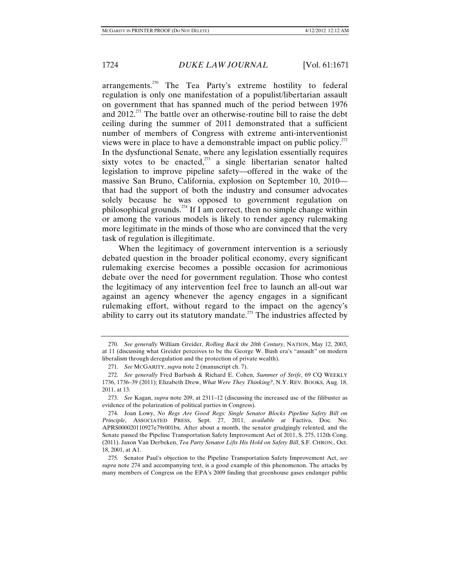arrangements.270 The Tea Party's extreme hostility to federal regulation is only one manifestation of a populist/libertarian assault on government that has spanned much of the period between 1976 and  $2012<sup>271</sup>$ . The battle over an otherwise-routine bill to raise the debt ceiling during the summer of 2011 demonstrated that a sufficient number of members of Congress with extreme anti-interventionist views were in place to have a demonstrable impact on public policy.<sup> $^{272}$ </sup> In the dysfunctional Senate, where any legislation essentially requires sixty votes to be enacted, $273$  a single libertarian senator halted legislation to improve pipeline safety—offered in the wake of the massive San Bruno, California, explosion on September 10, 2010 that had the support of both the industry and consumer advocates solely because he was opposed to government regulation on philosophical grounds.<sup> $274$ </sup> If I am correct, then no simple change within or among the various models is likely to render agency rulemaking more legitimate in the minds of those who are convinced that the very task of regulation is illegitimate.

When the legitimacy of government intervention is a seriously debated question in the broader political economy, every significant rulemaking exercise becomes a possible occasion for acrimonious debate over the need for government regulation. Those who contest the legitimacy of any intervention feel free to launch an all-out war against an agency whenever the agency engages in a significant rulemaking effort, without regard to the impact on the agency's ability to carry out its statutory mandate.<sup>275</sup> The industries affected by

 <sup>270.</sup> *See generally* William Greider, *Rolling Back the 20th Century*, NATION, May 12, 2003, at 11 (discussing what Greider perceives to be the George W. Bush era's "assault" on modern liberalism through deregulation and the protection of private wealth).

 <sup>271.</sup> *See* MCGARITY, *supra* note 2 (manuscript ch. 7).

 <sup>272.</sup> *See generally* Fred Barbash & Richard E. Cohen, *Summer of Strife*, 69 CQ WEEKLY 1736, 1736–39 (2011); Elizabeth Drew, *What Were They Thinking?*, N.Y. REV. BOOKS, Aug. 18, 2011, at 13.

 <sup>273.</sup> *See* Kagan, *supra* note 209, at 2311–12 (discussing the increased use of the filibuster as evidence of the polarization of political parties in Congress).

 <sup>274.</sup> Joan Lowy, *No Regs Are Good Regs: Single Senator Blocks Pipeline Safety Bill on Principle*, ASSOCIATED PRESS, Sept. 27, 2011, *available at* Factiva, Doc. No. APRS000020110927e79r001bx. After about a month, the senator grudgingly relented, and the Senate passed the Pipeline Transportation Safety Improvement Act of 2011, S. 275, 112th Cong. (2011). Jaxon Van Derbeken, *Tea Party Senator Lifts His Hold on Safety Bill*, S.F. CHRON., Oct. 18, 2001, at A1.

 <sup>275.</sup> Senator Paul's objection to the Pipeline Transportation Safety Improvement Act, *see supra* note 274 and accompanying text, is a good example of this phenomenon. The attacks by many members of Congress on the EPA's 2009 finding that greenhouse gases endanger public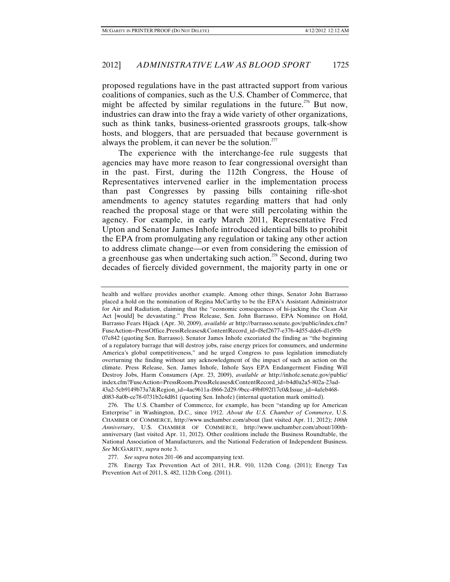proposed regulations have in the past attracted support from various coalitions of companies, such as the U.S. Chamber of Commerce, that might be affected by similar regulations in the future.<sup>276</sup> But now, industries can draw into the fray a wide variety of other organizations, such as think tanks, business-oriented grassroots groups, talk-show hosts, and bloggers, that are persuaded that because government is always the problem, it can never be the solution.<sup>277</sup>

The experience with the interchange-fee rule suggests that agencies may have more reason to fear congressional oversight than in the past. First, during the 112th Congress, the House of Representatives intervened earlier in the implementation process than past Congresses by passing bills containing rifle-shot amendments to agency statutes regarding matters that had only reached the proposal stage or that were still percolating within the agency. For example, in early March 2011, Representative Fred Upton and Senator James Inhofe introduced identical bills to prohibit the EPA from promulgating any regulation or taking any other action to address climate change—or even from considering the emission of a greenhouse gas when undertaking such action.<sup>278</sup> Second, during two decades of fiercely divided government, the majority party in one or

health and welfare provides another example. Among other things, Senator John Barrasso placed a hold on the nomination of Regina McCarthy to be the EPA's Assistant Administrator for Air and Radiation, claiming that the "economic consequences of hi-jacking the Clean Air Act [would] be devastating." Press Release, Sen. John Barrasso, EPA Nominee on Hold, Barrasso Fears Hijack (Apr. 30, 2009), *available at* http://barrasso.senate.gov/public/index.cfm? FuseAction=PressOffice.PressReleases&ContentRecord\_id=f8ef2677-e376-4d55-ddc6-d1c95b 07e842 (quoting Sen. Barrasso). Senator James Inhofe excoriated the finding as "the beginning of a regulatory barrage that will destroy jobs, raise energy prices for consumers, and undermine America's global competitiveness," and he urged Congress to pass legislation immediately overturning the finding without any acknowledgment of the impact of such an action on the climate. Press Release, Sen. James Inhofe, Inhofe Says EPA Endangerment Finding Will Destroy Jobs, Harm Consumers (Apr. 23, 2009), *available at* http://inhofe.senate.gov/public/ index.cfm?FuseAction=PressRoom.PressReleases&ContentRecord\_id=b4d0a2a5-802a-23ad-43a2-5cb9149b73a7&Region\_id=4ac9611a-f866-2d29-9bcc-49bf092f17c0&Issue\_id=4afeb468 d083-8a0b-ce78-0731b2c4df61 (quoting Sen. Inhofe) (internal quotation mark omitted).

 276. The U.S. Chamber of Commerce, for example, has been "standing up for American Enterprise" in Washington, D.C., since 1912. *About the U.S. Chamber of Commerce*, U.S. CHAMBER OF COMMERCE, http://www.uschamber.com/about (last visited Apr. 11, 2012); *100th Anniversary*, U.S. CHAMBER OF COMMERCE, http://www.uschamber.com/about/100thanniversary (last visited Apr. 11, 2012). Other coalitions include the Business Roundtable, the National Association of Manufacturers, and the National Federation of Independent Business. *See* MCGARITY, *supra* note 3.

277. *See supra* notes 201–06 and accompanying text.

 278. Energy Tax Prevention Act of 2011, H.R. 910, 112th Cong. (2011); Energy Tax Prevention Act of 2011, S. 482, 112th Cong. (2011).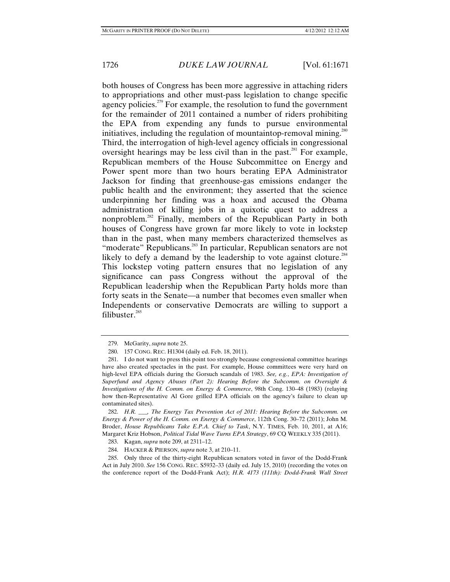both houses of Congress has been more aggressive in attaching riders to appropriations and other must-pass legislation to change specific agency policies.<sup> $279$ </sup> For example, the resolution to fund the government for the remainder of 2011 contained a number of riders prohibiting the EPA from expending any funds to pursue environmental initiatives, including the regulation of mountaintop-removal mining. $^{280}$ Third, the interrogation of high-level agency officials in congressional oversight hearings may be less civil than in the past.<sup>281</sup> For example, Republican members of the House Subcommittee on Energy and Power spent more than two hours berating EPA Administrator Jackson for finding that greenhouse-gas emissions endanger the public health and the environment; they asserted that the science underpinning her finding was a hoax and accused the Obama administration of killing jobs in a quixotic quest to address a nonproblem.282 Finally, members of the Republican Party in both houses of Congress have grown far more likely to vote in lockstep than in the past, when many members characterized themselves as "moderate" Republicans.<sup>283</sup> In particular, Republican senators are not likely to defy a demand by the leadership to vote against cloture.<sup>284</sup> This lockstep voting pattern ensures that no legislation of any significance can pass Congress without the approval of the Republican leadership when the Republican Party holds more than forty seats in the Senate—a number that becomes even smaller when Independents or conservative Democrats are willing to support a filibuster.<sup>285</sup>

 282. *H.R. \_\_\_, The Energy Tax Prevention Act of 2011: Hearing Before the Subcomm. on Energy & Power of the H. Comm. on Energy & Commerce*, 112th Cong. 30–72 (2011); John M. Broder, *House Republicans Take E.P.A. Chief to Task*, N.Y. TIMES, Feb. 10, 2011, at A16; Margaret Kriz Hobson, *Political Tidal Wave Turns EPA Strategy*, 69 CQ WEEKLY 335 (2011).

283. Kagan, *supra* note 209, at 2311–12.

284. HACKER & PIERSON, *supra* note 3, at 210–11.

 285. Only three of the thirty-eight Republican senators voted in favor of the Dodd-Frank Act in July 2010. *See* 156 CONG. REC. S5932–33 (daily ed. July 15, 2010) (recording the votes on the conference report of the Dodd-Frank Act); *H.R. 4173 (111th): Dodd-Frank Wall Street* 

 <sup>279.</sup> McGarity, *supra* note 25.

 <sup>280. 157</sup> CONG. REC. H1304 (daily ed. Feb. 18, 2011).

 <sup>281.</sup> I do not want to press this point too strongly because congressional committee hearings have also created spectacles in the past. For example, House committees were very hard on high-level EPA officials during the Gorsuch scandals of 1983. *See, e.g.*, *EPA: Investigation of Superfund and Agency Abuses (Part 2): Hearing Before the Subcomm. on Oversight & Investigations of the H. Comm. on Energy & Commerce*, 98th Cong. 130–48 (1983) (relaying how then-Representative Al Gore grilled EPA officials on the agency's failure to clean up contaminated sites).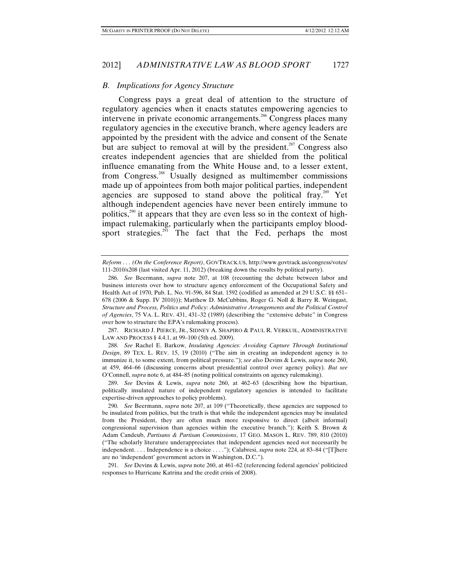# *B. Implications for Agency Structure*

Congress pays a great deal of attention to the structure of regulatory agencies when it enacts statutes empowering agencies to intervene in private economic arrangements.<sup>286</sup> Congress places many regulatory agencies in the executive branch, where agency leaders are appointed by the president with the advice and consent of the Senate but are subject to removal at will by the president.<sup>287</sup> Congress also creates independent agencies that are shielded from the political influence emanating from the White House and, to a lesser extent, from Congress.288 Usually designed as multimember commissions made up of appointees from both major political parties, independent agencies are supposed to stand above the political fray.<sup>289</sup> Yet although independent agencies have never been entirely immune to politics, $290$  it appears that they are even less so in the context of highimpact rulemaking, particularly when the participants employ bloodsport strategies.<sup>291</sup> The fact that the Fed, perhaps the most

 287. RICHARD J. PIERCE, JR., SIDNEY A. SHAPIRO & PAUL R. VERKUIL, ADMINISTRATIVE LAW AND PROCESS § 4.4.1, at 99–100 (5th ed. 2009).

 288. *See* Rachel E. Barkow, *Insulating Agencies: Avoiding Capture Through Institutional Design*, 89 TEX. L. REV. 15, 19 (2010) ("The aim in creating an independent agency is to immunize it, to some extent, from political pressure."); *see also* Devins & Lewis, *supra* note 260, at 459, 464–66 (discussing concerns about presidential control over agency policy). *But see* O'Connell, *supra* note 6, at 484–85 (noting political constraints on agency rulemaking).

 289. *See* Devins & Lewis, *supra* note 260, at 462–63 (describing how the bipartisan, politically insulated nature of independent regulatory agencies is intended to facilitate expertise-driven approaches to policy problems).

 290. *See* Beermann, *supra* note 207, at 109 ("Theoretically, these agencies are supposed to be insulated from politics, but the truth is that while the independent agencies may be insulated from the President, they are often much more responsive to direct (albeit informal) congressional supervision than agencies within the executive branch."); Keith S. Brown & Adam Candeub, *Partisans & Partisan Commissions*, 17 GEO. MASON L. REV. 789, 810 (2010) ("The scholarly literature underappreciates that independent agencies need *not* necessarily be independent. . . . Independence is a choice . . . ."); Calabresi, *supra* note 224, at 83–84 ("[T]here are no 'independent' government actors in Washington, D.C.").

 291. *See* Devins & Lewis, *supra* note 260, at 461–62 (referencing federal agencies' politicized responses to Hurricane Katrina and the credit crisis of 2008).

*Reform . . . (On the Conference Report)*, GOVTRACK.US, http://www.govtrack.us/congress/votes/ 111-2010/s208 (last visited Apr. 11, 2012) (breaking down the results by political party).

 <sup>286.</sup> *See* Beermann, *supra* note 207, at 108 (recounting the debate between labor and business interests over how to structure agency enforcement of the Occupational Safety and Health Act of 1970, Pub. L. No. 91-596, 84 Stat. 1592 (codified as amended at 29 U.S.C. §§ 651– 678 (2006 & Supp. IV 2010))); Matthew D. McCubbins, Roger G. Noll & Barry R. Weingast, *Structure and Process, Politics and Policy: Administrative Arrangements and the Political Control of Agencies*, 75 VA. L. REV. 431, 431–32 (1989) (describing the "extensive debate" in Congress over how to structure the EPA's rulemaking process).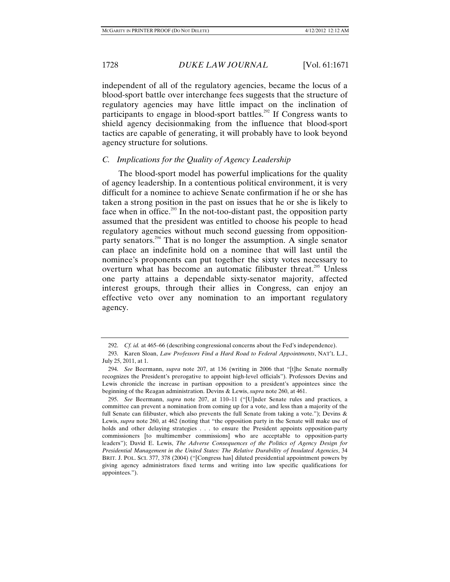independent of all of the regulatory agencies, became the locus of a blood-sport battle over interchange fees suggests that the structure of regulatory agencies may have little impact on the inclination of participants to engage in blood-sport battles.<sup>292</sup> If Congress wants to shield agency decisionmaking from the influence that blood-sport tactics are capable of generating, it will probably have to look beyond agency structure for solutions.

# *C. Implications for the Quality of Agency Leadership*

The blood-sport model has powerful implications for the quality of agency leadership. In a contentious political environment, it is very difficult for a nominee to achieve Senate confirmation if he or she has taken a strong position in the past on issues that he or she is likely to face when in office.<sup>293</sup> In the not-too-distant past, the opposition party assumed that the president was entitled to choose his people to head regulatory agencies without much second guessing from oppositionparty senators.<sup>294</sup> That is no longer the assumption. A single senator can place an indefinite hold on a nominee that will last until the nominee's proponents can put together the sixty votes necessary to overturn what has become an automatic filibuster threat.<sup>295</sup> Unless one party attains a dependable sixty-senator majority, affected interest groups, through their allies in Congress, can enjoy an effective veto over any nomination to an important regulatory agency.

 <sup>292.</sup> *Cf. id.* at 465–66 (describing congressional concerns about the Fed's independence).

 <sup>293.</sup> Karen Sloan, *Law Professors Find a Hard Road to Federal Appointments*, NAT'L L.J., July 25, 2011, at 1.

 <sup>294.</sup> *See* Beermann, *supra* note 207, at 136 (writing in 2006 that "[t]he Senate normally recognizes the President's prerogative to appoint high-level officials"). Professors Devins and Lewis chronicle the increase in partisan opposition to a president's appointees since the beginning of the Reagan administration. Devins & Lewis, *supra* note 260, at 461.

 <sup>295.</sup> *See* Beermann, *supra* note 207, at 110–11 ("[U]nder Senate rules and practices, a committee can prevent a nomination from coming up for a vote, and less than a majority of the full Senate can filibuster, which also prevents the full Senate from taking a vote."); Devins & Lewis, *supra* note 260, at 462 (noting that "the opposition party in the Senate will make use of holds and other delaying strategies . . . to ensure the President appoints opposition-party commissioners [to multimember commissions] who are acceptable to opposition-party leaders"); David E. Lewis, *The Adverse Consequences of the Politics of Agency Design for Presidential Management in the United States: The Relative Durability of Insulated Agencies*, 34 BRIT. J. POL. SCI. 377, 378 (2004) ("[Congress has] diluted presidential appointment powers by giving agency administrators fixed terms and writing into law specific qualifications for appointees.").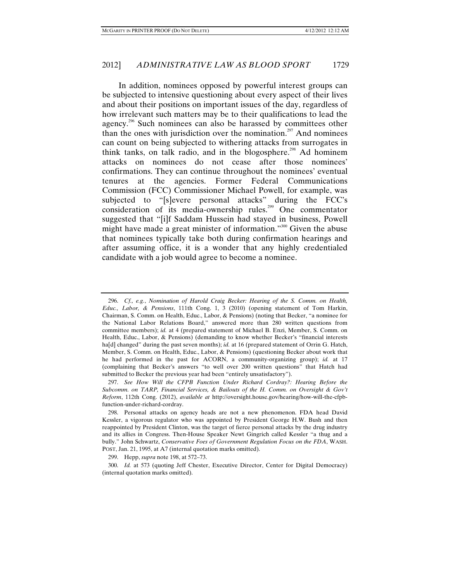In addition, nominees opposed by powerful interest groups can be subjected to intensive questioning about every aspect of their lives and about their positions on important issues of the day, regardless of how irrelevant such matters may be to their qualifications to lead the agency.296 Such nominees can also be harassed by committees other than the ones with jurisdiction over the nomination.<sup>297</sup> And nominees can count on being subjected to withering attacks from surrogates in think tanks, on talk radio, and in the blogosphere.<sup>298</sup> Ad hominem attacks on nominees do not cease after those nominees' confirmations. They can continue throughout the nominees' eventual tenures at the agencies. Former Federal Communications Commission (FCC) Commissioner Michael Powell, for example, was subjected to "[s]evere personal attacks" during the FCC's consideration of its media-ownership rules.299 One commentator suggested that "[i]f Saddam Hussein had stayed in business, Powell might have made a great minister of information."<sup>300</sup> Given the abuse that nominees typically take both during confirmation hearings and after assuming office, it is a wonder that any highly credentialed candidate with a job would agree to become a nominee.

 <sup>296.</sup> *Cf., e.g.*, *Nomination of Harold Craig Becker: Hearing of the S. Comm. on Health, Educ., Labor, & Pensions*, 111th Cong. 1, 3 (2010) (opening statement of Tom Harkin, Chairman, S. Comm. on Health, Educ., Labor, & Pensions) (noting that Becker, "a nominee for the National Labor Relations Board," answered more than 280 written questions from committee members); *id.* at 4 (prepared statement of Michael B. Enzi, Member, S. Comm. on Health, Educ., Labor, & Pensions) (demanding to know whether Becker's "financial interests ha<sup>[d]</sup> changed" during the past seven months); *id.* at 16 (prepared statement of Orrin G. Hatch, Member, S. Comm. on Health, Educ., Labor, & Pensions) (questioning Becker about work that he had performed in the past for ACORN, a community-organizing group); *id.* at 17 (complaining that Becker's answers "to well over 200 written questions" that Hatch had submitted to Becker the previous year had been "entirely unsatisfactory").

 <sup>297.</sup> *See How Will the CFPB Function Under Richard Cordray?: Hearing Before the Subcomm. on TARP, Financial Services, & Bailouts of the H. Comm. on Oversight & Gov't Reform*, 112th Cong. (2012), *available at* http://oversight.house.gov/hearing/how-will-the-cfpbfunction-under-richard-cordray.

 <sup>298.</sup> Personal attacks on agency heads are not a new phenomenon. FDA head David Kessler, a vigorous regulator who was appointed by President George H.W. Bush and then reappointed by President Clinton, was the target of fierce personal attacks by the drug industry and its allies in Congress. Then-House Speaker Newt Gingrich called Kessler "a thug and a bully." John Schwartz, *Conservative Foes of Government Regulation Focus on the FDA*, WASH. POST, Jan. 21, 1995, at A7 (internal quotation marks omitted).

 <sup>299.</sup> Hepp, *supra* note 198, at 572–73.

 <sup>300.</sup> *Id.* at 573 (quoting Jeff Chester, Executive Director, Center for Digital Democracy) (internal quotation marks omitted).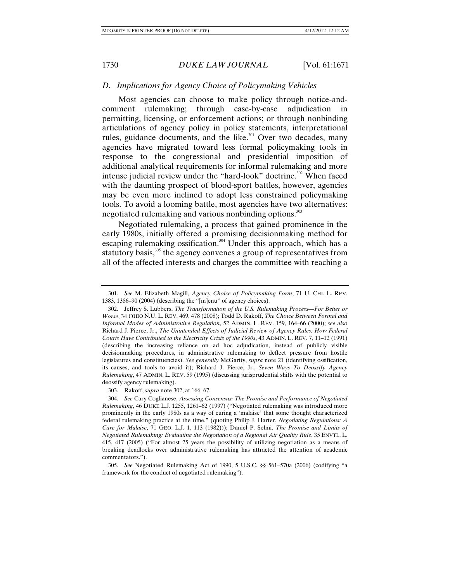### *D. Implications for Agency Choice of Policymaking Vehicles*

Most agencies can choose to make policy through notice-andcomment rulemaking; through case-by-case adjudication in permitting, licensing, or enforcement actions; or through nonbinding articulations of agency policy in policy statements, interpretational rules, guidance documents, and the like.<sup>301</sup> Over two decades, many agencies have migrated toward less formal policymaking tools in response to the congressional and presidential imposition of additional analytical requirements for informal rulemaking and more intense judicial review under the "hard-look" doctrine.<sup>302</sup> When faced with the daunting prospect of blood-sport battles, however, agencies may be even more inclined to adopt less constrained policymaking tools. To avoid a looming battle, most agencies have two alternatives: negotiated rulemaking and various nonbinding options.<sup>303</sup>

Negotiated rulemaking, a process that gained prominence in the early 1980s, initially offered a promising decisionmaking method for escaping rulemaking ossification.<sup>304</sup> Under this approach, which has a statutory basis,<sup>305</sup> the agency convenes a group of representatives from all of the affected interests and charges the committee with reaching a

 <sup>301.</sup> *See* M. Elizabeth Magill, *Agency Choice of Policymaking Form*, 71 U. CHI. L. REV. 1383, 1386–90 (2004) (describing the "[m]enu" of agency choices).

 <sup>302.</sup> Jeffrey S. Lubbers, *The Transformation of the U.S. Rulemaking Process—For Better or Worse*, 34 OHIO N.U. L. REV. 469, 478 (2008); Todd D. Rakoff, *The Choice Between Formal and Informal Modes of Administrative Regulation*, 52 ADMIN. L. REV. 159, 164–66 (2000); *see also*  Richard J. Pierce, Jr., *The Unintended Effects of Judicial Review of Agency Rules: How Federal Courts Have Contributed to the Electricity Crisis of the 1990s*, 43 ADMIN. L. REV. 7, 11–12 (1991) (describing the increasing reliance on ad hoc adjudication, instead of publicly visible decisionmaking procedures, in administrative rulemaking to deflect pressure from hostile legislatures and constituencies). *See generally* McGarity, *supra* note 21 (identifying ossification, its causes, and tools to avoid it); Richard J. Pierce, Jr., *Seven Ways To Deossify Agency Rulemaking*, 47 ADMIN. L. REV. 59 (1995) (discussing jurisprudential shifts with the potential to deossify agency rulemaking).

 <sup>303.</sup> Rakoff, *supra* note 302, at 166–67.

 <sup>304.</sup> *See* Cary Coglianese, *Assessing Consensus: The Promise and Performance of Negotiated Rulemaking*, 46 DUKE L.J. 1255, 1261–62 (1997) ("Negotiated rulemaking was introduced more prominently in the early 1980s as a way of curing a 'malaise' that some thought characterized federal rulemaking practice at the time." (quoting Philip J. Harter, *Negotiating Regulations: A Cure for Malaise*, 71 GEO. L.J. 1, 113 (1982))); Daniel P. Selmi, *The Promise and Limits of Negotiated Rulemaking: Evaluating the Negotiation of a Regional Air Quality Rule*, 35 ENVTL. L. 415, 417 (2005) ("For almost 25 years the possibility of utilizing negotiation as a means of breaking deadlocks over administrative rulemaking has attracted the attention of academic commentators.").

 <sup>305.</sup> *See* Negotiated Rulemaking Act of 1990, 5 U.S.C. §§ 561–570a (2006) (codifying "a framework for the conduct of negotiated rulemaking").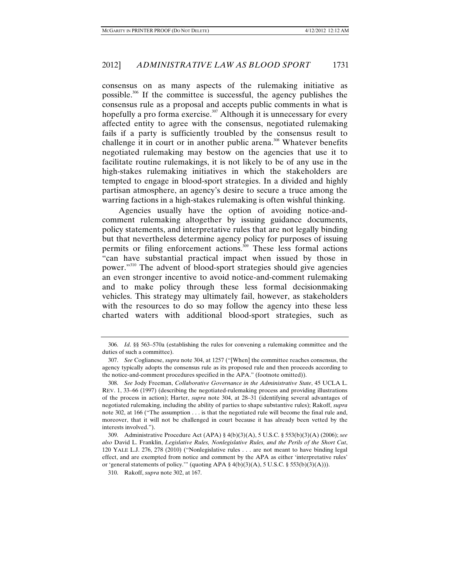consensus on as many aspects of the rulemaking initiative as possible.306 If the committee is successful, the agency publishes the consensus rule as a proposal and accepts public comments in what is hopefully a pro forma exercise.<sup>307</sup> Although it is unnecessary for every affected entity to agree with the consensus, negotiated rulemaking fails if a party is sufficiently troubled by the consensus result to challenge it in court or in another public arena.<sup>308</sup> Whatever benefits negotiated rulemaking may bestow on the agencies that use it to facilitate routine rulemakings, it is not likely to be of any use in the high-stakes rulemaking initiatives in which the stakeholders are tempted to engage in blood-sport strategies. In a divided and highly partisan atmosphere, an agency's desire to secure a truce among the warring factions in a high-stakes rulemaking is often wishful thinking.

Agencies usually have the option of avoiding notice-andcomment rulemaking altogether by issuing guidance documents, policy statements, and interpretative rules that are not legally binding but that nevertheless determine agency policy for purposes of issuing permits or filing enforcement actions.<sup>309</sup> These less formal actions "can have substantial practical impact when issued by those in power."310 The advent of blood-sport strategies should give agencies an even stronger incentive to avoid notice-and-comment rulemaking and to make policy through these less formal decisionmaking vehicles. This strategy may ultimately fail, however, as stakeholders with the resources to do so may follow the agency into these less charted waters with additional blood-sport strategies, such as

 <sup>306.</sup> *Id*. §§ 563–570a (establishing the rules for convening a rulemaking committee and the duties of such a committee).

 <sup>307.</sup> *See* Coglianese, *supra* note 304, at 1257 ("[When] the committee reaches consensus, the agency typically adopts the consensus rule as its proposed rule and then proceeds according to the notice-and-comment procedures specified in the APA." (footnote omitted)).

 <sup>308.</sup> *See* Jody Freeman, *Collaborative Governance in the Administrative State*, 45 UCLA L. REV. 1, 33–66 (1997) (describing the negotiated-rulemaking process and providing illustrations of the process in action); Harter, *supra* note 304, at 28–31 (identifying several advantages of negotiated rulemaking, including the ability of parties to shape substantive rules); Rakoff, *supra* note 302, at 166 ("The assumption . . . is that the negotiated rule will become the final rule and, moreover, that it will not be challenged in court because it has already been vetted by the interests involved.").

 <sup>309.</sup> Administrative Procedure Act (APA) § 4(b)(3)(A), 5 U.S.C. § 553(b)(3)(A) (2006); *see also* David L. Franklin, *Legislative Rules, Nonlegislative Rules, and the Perils of the Short Cut*, 120 YALE L.J. 276, 278 (2010) ("Nonlegislative rules . . . are not meant to have binding legal effect, and are exempted from notice and comment by the APA as either 'interpretative rules' or 'general statements of policy.'" (quoting APA  $\S$  4(b)(3)(A), 5 U.S.C.  $\S$  553(b)(3)(A))).

 <sup>310.</sup> Rakoff, *supra* note 302, at 167.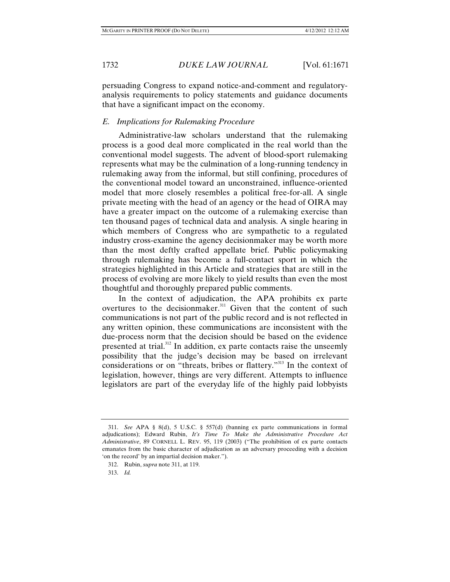persuading Congress to expand notice-and-comment and regulatoryanalysis requirements to policy statements and guidance documents that have a significant impact on the economy.

# *E. Implications for Rulemaking Procedure*

Administrative-law scholars understand that the rulemaking process is a good deal more complicated in the real world than the conventional model suggests. The advent of blood-sport rulemaking represents what may be the culmination of a long-running tendency in rulemaking away from the informal, but still confining, procedures of the conventional model toward an unconstrained, influence-oriented model that more closely resembles a political free-for-all. A single private meeting with the head of an agency or the head of OIRA may have a greater impact on the outcome of a rulemaking exercise than ten thousand pages of technical data and analysis. A single hearing in which members of Congress who are sympathetic to a regulated industry cross-examine the agency decisionmaker may be worth more than the most deftly crafted appellate brief. Public policymaking through rulemaking has become a full-contact sport in which the strategies highlighted in this Article and strategies that are still in the process of evolving are more likely to yield results than even the most thoughtful and thoroughly prepared public comments.

In the context of adjudication, the APA prohibits ex parte overtures to the decisionmaker.<sup>311</sup> Given that the content of such communications is not part of the public record and is not reflected in any written opinion, these communications are inconsistent with the due-process norm that the decision should be based on the evidence presented at trial.<sup>312</sup> In addition, ex parte contacts raise the unseemly possibility that the judge's decision may be based on irrelevant considerations or on "threats, bribes or flattery."313 In the context of legislation, however, things are very different. Attempts to influence legislators are part of the everyday life of the highly paid lobbyists

 <sup>311.</sup> *See* APA § 8(d), 5 U.S.C. § 557(d) (banning ex parte communications in formal adjudications); Edward Rubin, *It's Time To Make the Administrative Procedure Act Administrative*, 89 CORNELL L. REV. 95, 119 (2003) ("The prohibition of ex parte contacts emanates from the basic character of adjudication as an adversary proceeding with a decision 'on the record' by an impartial decision maker.").

 <sup>312.</sup> Rubin, *supra* note 311, at 119.

 <sup>313.</sup> *Id.*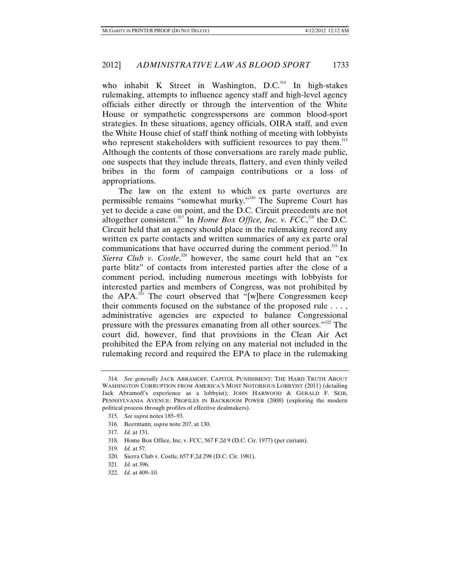who inhabit K Street in Washington,  $D.C.^{314}$  In high-stakes rulemaking, attempts to influence agency staff and high-level agency officials either directly or through the intervention of the White House or sympathetic congresspersons are common blood-sport strategies. In these situations, agency officials, OIRA staff, and even the White House chief of staff think nothing of meeting with lobbyists who represent stakeholders with sufficient resources to pay them.<sup>315</sup> Although the contents of those conversations are rarely made public, one suspects that they include threats, flattery, and even thinly veiled bribes in the form of campaign contributions or a loss of appropriations.

The law on the extent to which ex parte overtures are permissible remains "somewhat murky."316 The Supreme Court has yet to decide a case on point, and the D.C. Circuit precedents are not altogether consistent.<sup>317</sup> In *Home Box Office, Inc. v. FCC*,<sup>318</sup> the D.C. Circuit held that an agency should place in the rulemaking record any written ex parte contacts and written summaries of any ex parte oral communications that have occurred during the comment period.<sup>319</sup> In *Sierra Club v. Costle*,<sup>320</sup> however, the same court held that an "exparte blitz" of contacts from interested parties after the close of a comment period, including numerous meetings with lobbyists for interested parties and members of Congress, was not prohibited by the APA. $3\overline{21}$  The court observed that "[w]here Congressmen keep their comments focused on the substance of the proposed rule . . . , administrative agencies are expected to balance Congressional pressure with the pressures emanating from all other sources."<sup>322</sup> The court did, however, find that provisions in the Clean Air Act prohibited the EPA from relying on any material not included in the rulemaking record and required the EPA to place in the rulemaking

 <sup>314.</sup> *See generally* JACK ABRAMOFF, CAPITOL PUNISHMENT: THE HARD TRUTH ABOUT WASHINGTON CORRUPTION FROM AMERICA'S MOST NOTORIOUS LOBBYIST (2011) (detailing Jack Abramoff's experience as a lobbyist); JOHN HARWOOD & GERALD F. SEIB, PENNSYLVANIA AVENUE: PROFILES IN BACKROOM POWER (2008) (exploring the modern political process through profiles of effective dealmakers).

 <sup>315.</sup> *See supra* notes 185–93.

 <sup>316.</sup> Beermann, *supra* note 207, at 130.

 <sup>317.</sup> *Id.* at 131.

 <sup>318.</sup> Home Box Office, Inc. v. FCC, 567 F.2d 9 (D.C. Cir. 1977) (per curiam).

 <sup>319.</sup> *Id.* at 57.

 <sup>320.</sup> Sierra Club v. Costle, 657 F.2d 298 (D.C. Cir. 1981).

 <sup>321.</sup> *Id.* at 396.

 <sup>322.</sup> *Id.* at 409–10.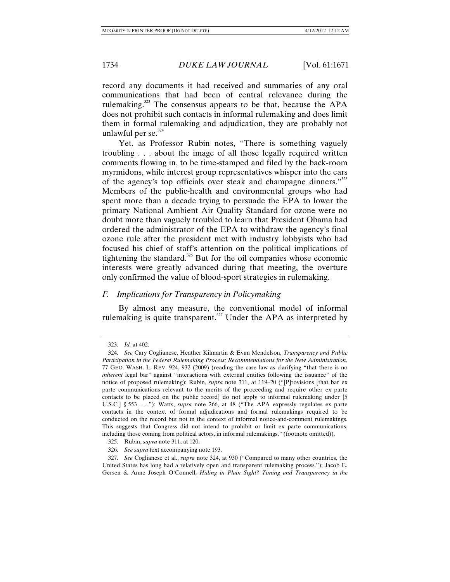record any documents it had received and summaries of any oral communications that had been of central relevance during the rulemaking.<sup>323</sup> The consensus appears to be that, because the APA does not prohibit such contacts in informal rulemaking and does limit them in formal rulemaking and adjudication, they are probably not unlawful per se. $324$ 

Yet, as Professor Rubin notes, "There is something vaguely troubling . . . about the image of all those legally required written comments flowing in, to be time-stamped and filed by the back-room myrmidons, while interest group representatives whisper into the ears of the agency's top officials over steak and champagne dinners."<sup>325</sup> Members of the public-health and environmental groups who had spent more than a decade trying to persuade the EPA to lower the primary National Ambient Air Quality Standard for ozone were no doubt more than vaguely troubled to learn that President Obama had ordered the administrator of the EPA to withdraw the agency's final ozone rule after the president met with industry lobbyists who had focused his chief of staff's attention on the political implications of tightening the standard. $326$  But for the oil companies whose economic interests were greatly advanced during that meeting, the overture only confirmed the value of blood-sport strategies in rulemaking.

# *F. Implications for Transparency in Policymaking*

By almost any measure, the conventional model of informal rulemaking is quite transparent.<sup>327</sup> Under the APA as interpreted by

 <sup>323.</sup> *Id.* at 402.

 <sup>324.</sup> *See* Cary Coglianese, Heather Kilmartin & Evan Mendelson, *Transparency and Public Participation in the Federal Rulemaking Process: Recommendations for the New Administration*, 77 GEO. WASH. L. REV. 924, 932 (2009) (reading the case law as clarifying "that there is no *inherent* legal bar" against "interactions with external entities following the issuance" of the notice of proposed rulemaking); Rubin, *supra* note 311, at 119–20 ("[P]rovisions [that bar ex parte communications relevant to the merits of the proceeding and require other ex parte contacts to be placed on the public record] do not apply to informal rulemaking under [5 U.S.C.] § 553 . . . ."); Watts, *supra* note 266, at 48 ("The APA expressly regulates ex parte contacts in the context of formal adjudications and formal rulemakings required to be conducted on the record but not in the context of informal notice-and-comment rulemakings. This suggests that Congress did not intend to prohibit or limit ex parte communications, including those coming from political actors, in informal rulemakings." (footnote omitted)).

 <sup>325.</sup> Rubin, *supra* note 311, at 120.

 <sup>326.</sup> *See supra* text accompanying note 193.

 <sup>327.</sup> *See* Coglianese et al., *supra* note 324, at 930 ("Compared to many other countries, the United States has long had a relatively open and transparent rulemaking process."); Jacob E. Gersen & Anne Joseph O'Connell, *Hiding in Plain Sight? Timing and Transparency in the*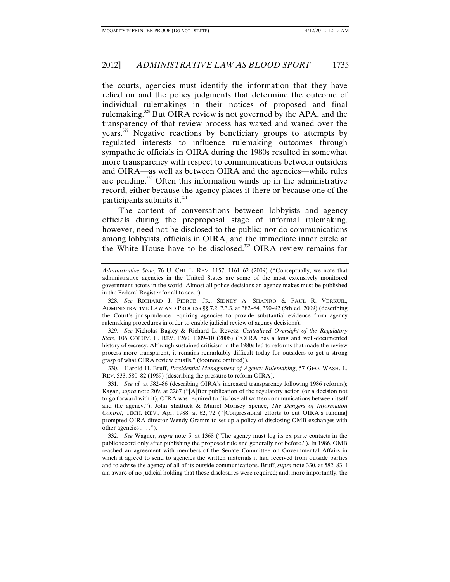the courts, agencies must identify the information that they have relied on and the policy judgments that determine the outcome of individual rulemakings in their notices of proposed and final rulemaking.<sup>328</sup> But OIRA review is not governed by the APA, and the transparency of that review process has waxed and waned over the years.329 Negative reactions by beneficiary groups to attempts by regulated interests to influence rulemaking outcomes through sympathetic officials in OIRA during the 1980s resulted in somewhat more transparency with respect to communications between outsiders and OIRA—as well as between OIRA and the agencies—while rules are pending.330 Often this information winds up in the administrative record, either because the agency places it there or because one of the participants submits it. $331$ 

The content of conversations between lobbyists and agency officials during the preproposal stage of informal rulemaking, however, need not be disclosed to the public; nor do communications among lobbyists, officials in OIRA, and the immediate inner circle at the White House have to be disclosed.<sup>332</sup> OIRA review remains far

 329. *See* Nicholas Bagley & Richard L. Revesz, *Centralized Oversight of the Regulatory State*, 106 COLUM. L. REV. 1260, 1309–10 (2006) ("OIRA has a long and well-documented history of secrecy. Although sustained criticism in the 1980s led to reforms that made the review process more transparent, it remains remarkably difficult today for outsiders to get a strong grasp of what OIRA review entails." (footnote omitted)).

 330. Harold H. Bruff, *Presidential Management of Agency Rulemaking*, 57 GEO. WASH. L. REV. 533, 580–82 (1989) (describing the pressure to reform OIRA).

 331. *See id.* at 582–86 (describing OIRA's increased transparency following 1986 reforms); Kagan, *supra* note 209, at 2287 ("[A]fter publication of the regulatory action (or a decision not to go forward with it), OIRA was required to disclose all written communications between itself and the agency."); John Shattuck & Muriel Morisey Spence, *The Dangers of Information Control*, TECH. REV., Apr. 1988, at 62, 72 ("[Congressional efforts to cut OIRA's funding] prompted OIRA director Wendy Gramm to set up a policy of disclosing OMB exchanges with other agencies . . . .").

 332. *See* Wagner, *supra* note 5, at 1368 ("The agency must log its ex parte contacts in the public record only after publishing the proposed rule and generally not before."). In 1986, OMB reached an agreement with members of the Senate Committee on Governmental Affairs in which it agreed to send to agencies the written materials it had received from outside parties and to advise the agency of all of its outside communications. Bruff, *supra* note 330, at 582–83. I am aware of no judicial holding that these disclosures were required; and, more importantly, the

*Administrative State*, 76 U. CHI. L. REV. 1157, 1161–62 (2009) ("Conceptually, we note that administrative agencies in the United States are some of the most extensively monitored government actors in the world. Almost all policy decisions an agency makes must be published in the Federal Register for all to see.").

 <sup>328.</sup> *See* RICHARD J. PIERCE, JR., SIDNEY A. SHAPIRO & PAUL R. VERKUIL, ADMINISTRATIVE LAW AND PROCESS §§ 7.2, 7.3.3, at 382–84, 390–92 (5th ed. 2009) (describing the Court's jurisprudence requiring agencies to provide substantial evidence from agency rulemaking procedures in order to enable judicial review of agency decisions).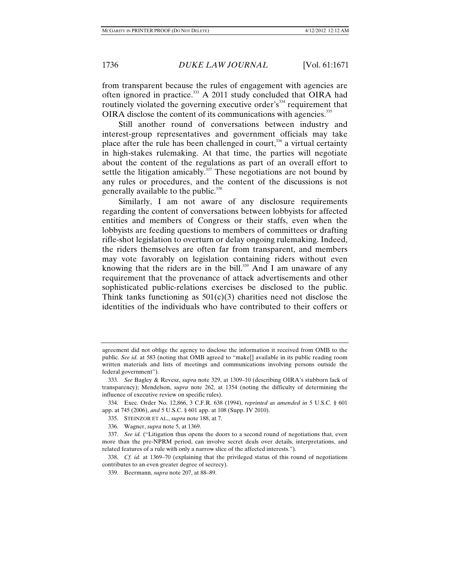from transparent because the rules of engagement with agencies are often ignored in practice.<sup>333</sup> A 2011 study concluded that OIRA had routinely violated the governing executive order's<sup>334</sup> requirement that OIRA disclose the content of its communications with agencies.<sup>335</sup>

Still another round of conversations between industry and interest-group representatives and government officials may take place after the rule has been challenged in court, $336$  a virtual certainty in high-stakes rulemaking. At that time, the parties will negotiate about the content of the regulations as part of an overall effort to settle the litigation amicably.<sup>337</sup> These negotiations are not bound by any rules or procedures, and the content of the discussions is not generally available to the public.<sup>338</sup>

Similarly, I am not aware of any disclosure requirements regarding the content of conversations between lobbyists for affected entities and members of Congress or their staffs, even when the lobbyists are feeding questions to members of committees or drafting rifle-shot legislation to overturn or delay ongoing rulemaking. Indeed, the riders themselves are often far from transparent, and members may vote favorably on legislation containing riders without even knowing that the riders are in the bill.<sup>339</sup> And I am unaware of any requirement that the provenance of attack advertisements and other sophisticated public-relations exercises be disclosed to the public. Think tanks functioning as  $501(c)(3)$  charities need not disclose the identities of the individuals who have contributed to their coffers or

336. Wagner, *supra* note 5, at 1369.

agreement did not oblige the agency to disclose the information it received from OMB to the public. *See id.* at 583 (noting that OMB agreed to "make[] available in its public reading room written materials and lists of meetings and communications involving persons outside the federal government").

 <sup>333.</sup> *See* Bagley & Revesz, *supra* note 329, at 1309–10 (describing OIRA's stubborn lack of transparency); Mendelson, *supra* note 262, at 1354 (noting the difficulty of determining the influence of executive review on specific rules).

 <sup>334.</sup> Exec. Order No. 12,866, 3 C.F.R. 638 (1994), *reprinted as amended in* 5 U.S.C. § 601 app. at 745 (2006), *and* 5 U.S.C. § 601 app. at 108 (Supp. IV 2010).

 <sup>335.</sup> STEINZOR ET AL., *supra* note 188, at 7.

 <sup>337.</sup> *See id.* ("Litigation thus opens the doors to a second round of negotiations that, even more than the pre-NPRM period, can involve secret deals over details, interpretations, and related features of a rule with only a narrow slice of the affected interests.").

 <sup>338.</sup> *Cf. id.* at 1369–70 (explaining that the privileged status of this round of negotiations contributes to an even greater degree of secrecy).

 <sup>339.</sup> Beermann, *supra* note 207, at 88–89.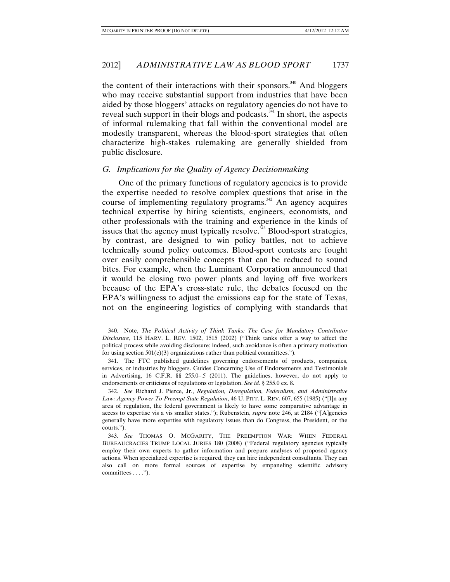the content of their interactions with their sponsors.<sup>340</sup> And bloggers who may receive substantial support from industries that have been aided by those bloggers' attacks on regulatory agencies do not have to reveal such support in their blogs and podcasts. $341$  In short, the aspects of informal rulemaking that fall within the conventional model are modestly transparent, whereas the blood-sport strategies that often characterize high-stakes rulemaking are generally shielded from public disclosure.

### *G. Implications for the Quality of Agency Decisionmaking*

One of the primary functions of regulatory agencies is to provide the expertise needed to resolve complex questions that arise in the course of implementing regulatory programs.<sup> $342$ </sup> An agency acquires technical expertise by hiring scientists, engineers, economists, and other professionals with the training and experience in the kinds of issues that the agency must typically resolve.<sup>343</sup> Blood-sport strategies, by contrast, are designed to win policy battles, not to achieve technically sound policy outcomes. Blood-sport contests are fought over easily comprehensible concepts that can be reduced to sound bites. For example, when the Luminant Corporation announced that it would be closing two power plants and laying off five workers because of the EPA's cross-state rule, the debates focused on the EPA's willingness to adjust the emissions cap for the state of Texas, not on the engineering logistics of complying with standards that

 <sup>340.</sup> Note, *The Political Activity of Think Tanks: The Case for Mandatory Contributor Disclosure*, 115 HARV. L. REV. 1502, 1515 (2002) ("Think tanks offer a way to affect the political process while avoiding disclosure; indeed, such avoidance is often a primary motivation for using section  $501(c)(3)$  organizations rather than political committees.").

 <sup>341.</sup> The FTC published guidelines governing endorsements of products, companies, services, or industries by bloggers. Guides Concerning Use of Endorsements and Testimonials in Advertising, 16 C.F.R. §§ 255.0–.5 (2011). The guidelines, however, do not apply to endorsements or criticisms of regulations or legislation. *See id.* § 255.0 ex. 8.

 <sup>342.</sup> *See* Richard J. Pierce, Jr., *Regulation, Deregulation, Federalism, and Administrative Law: Agency Power To Preempt State Regulation*, 46 U. PITT. L. REV. 607, 655 (1985) ("[I]n any area of regulation, the federal government is likely to have some comparative advantage in access to expertise vis a vis smaller states."); Rubenstein, *supra* note 246, at 2184 ("[A]gencies generally have more expertise with regulatory issues than do Congress, the President, or the courts.").

 <sup>343.</sup> *See* THOMAS O. MCGARITY, THE PREEMPTION WAR: WHEN FEDERAL BUREAUCRACIES TRUMP LOCAL JURIES 180 (2008) ("Federal regulatory agencies typically employ their own experts to gather information and prepare analyses of proposed agency actions. When specialized expertise is required, they can hire independent consultants. They can also call on more formal sources of expertise by empaneling scientific advisory committees . . . .").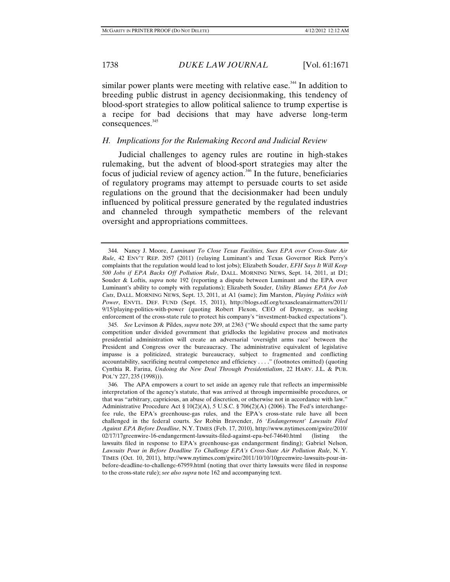similar power plants were meeting with relative ease.<sup>344</sup> In addition to breeding public distrust in agency decisionmaking, this tendency of blood-sport strategies to allow political salience to trump expertise is a recipe for bad decisions that may have adverse long-term consequences.<sup>345</sup>

### *H. Implications for the Rulemaking Record and Judicial Review*

Judicial challenges to agency rules are routine in high-stakes rulemaking, but the advent of blood-sport strategies may alter the focus of judicial review of agency action. $346$  In the future, beneficiaries of regulatory programs may attempt to persuade courts to set aside regulations on the ground that the decisionmaker had been unduly influenced by political pressure generated by the regulated industries and channeled through sympathetic members of the relevant oversight and appropriations committees.

 <sup>344.</sup> Nancy J. Moore, *Luminant To Close Texas Facilities, Sues EPA over Cross-State Air Rule*, 42 ENV'T REP. 2057 (2011) (relaying Luminant's and Texas Governor Rick Perry's complaints that the regulation would lead to lost jobs); Elizabeth Souder, *EFH Says It Will Keep 500 Jobs if EPA Backs Off Pollution Rule*, DALL. MORNING NEWS, Sept. 14, 2011, at D1; Souder & Loftis, *supra* note 192 (reporting a dispute between Luminant and the EPA over Luminant's ability to comply with regulations); Elizabeth Souder, *Utility Blames EPA for Job Cuts*, DALL. MORNING NEWS, Sept. 13, 2011, at A1 (same); Jim Marston, *Playing Politics with Power*, ENVTL. DEF. FUND (Sept. 15, 2011), http://blogs.edf.org/texascleanairmatters/2011/ 9/15/playing-politics-with-power (quoting Robert Flexon, CEO of Dynergy, as seeking enforcement of the cross-state rule to protect his company's "investment-backed expectations").

 <sup>345.</sup> *See* Levinson & Pildes, *supra* note 209, at 2363 ("We should expect that the same party competition under divided government that gridlocks the legislative process and motivates presidential administration will create an adversarial 'oversight arms race' between the President and Congress over the bureaucracy. The administrative equivalent of legislative impasse is a politicized, strategic bureaucracy, subject to fragmented and conflicting accountability, sacrificing neutral competence and efficiency . . . ." (footnotes omitted) (quoting Cynthia R. Farina, *Undoing the New Deal Through Presidentialism*, 22 HARV. J.L. & PUB. POL'Y 227, 235 (1998))).

 <sup>346.</sup> The APA empowers a court to set aside an agency rule that reflects an impermissible interpretation of the agency's statute, that was arrived at through impermissible procedures, or that was "arbitrary, capricious, an abuse of discretion, or otherwise not in accordance with law." Administrative Procedure Act  $\S 10(2)(A)$ , 5 U.S.C.  $\S 706(2)(A)$  (2006). The Fed's interchangefee rule, the EPA's greenhouse-gas rules, and the EPA's cross-state rule have all been challenged in the federal courts. *See* Robin Bravender, *16 'Endangerment' Lawsuits Filed Against EPA Before Deadline*, N.Y. TIMES (Feb. 17, 2010), http://www.nytimes.com/gwire/2010/ 02/17/17greenwire-16-endangerment-lawsuits-filed-against-epa-bef-74640.html (listing the lawsuits filed in response to EPA's greenhouse-gas endangerment finding); Gabriel Nelson, Lawsuits Pour in Before Deadline To Challenge EPA's Cross-State Air Pollution Rule, N.Y. TIMES (Oct. 10, 2011), http://www.nytimes.com/gwire/2011/10/10/10greenwire-lawsuits-pour-inbefore-deadline-to-challenge-67959.html (noting that over thirty lawsuits were filed in response to the cross-state rule); *see also supra* note 162 and accompanying text.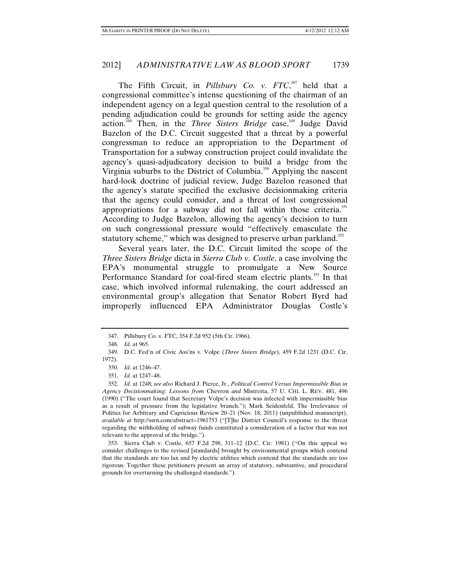The Fifth Circuit, in *Pillsbury Co. v. FTC*, 347 held that a congressional committee's intense questioning of the chairman of an independent agency on a legal question central to the resolution of a pending adjudication could be grounds for setting aside the agency action.<sup>348</sup> Then, in the *Three Sisters Bridge* case,<sup>349</sup> Judge David Bazelon of the D.C. Circuit suggested that a threat by a powerful congressman to reduce an appropriation to the Department of Transportation for a subway construction project could invalidate the agency's quasi-adjudicatory decision to build a bridge from the Virginia suburbs to the District of Columbia.<sup>350</sup> Applying the nascent hard-look doctrine of judicial review, Judge Bazelon reasoned that the agency's statute specified the exclusive decisionmaking criteria that the agency could consider, and a threat of lost congressional appropriations for a subway did not fall within those criteria.<sup>351</sup> According to Judge Bazelon, allowing the agency's decision to turn on such congressional pressure would "effectively emasculate the statutory scheme," which was designed to preserve urban parkland.<sup>352</sup>

Several years later, the D.C. Circuit limited the scope of the *Three Sisters Bridge* dicta in *Sierra Club v. Costle*, a case involving the EPA's monumental struggle to promulgate a New Source Performance Standard for coal-fired steam electric plants.<sup>353</sup> In that case, which involved informal rulemaking, the court addressed an environmental group's allegation that Senator Robert Byrd had improperly influenced EPA Administrator Douglas Costle's

 <sup>347.</sup> Pillsbury Co. v. FTC, 354 F.2d 952 (5th Cir. 1966).

 <sup>348.</sup> *Id.* at 965.

 <sup>349.</sup> D.C. Fed'n of Civic Ass'ns v. Volpe (*Three Sisters Bridge*), 459 F.2d 1231 (D.C. Cir. 1972).

 <sup>350.</sup> *Id.* at 1246–47.

 <sup>351.</sup> *Id.* at 1247–48.

 <sup>352.</sup> *Id.* at 1248; *see also* Richard J. Pierce, Jr., *Political Control Versus Impermissible Bias in Agency Decisionmaking: Lessons from* Chevron *and* Mistretta, 57 U. CHI. L. REV. 481, 496 (1990) ("The court found that Secretary Volpe's decision was infected with impermissible bias as a result of pressure from the legislative branch."); Mark Seidenfeld, The Irrelevance of Politics for Arbitrary and Capricious Review 20–21 (Nov. 18, 2011) (unpublished manuscript), *available at* http://ssrn.com/abstract=1961753 ("[T]he District Council's response to the threat regarding the withholding of subway funds constituted a consideration of a factor that was not relevant to the approval of the bridge.").

 <sup>353.</sup> Sierra Club v. Costle, 657 F.2d 298, 311–12 (D.C. Cir. 1981) ("On this appeal we consider challenges to the revised [standards] brought by environmental groups which contend that the standards are too lax and by electric utilities which contend that the standards are too rigorous. Together these petitioners present an array of statutory, substantive, and procedural grounds for overturning the challenged standards.").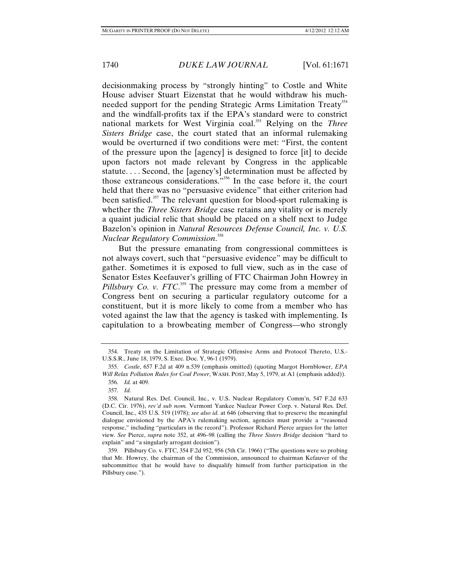decisionmaking process by "strongly hinting" to Costle and White House adviser Stuart Eizenstat that he would withdraw his muchneeded support for the pending Strategic Arms Limitation Treaty<sup>354</sup> and the windfall-profits tax if the EPA's standard were to constrict national markets for West Virginia coal.355 Relying on the *Three Sisters Bridge* case, the court stated that an informal rulemaking would be overturned if two conditions were met: "First, the content of the pressure upon the [agency] is designed to force [it] to decide upon factors not made relevant by Congress in the applicable statute. . . . Second, the [agency's] determination must be affected by those extraneous considerations."356 In the case before it, the court held that there was no "persuasive evidence" that either criterion had been satisfied.<sup>357</sup> The relevant question for blood-sport rulemaking is whether the *Three Sisters Bridge* case retains any vitality or is merely a quaint judicial relic that should be placed on a shelf next to Judge Bazelon's opinion in *Natural Resources Defense Council, Inc. v. U.S. Nuclear Regulatory Commission*. 358

But the pressure emanating from congressional committees is not always covert, such that "persuasive evidence" may be difficult to gather. Sometimes it is exposed to full view, such as in the case of Senator Estes Keefauver's grilling of FTC Chairman John Howrey in *Pillsbury Co. v. FTC*<sup>359</sup> The pressure may come from a member of Congress bent on securing a particular regulatory outcome for a constituent, but it is more likely to come from a member who has voted against the law that the agency is tasked with implementing. Is capitulation to a browbeating member of Congress—who strongly

 <sup>354.</sup> Treaty on the Limitation of Strategic Offensive Arms and Protocol Thereto, U.S.- U.S.S.R., June 18, 1979, S. Exec. Doc. Y, 96-1 (1979).

 <sup>355.</sup> *Costle*, 657 F.2d at 409 n.539 (emphasis omitted) (quoting Margot Hornblower, *EPA Will Relax Pollution Rules for Coal Power*, WASH. POST, May 5, 1979, at A1 (emphasis added)). 356. *Id.* at 409.

 <sup>357.</sup> *Id.*

 <sup>358.</sup> Natural Res. Def. Council, Inc., v. U.S. Nuclear Regulatory Comm'n, 547 F.2d 633 (D.C. Cir. 1976), *rev'd sub nom.* Vermont Yankee Nuclear Power Corp. v. Natural Res. Def. Council, Inc., 435 U.S. 519 (1978); *see also id.* at 646 (observing that to preserve the meaningful dialogue envisioned by the APA's rulemaking section, agencies must provide a "reasoned response," including "particulars in the record"). Professor Richard Pierce argues for the latter view. *See* Pierce, *supra* note 352, at 496–98 (calling the *Three Sisters Bridge* decision "hard to explain" and "a singularly arrogant decision").

 <sup>359.</sup> Pillsbury Co. v. FTC, 354 F.2d 952, 956 (5th Cir. 1966) ("The questions were so probing that Mr. Howrey, the chairman of the Commission, announced to chairman Kefauver of the subcommittee that he would have to disqualify himself from further participation in the Pillsbury case.").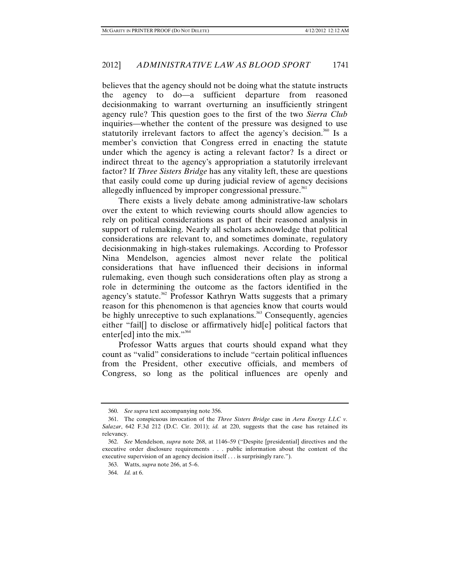believes that the agency should not be doing what the statute instructs the agency to do—a sufficient departure from reasoned decisionmaking to warrant overturning an insufficiently stringent agency rule? This question goes to the first of the two *Sierra Club* inquiries—whether the content of the pressure was designed to use statutorily irrelevant factors to affect the agency's decision.<sup>360</sup> Is a member's conviction that Congress erred in enacting the statute under which the agency is acting a relevant factor? Is a direct or indirect threat to the agency's appropriation a statutorily irrelevant factor? If *Three Sisters Bridge* has any vitality left, these are questions that easily could come up during judicial review of agency decisions allegedly influenced by improper congressional pressure.<sup>361</sup>

There exists a lively debate among administrative-law scholars over the extent to which reviewing courts should allow agencies to rely on political considerations as part of their reasoned analysis in support of rulemaking. Nearly all scholars acknowledge that political considerations are relevant to, and sometimes dominate, regulatory decisionmaking in high-stakes rulemakings. According to Professor Nina Mendelson, agencies almost never relate the political considerations that have influenced their decisions in informal rulemaking, even though such considerations often play as strong a role in determining the outcome as the factors identified in the agency's statute.<sup>362</sup> Professor Kathryn Watts suggests that a primary reason for this phenomenon is that agencies know that courts would be highly unreceptive to such explanations.<sup>363</sup> Consequently, agencies either "fail[] to disclose or affirmatively hid[e] political factors that enter[ed] into the mix." $364$ 

Professor Watts argues that courts should expand what they count as "valid" considerations to include "certain political influences from the President, other executive officials, and members of Congress, so long as the political influences are openly and

 <sup>360.</sup> *See supra* text accompanying note 356.

 <sup>361.</sup> The conspicuous invocation of the *Three Sisters Bridge* case in *Aera Energy LLC v. Salazar*, 642 F.3d 212 (D.C. Cir. 2011); *id.* at 220, suggests that the case has retained its relevancy.

 <sup>362.</sup> *See* Mendelson, *supra* note 268, at 1146–59 ("Despite [presidential] directives and the executive order disclosure requirements . . . public information about the content of the executive supervision of an agency decision itself . . . is surprisingly rare.").

 <sup>363.</sup> Watts, *supra* note 266, at 5–6.

 <sup>364.</sup> *Id.* at 6.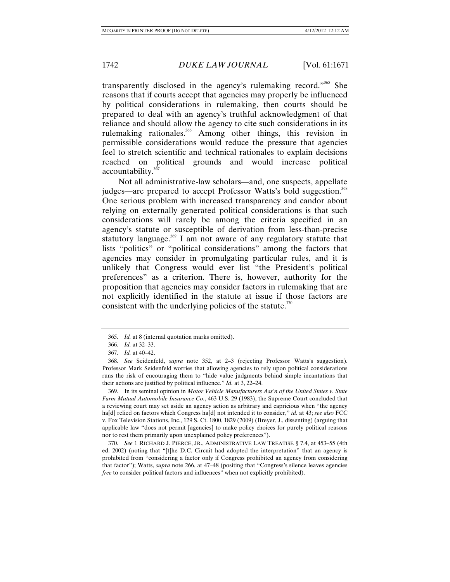transparently disclosed in the agency's rulemaking record."<sup>365</sup> She reasons that if courts accept that agencies may properly be influenced by political considerations in rulemaking, then courts should be prepared to deal with an agency's truthful acknowledgment of that reliance and should allow the agency to cite such considerations in its rulemaking rationales.<sup>366</sup> Among other things, this revision in permissible considerations would reduce the pressure that agencies feel to stretch scientific and technical rationales to explain decisions reached on political grounds and would increase political accountability.<sup>367</sup>

Not all administrative-law scholars—and, one suspects, appellate judges—are prepared to accept Professor Watts's bold suggestion.<sup>368</sup> One serious problem with increased transparency and candor about relying on externally generated political considerations is that such considerations will rarely be among the criteria specified in an agency's statute or susceptible of derivation from less-than-precise statutory language.<sup>369</sup> I am not aware of any regulatory statute that lists "politics" or "political considerations" among the factors that agencies may consider in promulgating particular rules, and it is unlikely that Congress would ever list "the President's political preferences" as a criterion. There is, however, authority for the proposition that agencies may consider factors in rulemaking that are not explicitly identified in the statute at issue if those factors are consistent with the underlying policies of the statute.<sup> $370$ </sup>

 369. In its seminal opinion in *Motor Vehicle Manufacturers Ass'n of the United States v. State Farm Mutual Automobile Insurance Co.*, 463 U.S. 29 (1983), the Supreme Court concluded that a reviewing court may set aside an agency action as arbitrary and capricious when "the agency ha[d] relied on factors which Congress ha[d] not intended it to consider," *id.* at 43; *see also* FCC v. Fox Television Stations, Inc., 129 S. Ct. 1800, 1829 (2009) (Breyer, J., dissenting) (arguing that applicable law "does not permit [agencies] to make policy choices for purely political reasons nor to rest them primarily upon unexplained policy preferences").

 370. *See* 1 RICHARD J. PIERCE, JR., ADMINISTRATIVE LAW TREATISE § 7.4, at 453–55 (4th ed. 2002) (noting that "[t]he D.C. Circuit had adopted the interpretation" that an agency is prohibited from "considering a factor only if Congress prohibited an agency from considering that factor"); Watts, *supra* note 266, at 47–48 (positing that "Congress's silence leaves agencies *free* to consider political factors and influences" when not explicitly prohibited).

 <sup>365.</sup> *Id.* at 8 (internal quotation marks omitted).

 <sup>366.</sup> *Id.* at 32–33.

 <sup>367.</sup> *Id.* at 40–42.

 <sup>368.</sup> *See* Seidenfeld, *supra* note 352, at 2–3 (rejecting Professor Watts's suggestion). Professor Mark Seidenfeld worries that allowing agencies to rely upon political considerations runs the risk of encouraging them to "hide value judgments behind simple incantations that their actions are justified by political influence." *Id.* at 3, 22–24.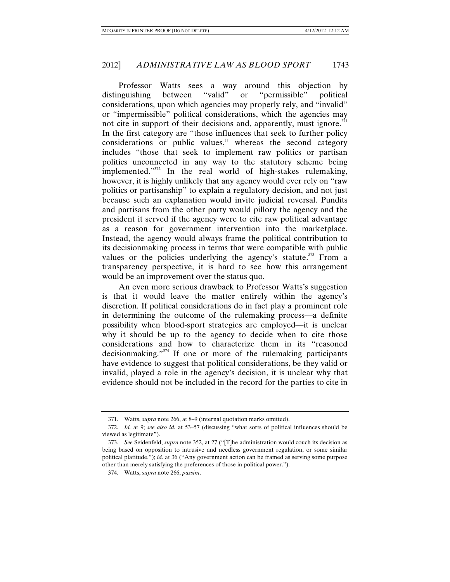Professor Watts sees a way around this objection by distinguishing between "valid" or "permissible" political considerations, upon which agencies may properly rely, and "invalid" or "impermissible" political considerations, which the agencies may not cite in support of their decisions and, apparently, must ignore.<sup>371</sup> In the first category are "those influences that seek to further policy considerations or public values," whereas the second category includes "those that seek to implement raw politics or partisan politics unconnected in any way to the statutory scheme being implemented."<sup>372</sup> In the real world of high-stakes rulemaking, however, it is highly unlikely that any agency would ever rely on "raw politics or partisanship" to explain a regulatory decision, and not just because such an explanation would invite judicial reversal. Pundits and partisans from the other party would pillory the agency and the president it served if the agency were to cite raw political advantage as a reason for government intervention into the marketplace. Instead, the agency would always frame the political contribution to its decisionmaking process in terms that were compatible with public values or the policies underlying the agency's statute.<sup>373</sup> From a transparency perspective, it is hard to see how this arrangement would be an improvement over the status quo.

An even more serious drawback to Professor Watts's suggestion is that it would leave the matter entirely within the agency's discretion. If political considerations do in fact play a prominent role in determining the outcome of the rulemaking process—a definite possibility when blood-sport strategies are employed—it is unclear why it should be up to the agency to decide when to cite those considerations and how to characterize them in its "reasoned decisionmaking."<sup>374</sup> If one or more of the rulemaking participants have evidence to suggest that political considerations, be they valid or invalid, played a role in the agency's decision, it is unclear why that evidence should not be included in the record for the parties to cite in

 <sup>371.</sup> Watts, *supra* note 266, at 8–9 (internal quotation marks omitted).

 <sup>372.</sup> *Id.* at 9; *see also id.* at 53–57 (discussing "what sorts of political influences should be viewed as legitimate").

 <sup>373.</sup> *See* Seidenfeld, *supra* note 352, at 27 ("[T]he administration would couch its decision as being based on opposition to intrusive and needless government regulation, or some similar political platitude."); *id.* at 36 ("Any government action can be framed as serving some purpose other than merely satisfying the preferences of those in political power.").

 <sup>374.</sup> Watts, *supra* note 266, *passim*.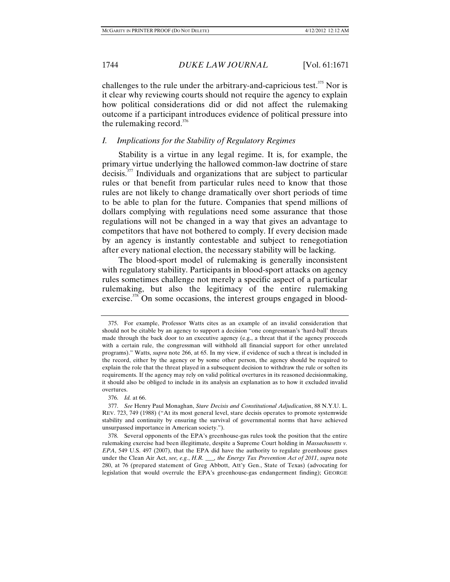challenges to the rule under the arbitrary-and-capricious test.<sup>375</sup> Nor is it clear why reviewing courts should not require the agency to explain how political considerations did or did not affect the rulemaking outcome if a participant introduces evidence of political pressure into the rulemaking record. $376$ 

### *I. Implications for the Stability of Regulatory Regimes*

Stability is a virtue in any legal regime. It is, for example, the primary virtue underlying the hallowed common-law doctrine of stare  $\alpha$  decisis.<sup>377</sup> Individuals and organizations that are subject to particular rules or that benefit from particular rules need to know that those rules are not likely to change dramatically over short periods of time to be able to plan for the future. Companies that spend millions of dollars complying with regulations need some assurance that those regulations will not be changed in a way that gives an advantage to competitors that have not bothered to comply. If every decision made by an agency is instantly contestable and subject to renegotiation after every national election, the necessary stability will be lacking.

The blood-sport model of rulemaking is generally inconsistent with regulatory stability. Participants in blood-sport attacks on agency rules sometimes challenge not merely a specific aspect of a particular rulemaking, but also the legitimacy of the entire rulemaking exercise. $378$  On some occasions, the interest groups engaged in blood-

 <sup>375.</sup> For example, Professor Watts cites as an example of an invalid consideration that should not be citable by an agency to support a decision "one congressman's 'hard-ball' threats made through the back door to an executive agency (e.g., a threat that if the agency proceeds with a certain rule, the congressman will withhold all financial support for other unrelated programs)." Watts, *supra* note 266, at 65. In my view, if evidence of such a threat is included in the record, either by the agency or by some other person, the agency should be required to explain the role that the threat played in a subsequent decision to withdraw the rule or soften its requirements. If the agency may rely on valid political overtures in its reasoned decisionmaking, it should also be obliged to include in its analysis an explanation as to how it excluded invalid overtures.

 <sup>376.</sup> *Id.* at 66.

 <sup>377.</sup> *See* Henry Paul Monaghan, *Stare Decisis and Constitutional Adjudication*, 88 N.Y.U. L. REV. 723, 749 (1988) ("At its most general level, stare decisis operates to promote systemwide stability and continuity by ensuring the survival of governmental norms that have achieved unsurpassed importance in American society.").

 <sup>378.</sup> Several opponents of the EPA's greenhouse-gas rules took the position that the entire rulemaking exercise had been illegitimate, despite a Supreme Court holding in *Massachusetts v. EPA*, 549 U.S. 497 (2007), that the EPA did have the authority to regulate greenhouse gases under the Clean Air Act, *see, e.g.*, *H.R. \_\_\_, the Energy Tax Prevention Act of 2011*, *supra* note 280, at 76 (prepared statement of Greg Abbott, Att'y Gen., State of Texas) (advocating for legislation that would overrule the EPA's greenhouse-gas endangerment finding); GEORGE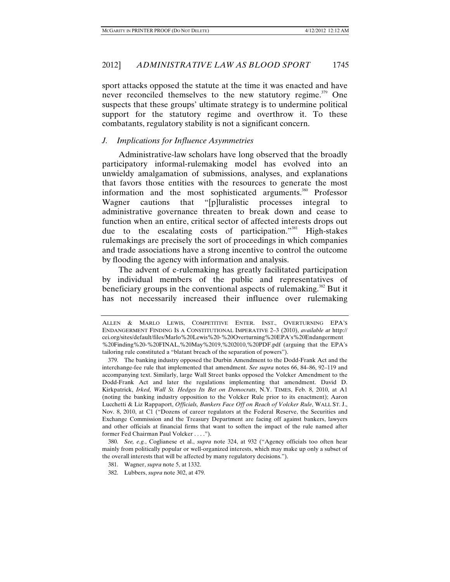sport attacks opposed the statute at the time it was enacted and have never reconciled themselves to the new statutory regime.<sup>379</sup> One suspects that these groups' ultimate strategy is to undermine political support for the statutory regime and overthrow it. To these combatants, regulatory stability is not a significant concern.

# *J. Implications for Influence Asymmetries*

Administrative-law scholars have long observed that the broadly participatory informal-rulemaking model has evolved into an unwieldy amalgamation of submissions, analyses, and explanations that favors those entities with the resources to generate the most information and the most sophisticated arguments.<sup>380</sup> Professor Wagner cautions that "[p]luralistic processes integral to administrative governance threaten to break down and cease to function when an entire, critical sector of affected interests drops out due to the escalating costs of participation."<sup>381</sup> High-stakes rulemakings are precisely the sort of proceedings in which companies and trade associations have a strong incentive to control the outcome by flooding the agency with information and analysis.

The advent of e-rulemaking has greatly facilitated participation by individual members of the public and representatives of beneficiary groups in the conventional aspects of rulemaking.<sup>382</sup> But it has not necessarily increased their influence over rulemaking

ALLEN & MARLO LEWIS, COMPETITIVE ENTER. INST., OVERTURNING EPA'S ENDANGERMENT FINDING IS A CONSTITUTIONAL IMPERATIVE 2–3 (2010), *available at* http:// cei.org/sites/default/files/Marlo%20Lewis%20-%20Overturning%20EPA's%20Endangerment %20Finding%20-%20FINAL,%20May%2019,%202010,%20PDF.pdf (arguing that the EPA's tailoring rule constituted a "blatant breach of the separation of powers").

 <sup>379.</sup> The banking industry opposed the Durbin Amendment to the Dodd-Frank Act and the interchange-fee rule that implemented that amendment. *See supra* notes 66, 84–86, 92–119 and accompanying text. Similarly, large Wall Street banks opposed the Volcker Amendment to the Dodd-Frank Act and later the regulations implementing that amendment. David D. Kirkpatrick, *Irked, Wall St. Hedges Its Bet on Democrats*, N.Y. TIMES, Feb. 8, 2010, at A1 (noting the banking industry opposition to the Volcker Rule prior to its enactment); Aaron Lucchetti & Liz Rappaport, *Officials, Bankers Face Off on Reach of Volcker Rule*, WALL ST. J., Nov. 8, 2010, at C1 ("Dozens of career regulators at the Federal Reserve, the Securities and Exchange Commission and the Treasury Department are facing off against bankers, lawyers and other officials at financial firms that want to soften the impact of the rule named after former Fed Chairman Paul Volcker . . . .").

 <sup>380.</sup> *See, e.g.*, Coglianese et al., *supra* note 324, at 932 ("Agency officials too often hear mainly from politically popular or well-organized interests, which may make up only a subset of the overall interests that will be affected by many regulatory decisions.").

 <sup>381.</sup> Wagner, *supra* note 5, at 1332.

 <sup>382.</sup> Lubbers, *supra* note 302, at 479.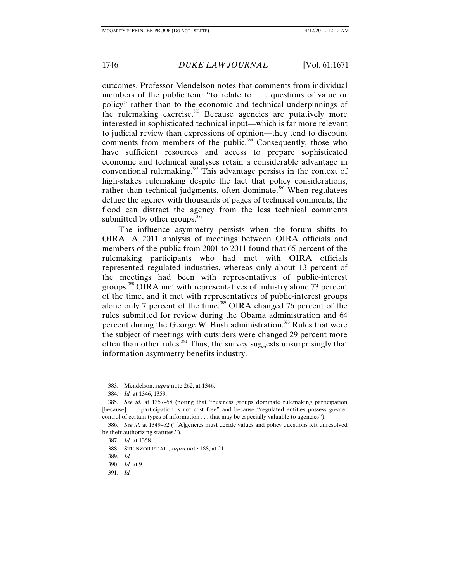outcomes. Professor Mendelson notes that comments from individual members of the public tend "to relate to . . . questions of value or policy" rather than to the economic and technical underpinnings of the rulemaking exercise.<sup>383</sup> Because agencies are putatively more interested in sophisticated technical input—which is far more relevant to judicial review than expressions of opinion—they tend to discount comments from members of the public.<sup>384</sup> Consequently, those who have sufficient resources and access to prepare sophisticated economic and technical analyses retain a considerable advantage in conventional rulemaking.<sup>385</sup> This advantage persists in the context of high-stakes rulemaking despite the fact that policy considerations, rather than technical judgments, often dominate.<sup>386</sup> When regulatees deluge the agency with thousands of pages of technical comments, the flood can distract the agency from the less technical comments submitted by other groups.<sup>387</sup>

The influence asymmetry persists when the forum shifts to OIRA. A 2011 analysis of meetings between OIRA officials and members of the public from 2001 to 2011 found that 65 percent of the rulemaking participants who had met with OIRA officials represented regulated industries, whereas only about 13 percent of the meetings had been with representatives of public-interest groups.388 OIRA met with representatives of industry alone 73 percent of the time, and it met with representatives of public-interest groups alone only 7 percent of the time.<sup>389</sup> OIRA changed 76 percent of the rules submitted for review during the Obama administration and 64 percent during the George W. Bush administration.<sup>390</sup> Rules that were the subject of meetings with outsiders were changed 29 percent more often than other rules.<sup>391</sup> Thus, the survey suggests unsurprisingly that information asymmetry benefits industry.

 <sup>383.</sup> Mendelson, *supra* note 262, at 1346.

 <sup>384.</sup> *Id.* at 1346, 1359.

 <sup>385.</sup> *See id.* at 1357–58 (noting that "business groups dominate rulemaking participation [because] . . . participation is not cost free" and because "regulated entities possess greater control of certain types of information . . . that may be especially valuable to agencies").

 <sup>386.</sup> *See id.* at 1349–52 ("[A]gencies must decide values and policy questions left unresolved by their authorizing statutes.").

 <sup>387.</sup> *Id.* at 1358.

 <sup>388.</sup> STEINZOR ET AL., *supra* note 188, at 21.

 <sup>389.</sup> *Id.*

 <sup>390.</sup> *Id.* at 9.

 <sup>391.</sup> *Id.*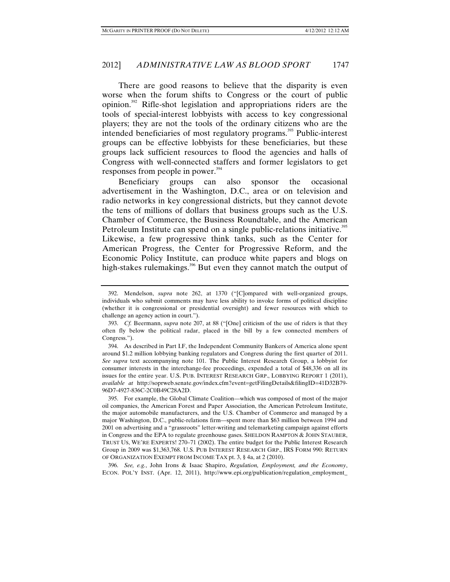There are good reasons to believe that the disparity is even worse when the forum shifts to Congress or the court of public opinion.392 Rifle-shot legislation and appropriations riders are the tools of special-interest lobbyists with access to key congressional players; they are not the tools of the ordinary citizens who are the intended beneficiaries of most regulatory programs.<sup>393</sup> Public-interest groups can be effective lobbyists for these beneficiaries, but these groups lack sufficient resources to flood the agencies and halls of Congress with well-connected staffers and former legislators to get responses from people in power.<sup>394</sup>

Beneficiary groups can also sponsor the occasional advertisement in the Washington, D.C., area or on television and radio networks in key congressional districts, but they cannot devote the tens of millions of dollars that business groups such as the U.S. Chamber of Commerce, the Business Roundtable, and the American Petroleum Institute can spend on a single public-relations initiative.<sup>395</sup> Likewise, a few progressive think tanks, such as the Center for

American Progress, the Center for Progressive Reform, and the Economic Policy Institute, can produce white papers and blogs on high-stakes rulemakings.<sup>396</sup> But even they cannot match the output of

 395. For example, the Global Climate Coalition—which was composed of most of the major oil companies, the American Forest and Paper Association, the American Petroleum Institute, the major automobile manufacturers, and the U.S. Chamber of Commerce and managed by a major Washington, D.C., public-relations firm—spent more than \$63 million between 1994 and 2001 on advertising and a "grassroots" letter-writing and telemarketing campaign against efforts in Congress and the EPA to regulate greenhouse gases. SHELDON RAMPTON & JOHN STAUBER, TRUST US, WE'RE EXPERTS! 270–71 (2002). The entire budget for the Public Interest Research Group in 2009 was \$1,363,768. U.S. PUB INTEREST RESEARCH GRP., IRS FORM 990: RETURN OF ORGANIZATION EXEMPT FROM INCOME TAX pt. 3, § 4a, at 2 (2010).

 396. *See, e.g.*, John Irons & Isaac Shapiro, *Regulation, Employment, and the Economy*, ECON. POL'Y INST. (Apr. 12, 2011), http://www.epi.org/publication/regulation\_employment\_

 <sup>392.</sup> Mendelson, *supra* note 262, at 1370 ("[C]ompared with well-organized groups, individuals who submit comments may have less ability to invoke forms of political discipline (whether it is congressional or presidential oversight) and fewer resources with which to challenge an agency action in court.").

 <sup>393.</sup> *Cf.* Beermann, *supra* note 207, at 88 ("[One] criticism of the use of riders is that they often fly below the political radar, placed in the bill by a few connected members of Congress.").

 <sup>394.</sup> As described in Part I.F, the Independent Community Bankers of America alone spent around \$1.2 million lobbying banking regulators and Congress during the first quarter of 2011. *See supra* text accompanying note 101. The Public Interest Research Group, a lobbyist for consumer interests in the interchange-fee proceedings, expended a total of \$48,336 on all its issues for the entire year. U.S. PUB. INTEREST RESEARCH GRP., LOBBYING REPORT 1 (2011), *available at* http://soprweb.senate.gov/index.cfm?event=getFilingDetails&filingID=41D32B79- 96D7-4927-836C-2C0B49C28A2D.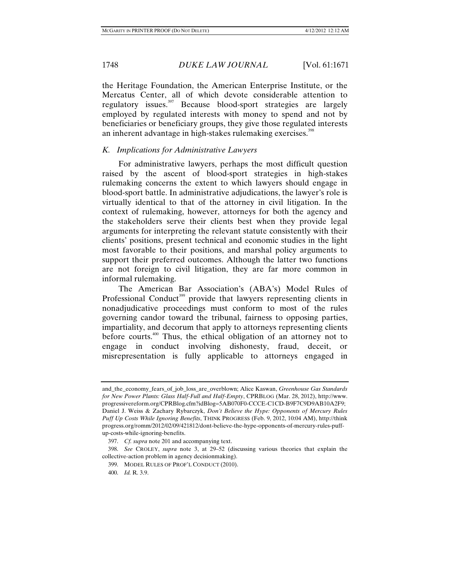the Heritage Foundation, the American Enterprise Institute, or the Mercatus Center, all of which devote considerable attention to regulatory issues.397 Because blood-sport strategies are largely employed by regulated interests with money to spend and not by beneficiaries or beneficiary groups, they give those regulated interests an inherent advantage in high-stakes rulemaking exercises.<sup>398</sup>

# *K. Implications for Administrative Lawyers*

For administrative lawyers, perhaps the most difficult question raised by the ascent of blood-sport strategies in high-stakes rulemaking concerns the extent to which lawyers should engage in blood-sport battle. In administrative adjudications, the lawyer's role is virtually identical to that of the attorney in civil litigation. In the context of rulemaking, however, attorneys for both the agency and the stakeholders serve their clients best when they provide legal arguments for interpreting the relevant statute consistently with their clients' positions, present technical and economic studies in the light most favorable to their positions, and marshal policy arguments to support their preferred outcomes. Although the latter two functions are not foreign to civil litigation, they are far more common in informal rulemaking.

The American Bar Association's (ABA's) Model Rules of Professional Conduct<sup>399</sup> provide that lawyers representing clients in nonadjudicative proceedings must conform to most of the rules governing candor toward the tribunal, fairness to opposing parties, impartiality, and decorum that apply to attorneys representing clients before courts.<sup>400</sup> Thus, the ethical obligation of an attorney not to engage in conduct involving dishonesty, fraud, deceit, or misrepresentation is fully applicable to attorneys engaged in

and\_the\_economy\_fears\_of\_job\_loss\_are\_overblown; Alice Kaswan, *Greenhouse Gas Standards for New Power Plants: Glass Half-Full and Half-Empty*, CPRBLOG (Mar. 28, 2012), http://www. progressivereform.org/CPRBlog.cfm?idBlog=5AB070F0-CCCE-C1CD-B9F7C9D9AB10A2F9; Daniel J. Weiss & Zachary Rybarczyk, *Don't Believe the Hype: Opponents of Mercury Rules Puff Up Costs While Ignoring Benefits*, THINK PROGRESS (Feb. 9, 2012, 10:04 AM), http://think progress.org/romm/2012/02/09/421812/dont-believe-the-hype-opponents-of-mercury-rules-puffup-costs-while-ignoring-benefits.

 <sup>397.</sup> *Cf. supra* note 201 and accompanying text.

 <sup>398.</sup> *See* CROLEY, *supra* note 3, at 29–52 (discussing various theories that explain the collective-action problem in agency decisionmaking).

 <sup>399.</sup> MODEL RULES OF PROF'L CONDUCT (2010).

 <sup>400.</sup> *Id.* R. 3.9.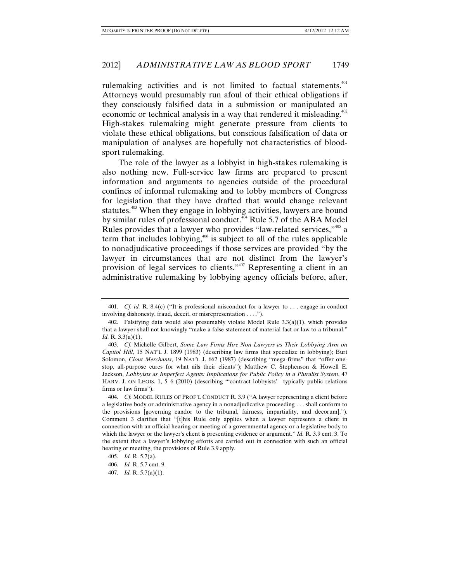rulemaking activities and is not limited to factual statements.<sup>401</sup> Attorneys would presumably run afoul of their ethical obligations if they consciously falsified data in a submission or manipulated an economic or technical analysis in a way that rendered it misleading.<sup>402</sup> High-stakes rulemaking might generate pressure from clients to violate these ethical obligations, but conscious falsification of data or manipulation of analyses are hopefully not characteristics of bloodsport rulemaking.

The role of the lawyer as a lobbyist in high-stakes rulemaking is also nothing new. Full-service law firms are prepared to present information and arguments to agencies outside of the procedural confines of informal rulemaking and to lobby members of Congress for legislation that they have drafted that would change relevant statutes.<sup>403</sup> When they engage in lobbying activities, lawyers are bound by similar rules of professional conduct.<sup>404</sup> Rule 5.7 of the ABA Model Rules provides that a lawyer who provides "law-related services,"<sup>405</sup> a term that includes lobbying, $406$  is subject to all of the rules applicable to nonadjudicative proceedings if those services are provided "by the lawyer in circumstances that are not distinct from the lawyer's provision of legal services to clients."<sup>407</sup> Representing a client in an administrative rulemaking by lobbying agency officials before, after,

 <sup>401.</sup> *Cf. id.* R. 8.4(c) ("It is professional misconduct for a lawyer to . . . engage in conduct involving dishonesty, fraud, deceit, or misrepresentation . . . .").

<sup>402.</sup> Falsifying data would also presumably violate Model Rule  $3.3(a)(1)$ , which provides that a lawyer shall not knowingly "make a false statement of material fact or law to a tribunal." *Id.* R. 3.3(a)(1).

 <sup>403.</sup> *Cf.* Michelle Gilbert, *Some Law Firms Hire Non-Lawyers as Their Lobbying Arm on Capitol Hill*, 15 NAT'L J. 1899 (1983) (describing law firms that specialize in lobbying); Burt Solomon, *Clout Merchants*, 19 NAT'L J. 662 (1987) (describing "mega-firms" that "offer onestop, all-purpose cures for what ails their clients"); Matthew C. Stephenson & Howell E. Jackson, *Lobbyists as Imperfect Agents: Implications for Public Policy in a Pluralist System*, 47 HARV. J. ON LEGIS. 1, 5–6 (2010) (describing "'contract lobbyists'—typically public relations firms or law firms").

 <sup>404.</sup> *Cf.* MODEL RULES OF PROF'L CONDUCT R. 3.9 ("A lawyer representing a client before a legislative body or administrative agency in a nonadjudicative proceeding . . . shall conform to the provisions [governing candor to the tribunal, fairness, impartiality, and decorum]."). Comment 3 clarifies that "[t]his Rule only applies when a lawyer represents a client in connection with an official hearing or meeting of a governmental agency or a legislative body to which the lawyer or the lawyer's client is presenting evidence or argument." *Id.* R. 3.9 cmt. 3. To the extent that a lawyer's lobbying efforts are carried out in connection with such an official hearing or meeting, the provisions of Rule 3.9 apply.

 <sup>405.</sup> *Id.* R. 5.7(a).

 <sup>406.</sup> *Id.* R. 5.7 cmt. 9.

 <sup>407.</sup> *Id.* R. 5.7(a)(1).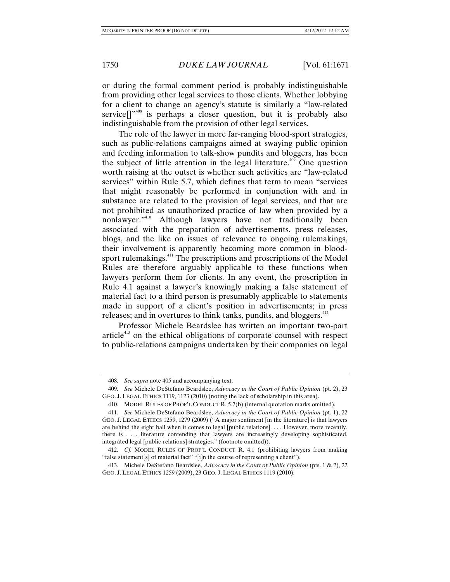or during the formal comment period is probably indistinguishable from providing other legal services to those clients. Whether lobbying for a client to change an agency's statute is similarly a "law-related service $[$ <sup> $1$ </sup><sup> $408$ </sup> is perhaps a closer question, but it is probably also indistinguishable from the provision of other legal services.

The role of the lawyer in more far-ranging blood-sport strategies, such as public-relations campaigns aimed at swaying public opinion and feeding information to talk-show pundits and bloggers, has been the subject of little attention in the legal literature.<sup>409</sup> One question worth raising at the outset is whether such activities are "law-related services" within Rule 5.7, which defines that term to mean "services that might reasonably be performed in conjunction with and in substance are related to the provision of legal services, and that are not prohibited as unauthorized practice of law when provided by a nonlawyer."<sup>410</sup> Although lawyers have not traditionally been associated with the preparation of advertisements, press releases, blogs, and the like on issues of relevance to ongoing rulemakings, their involvement is apparently becoming more common in bloodsport rulemakings.<sup>411</sup> The prescriptions and proscriptions of the Model Rules are therefore arguably applicable to these functions when lawyers perform them for clients. In any event, the proscription in Rule 4.1 against a lawyer's knowingly making a false statement of material fact to a third person is presumably applicable to statements made in support of a client's position in advertisements; in press releases; and in overtures to think tanks, pundits, and bloggers.<sup>412</sup>

Professor Michele Beardslee has written an important two-part article<sup>413</sup> on the ethical obligations of corporate counsel with respect to public-relations campaigns undertaken by their companies on legal

 <sup>408.</sup> *See supra* note 405 and accompanying text.

 <sup>409.</sup> *See* Michele DeStefano Beardslee, *Advocacy in the Court of Public Opinion* (pt. 2), 23 GEO. J. LEGAL ETHICS 1119, 1123 (2010) (noting the lack of scholarship in this area).

 <sup>410.</sup> MODEL RULES OF PROF'L CONDUCT R. 5.7(b) (internal quotation marks omitted).

 <sup>411.</sup> *See* Michele DeStefano Beardslee, *Advocacy in the Court of Public Opinion* (pt. 1), 22 GEO. J. LEGAL ETHICS 1259, 1279 (2009) ("A major sentiment [in the literature] is that lawyers are behind the eight ball when it comes to legal [public relations]. . . . However, more recently, there is . . . literature contending that lawyers are increasingly developing sophisticated, integrated legal [public-relations] strategies." (footnote omitted)).

 <sup>412.</sup> *Cf.* MODEL RULES OF PROF'L CONDUCT R. 4.1 (prohibiting lawyers from making "false statement[s] of material fact" "[i]n the course of representing a client").

 <sup>413.</sup> Michele DeStefano Beardslee, *Advocacy in the Court of Public Opinion* (pts. 1 & 2), 22 GEO. J. LEGAL ETHICS 1259 (2009), 23 GEO. J. LEGAL ETHICS 1119 (2010).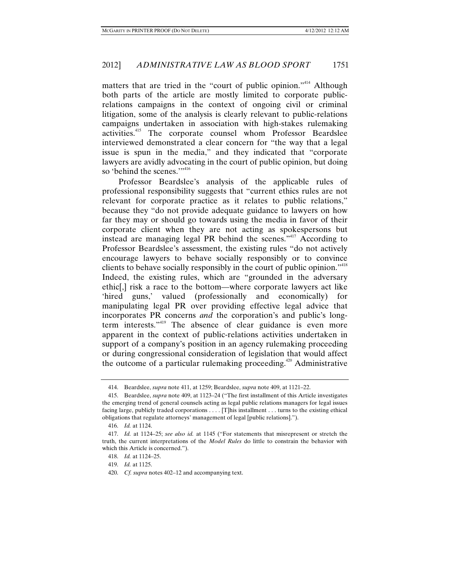matters that are tried in the "court of public opinion."<sup>414</sup> Although both parts of the article are mostly limited to corporate publicrelations campaigns in the context of ongoing civil or criminal litigation, some of the analysis is clearly relevant to public-relations campaigns undertaken in association with high-stakes rulemaking activities.415 The corporate counsel whom Professor Beardslee interviewed demonstrated a clear concern for "the way that a legal issue is spun in the media," and they indicated that "corporate lawyers are avidly advocating in the court of public opinion, but doing so 'behind the scenes.'"<sup>416</sup>

Professor Beardslee's analysis of the applicable rules of professional responsibility suggests that "current ethics rules are not relevant for corporate practice as it relates to public relations," because they "do not provide adequate guidance to lawyers on how far they may or should go towards using the media in favor of their corporate client when they are not acting as spokespersons but instead are managing legal PR behind the scenes."417 According to Professor Beardslee's assessment, the existing rules "do not actively encourage lawyers to behave socially responsibly or to convince clients to behave socially responsibly in the court of public opinion."<sup>418</sup> Indeed, the existing rules, which are "grounded in the adversary ethic[,] risk a race to the bottom—where corporate lawyers act like 'hired guns,' valued (professionally and economically) for manipulating legal PR over providing effective legal advice that incorporates PR concerns *and* the corporation's and public's longterm interests."419 The absence of clear guidance is even more apparent in the context of public-relations activities undertaken in support of a company's position in an agency rulemaking proceeding or during congressional consideration of legislation that would affect the outcome of a particular rulemaking proceeding.<sup> $420$ </sup> Administrative

 <sup>414.</sup> Beardslee, *supra* note 411, at 1259; Beardslee, *supra* note 409, at 1121–22.

 <sup>415.</sup> Beardslee, *supra* note 409, at 1123–24 ("The first installment of this Article investigates the emerging trend of general counsels acting as legal public relations managers for legal issues facing large, publicly traded corporations . . . . [T]his installment . . . turns to the existing ethical obligations that regulate attorneys' management of legal [public relations].").

 <sup>416.</sup> *Id.* at 1124.

 <sup>417.</sup> *Id.* at 1124–25; *see also id.* at 1145 ("For statements that misrepresent or stretch the truth, the current interpretations of the *Model Rules* do little to constrain the behavior with which this Article is concerned.").

 <sup>418.</sup> *Id.* at 1124–25.

 <sup>419.</sup> *Id.* at 1125.

 <sup>420.</sup> *Cf. supra* notes 402–12 and accompanying text.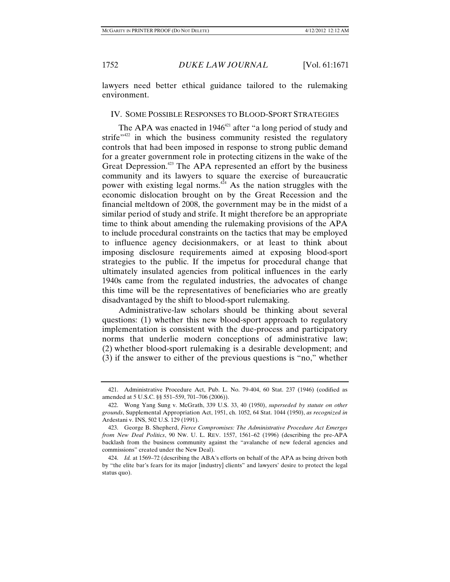lawyers need better ethical guidance tailored to the rulemaking environment.

### IV. SOME POSSIBLE RESPONSES TO BLOOD-SPORT STRATEGIES

The APA was enacted in  $1946^{421}$  after "a long period of study and strife $"$ <sup>422</sup> in which the business community resisted the regulatory controls that had been imposed in response to strong public demand for a greater government role in protecting citizens in the wake of the Great Depression.<sup>423</sup> The APA represented an effort by the business community and its lawyers to square the exercise of bureaucratic power with existing legal norms. $4\overline{2}4$  As the nation struggles with the economic dislocation brought on by the Great Recession and the financial meltdown of 2008, the government may be in the midst of a similar period of study and strife. It might therefore be an appropriate time to think about amending the rulemaking provisions of the APA to include procedural constraints on the tactics that may be employed to influence agency decisionmakers, or at least to think about imposing disclosure requirements aimed at exposing blood-sport strategies to the public. If the impetus for procedural change that ultimately insulated agencies from political influences in the early 1940s came from the regulated industries, the advocates of change this time will be the representatives of beneficiaries who are greatly disadvantaged by the shift to blood-sport rulemaking.

Administrative-law scholars should be thinking about several questions: (1) whether this new blood-sport approach to regulatory implementation is consistent with the due-process and participatory norms that underlie modern conceptions of administrative law; (2) whether blood-sport rulemaking is a desirable development; and (3) if the answer to either of the previous questions is "no," whether

 <sup>421.</sup> Administrative Procedure Act, Pub. L. No. 79-404, 60 Stat. 237 (1946) (codified as amended at 5 U.S.C. §§ 551–559, 701–706 (2006)).

 <sup>422.</sup> Wong Yang Sung v. McGrath, 339 U.S. 33, 40 (1950), *superseded by statute on other grounds*, Supplemental Appropriation Act, 1951, ch. 1052, 64 Stat. 1044 (1950), *as recognized in* Ardestani v. INS, 502 U.S. 129 (1991).

 <sup>423.</sup> George B. Shepherd, *Fierce Compromises: The Administrative Procedure Act Emerges from New Deal Politics*, 90 NW. U. L. REV. 1557, 1561–62 (1996) (describing the pre-APA backlash from the business community against the "avalanche of new federal agencies and commissions" created under the New Deal).

 <sup>424.</sup> *Id.* at 1569–72 (describing the ABA's efforts on behalf of the APA as being driven both by "the elite bar's fears for its major [industry] clients" and lawyers' desire to protect the legal status quo).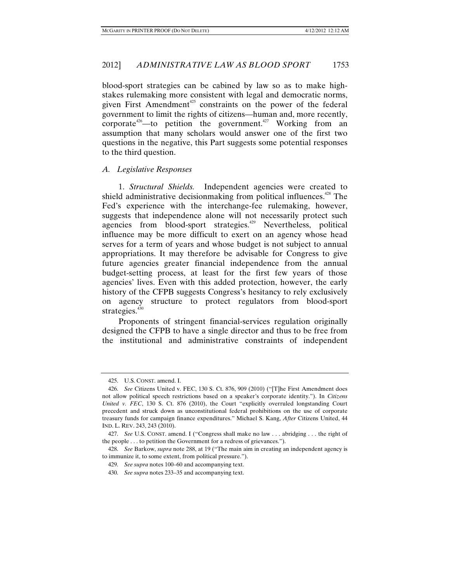blood-sport strategies can be cabined by law so as to make highstakes rulemaking more consistent with legal and democratic norms, given First Amendment<sup>425</sup> constraints on the power of the federal government to limit the rights of citizens—human and, more recently, corporate<sup> $426$ </sup>—to petition the government.<sup> $427$ </sup> Working from an assumption that many scholars would answer one of the first two questions in the negative, this Part suggests some potential responses to the third question.

### *A. Legislative Responses*

1. *Structural Shields.* Independent agencies were created to shield administrative decisionmaking from political influences.<sup>428</sup> The Fed's experience with the interchange-fee rulemaking, however, suggests that independence alone will not necessarily protect such agencies from blood-sport strategies.<sup>429</sup> Nevertheless, political influence may be more difficult to exert on an agency whose head serves for a term of years and whose budget is not subject to annual appropriations. It may therefore be advisable for Congress to give future agencies greater financial independence from the annual budget-setting process, at least for the first few years of those agencies' lives. Even with this added protection, however, the early history of the CFPB suggests Congress's hesitancy to rely exclusively on agency structure to protect regulators from blood-sport strategies. $430$ 

Proponents of stringent financial-services regulation originally designed the CFPB to have a single director and thus to be free from the institutional and administrative constraints of independent

 <sup>425.</sup> U.S. CONST. amend. I.

 <sup>426.</sup> *See* Citizens United v. FEC, 130 S. Ct. 876, 909 (2010) ("[T]he First Amendment does not allow political speech restrictions based on a speaker's corporate identity."). In *Citizens United v. FEC*, 130 S. Ct. 876 (2010), the Court "explicitly overruled longstanding Court precedent and struck down as unconstitutional federal prohibitions on the use of corporate treasury funds for campaign finance expenditures." Michael S. Kang, *After* Citizens United, 44 IND. L. REV. 243, 243 (2010).

 <sup>427.</sup> *See* U.S. CONST. amend. I ("Congress shall make no law . . . abridging . . . the right of the people . . . to petition the Government for a redress of grievances.").

 <sup>428.</sup> *See* Barkow, *supra* note 288, at 19 ("The main aim in creating an independent agency is to immunize it, to some extent, from political pressure.").

 <sup>429.</sup> *See supra* notes 100–60 and accompanying text.

 <sup>430.</sup> *See supra* notes 233–35 and accompanying text.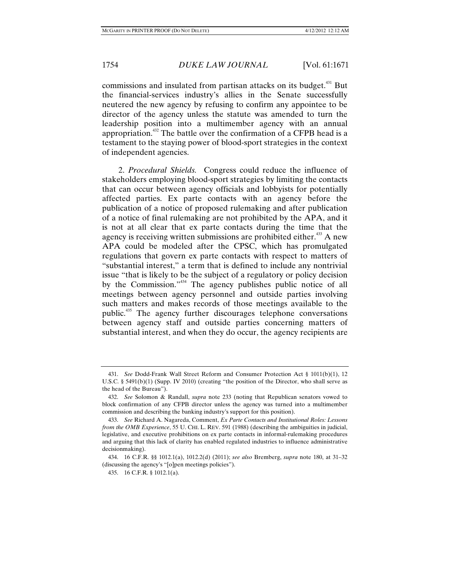commissions and insulated from partisan attacks on its budget.<sup>431</sup> But the financial-services industry's allies in the Senate successfully neutered the new agency by refusing to confirm any appointee to be director of the agency unless the statute was amended to turn the leadership position into a multimember agency with an annual appropriation.432 The battle over the confirmation of a CFPB head is a testament to the staying power of blood-sport strategies in the context of independent agencies.

2. *Procedural Shields.* Congress could reduce the influence of stakeholders employing blood-sport strategies by limiting the contacts that can occur between agency officials and lobbyists for potentially affected parties. Ex parte contacts with an agency before the publication of a notice of proposed rulemaking and after publication of a notice of final rulemaking are not prohibited by the APA, and it is not at all clear that ex parte contacts during the time that the agency is receiving written submissions are prohibited either. $433$  A new APA could be modeled after the CPSC, which has promulgated regulations that govern ex parte contacts with respect to matters of "substantial interest," a term that is defined to include any nontrivial issue "that is likely to be the subject of a regulatory or policy decision by the Commission."434 The agency publishes public notice of all meetings between agency personnel and outside parties involving such matters and makes records of those meetings available to the public.435 The agency further discourages telephone conversations between agency staff and outside parties concerning matters of substantial interest, and when they do occur, the agency recipients are

 <sup>431.</sup> *See* Dodd-Frank Wall Street Reform and Consumer Protection Act § 1011(b)(1), 12 U.S.C. § 5491(b)(1) (Supp. IV 2010) (creating "the position of the Director, who shall serve as the head of the Bureau").

 <sup>432.</sup> *See* Solomon & Randall, *supra* note 233 (noting that Republican senators vowed to block confirmation of any CFPB director unless the agency was turned into a multimember commission and describing the banking industry's support for this position).

 <sup>433.</sup> *See* Richard A. Nagareda, Comment, *Ex Parte Contacts and Institutional Roles: Lessons from the OMB Experience*, 55 U. CHI. L. REV. 591 (1988) (describing the ambiguities in judicial, legislative, and executive prohibitions on ex parte contacts in informal-rulemaking procedures and arguing that this lack of clarity has enabled regulated industries to influence administrative decisionmaking).

 <sup>434. 16</sup> C.F.R. §§ 1012.1(a), 1012.2(d) (2011); *see also* Bremberg, *supra* note 180, at 31–32 (discussing the agency's "[o]pen meetings policies").

 <sup>435. 16</sup> C.F.R. § 1012.1(a).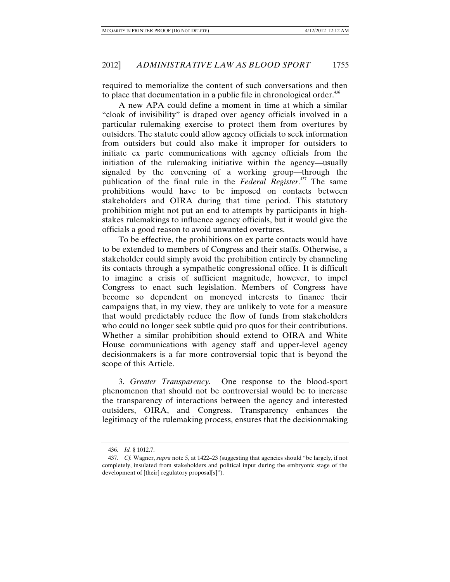required to memorialize the content of such conversations and then to place that documentation in a public file in chronological order.<sup>436</sup>

A new APA could define a moment in time at which a similar "cloak of invisibility" is draped over agency officials involved in a particular rulemaking exercise to protect them from overtures by outsiders. The statute could allow agency officials to seek information from outsiders but could also make it improper for outsiders to initiate ex parte communications with agency officials from the initiation of the rulemaking initiative within the agency—usually signaled by the convening of a working group—through the publication of the final rule in the *Federal Register*. 437 The same prohibitions would have to be imposed on contacts between stakeholders and OIRA during that time period. This statutory prohibition might not put an end to attempts by participants in highstakes rulemakings to influence agency officials, but it would give the officials a good reason to avoid unwanted overtures.

To be effective, the prohibitions on ex parte contacts would have to be extended to members of Congress and their staffs. Otherwise, a stakeholder could simply avoid the prohibition entirely by channeling its contacts through a sympathetic congressional office. It is difficult to imagine a crisis of sufficient magnitude, however, to impel Congress to enact such legislation. Members of Congress have become so dependent on moneyed interests to finance their campaigns that, in my view, they are unlikely to vote for a measure that would predictably reduce the flow of funds from stakeholders who could no longer seek subtle quid pro quos for their contributions. Whether a similar prohibition should extend to OIRA and White House communications with agency staff and upper-level agency decisionmakers is a far more controversial topic that is beyond the scope of this Article.

3. *Greater Transparency.* One response to the blood-sport phenomenon that should not be controversial would be to increase the transparency of interactions between the agency and interested outsiders, OIRA, and Congress. Transparency enhances the legitimacy of the rulemaking process, ensures that the decisionmaking

 <sup>436.</sup> *Id.* § 1012.7.

 <sup>437.</sup> *Cf.* Wagner, *supra* note 5, at 1422–23 (suggesting that agencies should "be largely, if not completely, insulated from stakeholders and political input during the embryonic stage of the development of [their] regulatory proposal[s]").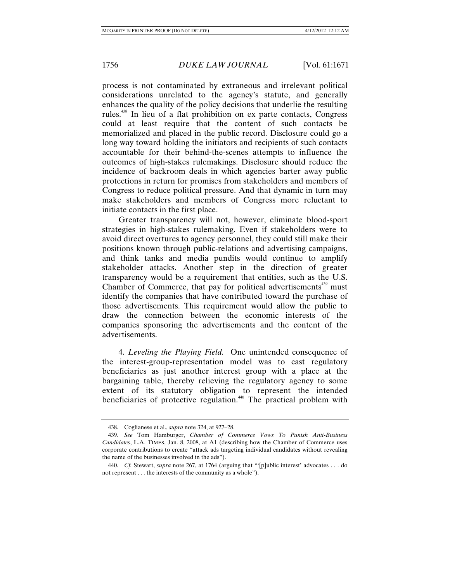process is not contaminated by extraneous and irrelevant political considerations unrelated to the agency's statute, and generally enhances the quality of the policy decisions that underlie the resulting rules.438 In lieu of a flat prohibition on ex parte contacts, Congress could at least require that the content of such contacts be memorialized and placed in the public record. Disclosure could go a long way toward holding the initiators and recipients of such contacts accountable for their behind-the-scenes attempts to influence the outcomes of high-stakes rulemakings. Disclosure should reduce the incidence of backroom deals in which agencies barter away public protections in return for promises from stakeholders and members of Congress to reduce political pressure. And that dynamic in turn may make stakeholders and members of Congress more reluctant to initiate contacts in the first place.

Greater transparency will not, however, eliminate blood-sport strategies in high-stakes rulemaking. Even if stakeholders were to avoid direct overtures to agency personnel, they could still make their positions known through public-relations and advertising campaigns, and think tanks and media pundits would continue to amplify stakeholder attacks. Another step in the direction of greater transparency would be a requirement that entities, such as the U.S. Chamber of Commerce, that pay for political advertisements<sup>439</sup> must identify the companies that have contributed toward the purchase of those advertisements. This requirement would allow the public to draw the connection between the economic interests of the companies sponsoring the advertisements and the content of the advertisements.

4. *Leveling the Playing Field.* One unintended consequence of the interest-group-representation model was to cast regulatory beneficiaries as just another interest group with a place at the bargaining table, thereby relieving the regulatory agency to some extent of its statutory obligation to represent the intended beneficiaries of protective regulation.<sup>440</sup> The practical problem with

 <sup>438.</sup> Coglianese et al., *supra* note 324, at 927–28.

 <sup>439.</sup> *See* Tom Hamburger, *Chamber of Commerce Vows To Punish Anti-Business Candidates*, L.A. TIMES, Jan. 8, 2008, at A1 (describing how the Chamber of Commerce uses corporate contributions to create "attack ads targeting individual candidates without revealing the name of the businesses involved in the ads").

 <sup>440.</sup> *Cf.* Stewart, *supra* note 267, at 1764 (arguing that "'[p]ublic interest' advocates . . . do not represent . . . the interests of the community as a whole").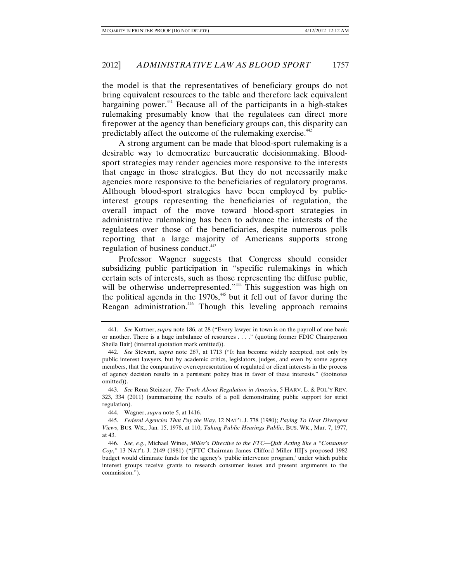the model is that the representatives of beneficiary groups do not bring equivalent resources to the table and therefore lack equivalent bargaining power.<sup>441</sup> Because all of the participants in a high-stakes rulemaking presumably know that the regulatees can direct more firepower at the agency than beneficiary groups can, this disparity can predictably affect the outcome of the rulemaking exercise.<sup>442</sup>

A strong argument can be made that blood-sport rulemaking is a desirable way to democratize bureaucratic decisionmaking. Bloodsport strategies may render agencies more responsive to the interests that engage in those strategies. But they do not necessarily make agencies more responsive to the beneficiaries of regulatory programs. Although blood-sport strategies have been employed by publicinterest groups representing the beneficiaries of regulation, the overall impact of the move toward blood-sport strategies in administrative rulemaking has been to advance the interests of the regulatees over those of the beneficiaries, despite numerous polls reporting that a large majority of Americans supports strong regulation of business conduct.<sup>443</sup>

Professor Wagner suggests that Congress should consider subsidizing public participation in "specific rulemakings in which certain sets of interests, such as those representing the diffuse public, will be otherwise underrepresented."<sup>444</sup> This suggestion was high on the political agenda in the  $1970s<sub>145</sub>$  but it fell out of favor during the Reagan administration.<sup>446</sup> Though this leveling approach remains

 <sup>441.</sup> *See* Kuttner, *supra* note 186, at 28 ("Every lawyer in town is on the payroll of one bank or another. There is a huge imbalance of resources . . . ." (quoting former FDIC Chairperson Sheila Bair) (internal quotation mark omitted)).

 <sup>442.</sup> *See* Stewart, *supra* note 267, at 1713 ("It has become widely accepted, not only by public interest lawyers, but by academic critics, legislators, judges, and even by some agency members, that the comparative overrepresentation of regulated or client interests in the process of agency decision results in a persistent policy bias in favor of these interests." (footnotes omitted)).

 <sup>443.</sup> *See* Rena Steinzor, *The Truth About Regulation in America*, 5 HARV. L. & POL'Y REV. 323, 334 (2011) (summarizing the results of a poll demonstrating public support for strict regulation).

 <sup>444.</sup> Wagner, *supra* note 5, at 1416.

 <sup>445.</sup> *Federal Agencies That Pay the Way*, 12 NAT'L J. 778 (1980); *Paying To Hear Divergent Views*, BUS. WK., Jan. 15, 1978, at 110; *Taking Public Hearings Public*, BUS. WK., Mar. 7, 1977, at 43.

 <sup>446.</sup> *See, e.g.*, Michael Wines, *Miller's Directive to the FTC—Quit Acting like a "Consumer Cop*,*"* 13 NAT'L J. 2149 (1981) ("[FTC Chairman James Clifford Miller III]'s proposed 1982 budget would eliminate funds for the agency's 'public intervenor program,' under which public interest groups receive grants to research consumer issues and present arguments to the commission.").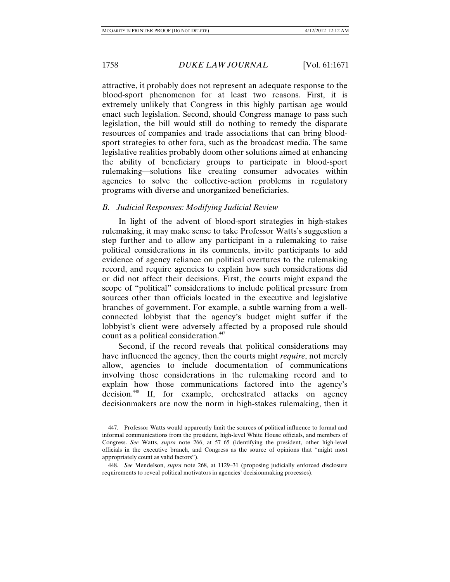attractive, it probably does not represent an adequate response to the blood-sport phenomenon for at least two reasons. First, it is extremely unlikely that Congress in this highly partisan age would enact such legislation. Second, should Congress manage to pass such legislation, the bill would still do nothing to remedy the disparate resources of companies and trade associations that can bring bloodsport strategies to other fora, such as the broadcast media. The same legislative realities probably doom other solutions aimed at enhancing the ability of beneficiary groups to participate in blood-sport rulemaking—solutions like creating consumer advocates within agencies to solve the collective-action problems in regulatory programs with diverse and unorganized beneficiaries.

# *B. Judicial Responses: Modifying Judicial Review*

In light of the advent of blood-sport strategies in high-stakes rulemaking, it may make sense to take Professor Watts's suggestion a step further and to allow any participant in a rulemaking to raise political considerations in its comments, invite participants to add evidence of agency reliance on political overtures to the rulemaking record, and require agencies to explain how such considerations did or did not affect their decisions. First, the courts might expand the scope of "political" considerations to include political pressure from sources other than officials located in the executive and legislative branches of government. For example, a subtle warning from a wellconnected lobbyist that the agency's budget might suffer if the lobbyist's client were adversely affected by a proposed rule should count as a political consideration.<sup>447</sup>

Second, if the record reveals that political considerations may have influenced the agency, then the courts might *require*, not merely allow, agencies to include documentation of communications involving those considerations in the rulemaking record and to explain how those communications factored into the agency's decision.448 If, for example, orchestrated attacks on agency decisionmakers are now the norm in high-stakes rulemaking, then it

 <sup>447.</sup> Professor Watts would apparently limit the sources of political influence to formal and informal communications from the president, high-level White House officials, and members of Congress. *See* Watts, *supra* note 266, at 57–65 (identifying the president, other high-level officials in the executive branch, and Congress as the source of opinions that "might most appropriately count as valid factors").

 <sup>448.</sup> *See* Mendelson, *supra* note 268, at 1129–31 (proposing judicially enforced disclosure requirements to reveal political motivators in agencies' decisionmaking processes).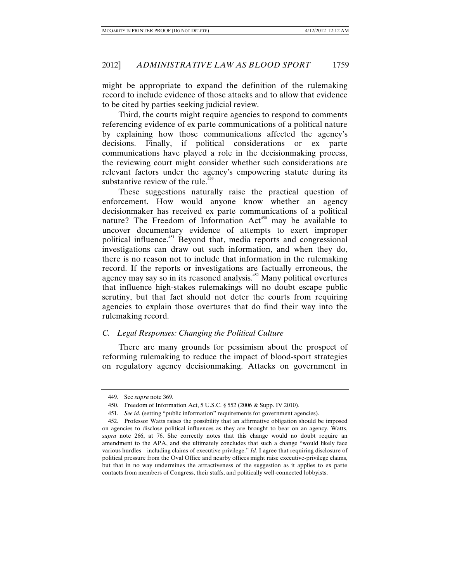might be appropriate to expand the definition of the rulemaking record to include evidence of those attacks and to allow that evidence to be cited by parties seeking judicial review.

Third, the courts might require agencies to respond to comments referencing evidence of ex parte communications of a political nature by explaining how those communications affected the agency's decisions. Finally, if political considerations or ex parte communications have played a role in the decisionmaking process, the reviewing court might consider whether such considerations are relevant factors under the agency's empowering statute during its substantive review of the rule. $449$ 

These suggestions naturally raise the practical question of enforcement. How would anyone know whether an agency decisionmaker has received ex parte communications of a political nature? The Freedom of Information Act<sup>450</sup> may be available to uncover documentary evidence of attempts to exert improper political influence.<sup>451</sup> Beyond that, media reports and congressional investigations can draw out such information, and when they do, there is no reason not to include that information in the rulemaking record. If the reports or investigations are factually erroneous, the agency may say so in its reasoned analysis.452 Many political overtures that influence high-stakes rulemakings will no doubt escape public scrutiny, but that fact should not deter the courts from requiring agencies to explain those overtures that do find their way into the rulemaking record.

# *C. Legal Responses: Changing the Political Culture*

There are many grounds for pessimism about the prospect of reforming rulemaking to reduce the impact of blood-sport strategies on regulatory agency decisionmaking. Attacks on government in

 <sup>449.</sup> See *supra* note 369.

 <sup>450.</sup> Freedom of Information Act, 5 U.S.C. § 552 (2006 & Supp. IV 2010).

 <sup>451.</sup> *See id.* (setting "public information" requirements for government agencies).

 <sup>452.</sup> Professor Watts raises the possibility that an affirmative obligation should be imposed on agencies to disclose political influences as they are brought to bear on an agency. Watts, *supra* note 266, at 76. She correctly notes that this change would no doubt require an amendment to the APA, and she ultimately concludes that such a change "would likely face various hurdles—including claims of executive privilege." *Id.* I agree that requiring disclosure of political pressure from the Oval Office and nearby offices might raise executive-privilege claims, but that in no way undermines the attractiveness of the suggestion as it applies to ex parte contacts from members of Congress, their staffs, and politically well-connected lobbyists.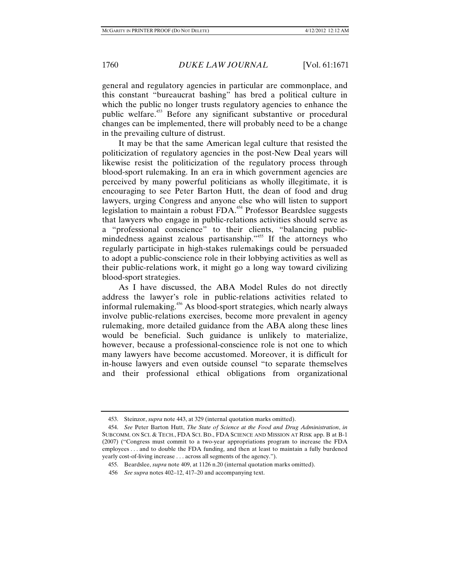general and regulatory agencies in particular are commonplace, and this constant "bureaucrat bashing" has bred a political culture in which the public no longer trusts regulatory agencies to enhance the public welfare.<sup>453</sup> Before any significant substantive or procedural changes can be implemented, there will probably need to be a change in the prevailing culture of distrust.

It may be that the same American legal culture that resisted the politicization of regulatory agencies in the post-New Deal years will likewise resist the politicization of the regulatory process through blood-sport rulemaking. In an era in which government agencies are perceived by many powerful politicians as wholly illegitimate, it is encouraging to see Peter Barton Hutt, the dean of food and drug lawyers, urging Congress and anyone else who will listen to support legislation to maintain a robust FDA.<sup>454</sup> Professor Beardslee suggests that lawyers who engage in public-relations activities should serve as a "professional conscience" to their clients, "balancing publicmindedness against zealous partisanship."<sup>455</sup> If the attorneys who regularly participate in high-stakes rulemakings could be persuaded to adopt a public-conscience role in their lobbying activities as well as their public-relations work, it might go a long way toward civilizing blood-sport strategies.

As I have discussed, the ABA Model Rules do not directly address the lawyer's role in public-relations activities related to informal rulemaking.456 As blood-sport strategies, which nearly always involve public-relations exercises, become more prevalent in agency rulemaking, more detailed guidance from the ABA along these lines would be beneficial. Such guidance is unlikely to materialize, however, because a professional-conscience role is not one to which many lawyers have become accustomed. Moreover, it is difficult for in-house lawyers and even outside counsel "to separate themselves and their professional ethical obligations from organizational

 <sup>453.</sup> Steinzor, *supra* note 443, at 329 (internal quotation marks omitted).

 <sup>454.</sup> *See* Peter Barton Hutt, *The State of Science at the Food and Drug Administration*, *in*  SUBCOMM. ON SCI. & TECH., FDA SCI. BD., FDA SCIENCE AND MISSION AT RISK app. B at B-1 (2007) ("Congress must commit to a two-year appropriations program to increase the FDA employees . . . and to double the FDA funding, and then at least to maintain a fully burdened yearly cost-of-living increase . . . across all segments of the agency.").

 <sup>455.</sup> Beardslee, *supra* note 409, at 1126 n.20 (internal quotation marks omitted).

 <sup>456.</sup> *See supra* notes 402–12, 417–20 and accompanying text.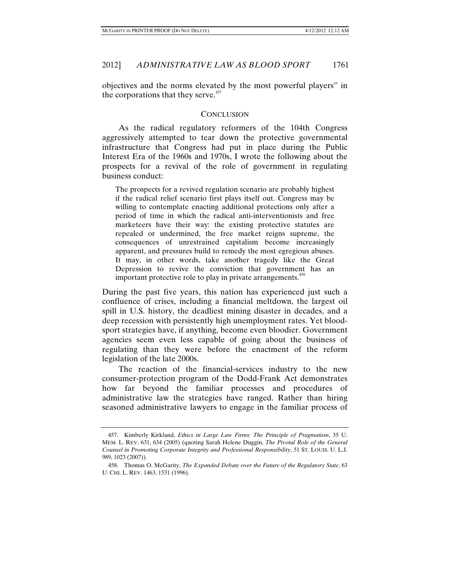objectives and the norms elevated by the most powerful players" in the corporations that they serve.<sup>457</sup>

#### **CONCLUSION**

As the radical regulatory reformers of the 104th Congress aggressively attempted to tear down the protective governmental infrastructure that Congress had put in place during the Public Interest Era of the 1960s and 1970s, I wrote the following about the prospects for a revival of the role of government in regulating business conduct:

The prospects for a revived regulation scenario are probably highest if the radical relief scenario first plays itself out. Congress may be willing to contemplate enacting additional protections only after a period of time in which the radical anti-interventionists and free marketeers have their way: the existing protective statutes are repealed or undermined, the free market reigns supreme, the consequences of unrestrained capitalism become increasingly apparent, and pressures build to remedy the most egregious abuses. It may, in other words, take another tragedy like the Great Depression to revive the conviction that government has an important protective role to play in private arrangements.<sup>458</sup>

During the past five years, this nation has experienced just such a confluence of crises, including a financial meltdown, the largest oil spill in U.S. history, the deadliest mining disaster in decades, and a deep recession with persistently high unemployment rates. Yet bloodsport strategies have, if anything, become even bloodier. Government agencies seem even less capable of going about the business of regulating than they were before the enactment of the reform legislation of the late 2000s.

The reaction of the financial-services industry to the new consumer-protection program of the Dodd-Frank Act demonstrates how far beyond the familiar processes and procedures of administrative law the strategies have ranged. Rather than hiring seasoned administrative lawyers to engage in the familiar process of

 <sup>457.</sup> Kimberly Kirkland, *Ethics in Large Law Firms: The Principle of Pragmatism*, 35 U. MEM. L. REV. 631, 634 (2005) (quoting Sarah Helene Duggin, *The Pivotal Role of the General Counsel in Promoting Corporate Integrity and Professional Responsibility*, 51 ST. LOUIS. U. L.J. 989, 1023 (2007)).

 <sup>458.</sup> Thomas O. McGarity, *The Expanded Debate over the Future of the Regulatory State*, 63 U. CHI. L. REV. 1463, 1531 (1996).